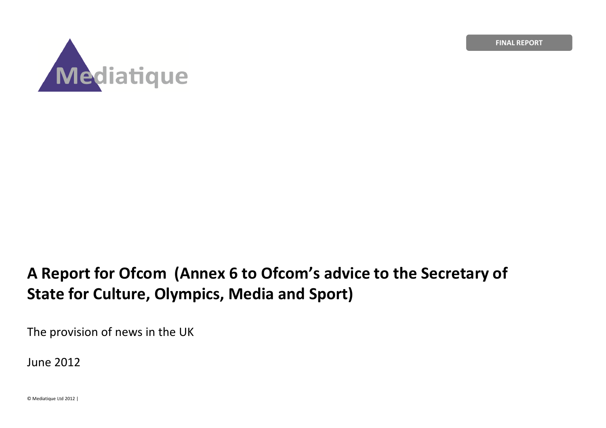FINAL REPORT



# A Report for Ofcom (Annex 6 to Ofcom's advice to the Secretary of State for Culture, Olympics, Media and Sport)

The provision of news in the UK

June 2012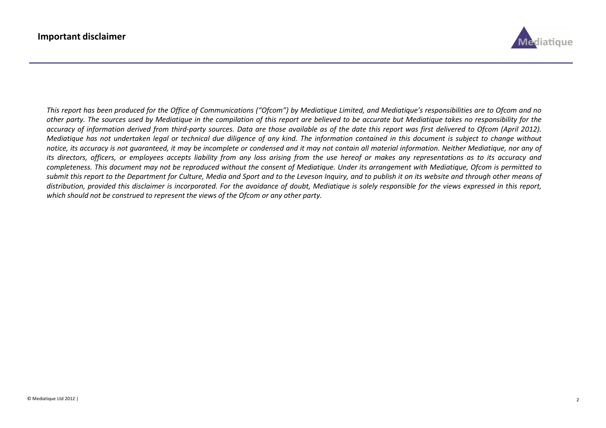

This report has been produced for the Office of Communications ("Ofcom") by Mediatique Limited, and Mediatique's responsibilities are to Ofcom and no other party. The sources used by Mediatique in the compilation of this report are believed to be accurate but Mediatique takes no responsibility for the accuracy of information derived from third-party sources. Data are those available as of the date this report was first delivered to Ofcom (April 2012). Mediatique has not undertaken legal or technical due diligence of any kind. The information contained in this document is subject to change without notice, its accuracy is not guaranteed, it may be incomplete or condensed and it may not contain all material information. Neither Mediatique, nor any of its directors, officers, or employees accepts liability from any loss arising from the use hereof or makes any representations as to its accuracy and completeness. This document may not be reproduced without the consent of Mediatique. Under its arrangement with Mediatique, Ofcom is permitted to submit this report to the Department for Culture, Media and Sport and to the Leveson Inquiry, and to publish it on its website and through other means of distribution, provided this disclaimer is incorporated. For the avoidance of doubt, Mediatique is solely responsible for the views expressed in this report, which should not be construed to represent the views of the Ofcom or any other party.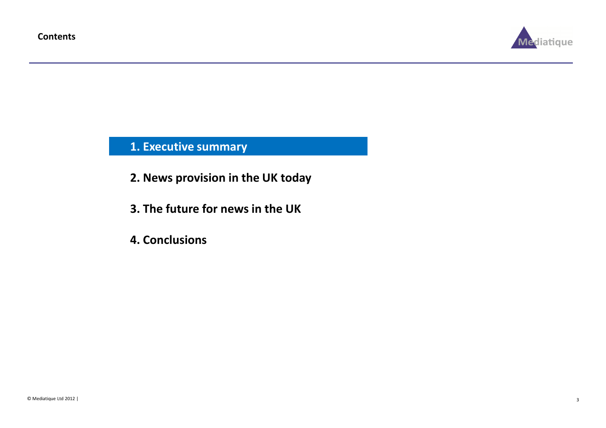

1. Executive summary

- 2. News provision in the UK today
- 3. The future for news in the UK
- 4. Conclusions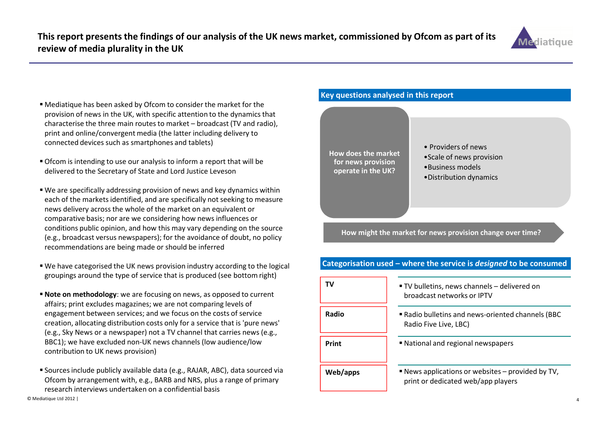

- Mediatique has been asked by Ofcom to consider the market for the provision of news in the UK, with specific attention to the dynamics that characterise the three main routes to market – broadcast (TV and radio), print and online/convergent media (the latter including delivery to connected devices such as smartphones and tablets)
- Ofcom is intending to use our analysis to inform a report that will be delivered to the Secretary of State and Lord Justice Leveson
- We are specifically addressing provision of news and key dynamics within each of the markets identified, and are specifically not seeking to measure news delivery across the whole of the market on an equivalent or comparative basis; nor are we considering how news influences or conditions public opinion, and how this may vary depending on the source (e.g., broadcast versus newspapers); for the avoidance of doubt, no policy recommendations are being made or should be inferred
- We have categorised the UK news provision industry according to the logical groupings around the type of service that is produced (see bottom right)
- **Note on methodology**: we are focusing on news, as opposed to current affairs; print excludes magazines; we are not comparing levels of engagement between services; and we focus on the costs of service creation, allocating distribution costs only for a service that is 'pure news' (e.g., Sky News or a newspaper) not a TV channel that carries news (e.g., BBC1); we have excluded non-UK news channels (low audience/low contribution to UK news provision)
- Sources include publicly available data (e.g., RAJAR, ABC), data sourced via Ofcom by arrangement with, e.g., BARB and NRS, plus a range of primary research interviews undertaken on a confidential basis

#### Key questions analysed in this report



How might the market for news provision change over time?

#### TV $\sim$   $\sim$   $\sim$   $\sim$   $\sim$   $\sim$  TV bulletins, news channels – delivered on broadcast networks or IPTV Radio bulletins and news-oriented channels (BBC Radio Five Live, LBC) National and regional newspapers News applications or websites – provided by TV, print or dedicated web/app playersPrintRadioWeb/apps

#### Categorisation used – where the service is designed to be consumed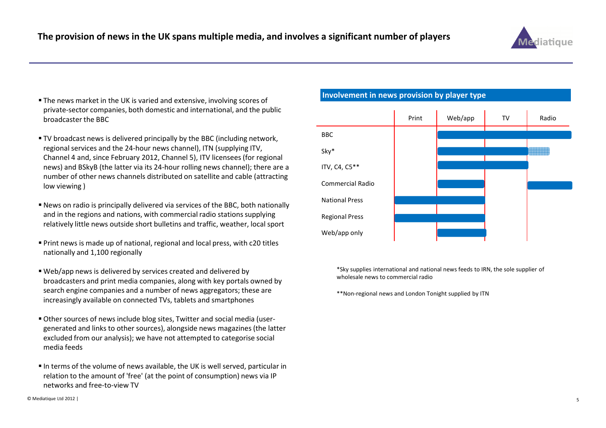

- The news market in the UK is varied and extensive, involving scores of private-sector companies, both domestic and international, and the public broadcaster the BBC
- TV broadcast news is delivered principally by the BBC (including network, regional services and the 24-hour news channel), ITN (supplying ITV, Channel 4 and, since February 2012, Channel 5), ITV licensees (for regional news) and BSkyB (the latter via its 24-hour rolling news channel); there are a number of other news channels distributed on satellite and cable (attracting low viewing )
- News on radio is principally delivered via services of the BBC, both nationally and in the regions and nations, with commercial radio stations supplying relatively little news outside short bulletins and traffic, weather, local sport
- Print news is made up of national, regional and local press, with c20 titles nationally and 1,100 regionally
- Web/app news is delivered by services created and delivered by broadcasters and print media companies, along with key portals owned by search engine companies and a number of news aggregators; these are increasingly available on connected TVs, tablets and smartphones
- Other sources of news include blog sites, Twitter and social media (usergenerated and links to other sources), alongside news magazines (the latter excluded from our analysis); we have not attempted to categorise social media feeds
- $\blacksquare$  In terms of the volume of news available, the UK is well served, particular in relation to the amount of 'free' (at the point of consumption) news via IP networks and free-to-view TV

#### Involvement in news provision by player type



\*Sky supplies international and national news feeds to IRN, the sole supplier of wholesale news to commercial radio

\*\*Non-regional news and London Tonight supplied by ITN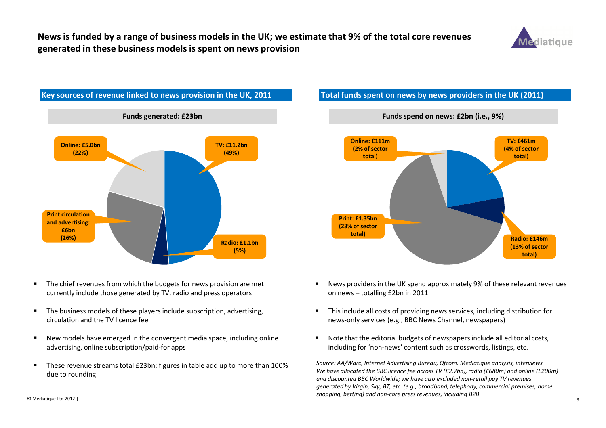



- $\blacksquare$  The chief revenues from which the budgets for news provision are met currently include those generated by TV, radio and press operators
- $\blacksquare$  The business models of these players include subscription, advertising, circulation and the TV licence fee
- $\blacksquare$  New models have emerged in the convergent media space, including online advertising, online subscription/paid-for apps
- $\blacksquare$  These revenue streams total £23bn; figures in table add up to more than 100% due to rounding

### Total funds spent on news by news providers in the UK (2011)



- $\blacksquare$  News providers in the UK spend approximately 9% of these relevant revenues on news – totalling £2bn in 2011
- $\blacksquare$  This include all costs of providing news services, including distribution for news-only services (e.g., BBC News Channel, newspapers)
- Note that the editorial budgets of newspapers include all editorial costs, including for 'non-news' content such as crosswords, listings, etc.

Source: AA/Warc, Internet Advertising Bureau, Ofcom, Mediatique analysis, interviews We have allocated the BBC licence fee across TV (£2.7bn), radio (£680m) and online (£200m) and discounted BBC Worldwide; we have also excluded non-retail pay TV revenues generated by Virgin, Sky, BT, etc. (e.g., broadband, telephony, commercial premises, home shopping, betting) and non-core press revenues, including B2B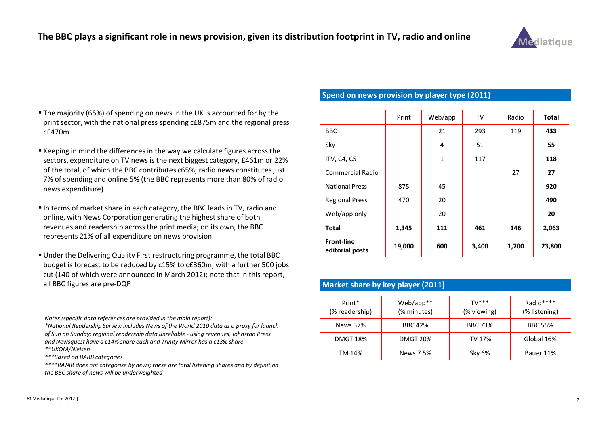

- The majority (65%) of spending on news in the UK is accounted for by the print sector, with the national press spending c£875m and the regional press c£470m
- $\blacksquare$  Keeping in mind the differences in the way we calculate figures across the sectors, expenditure on TV news is the next biggest category, £461m or 22% of the total, of which the BBC contributes c65%; radio news constitutes just 7% of spending and online 5% (the BBC represents more than 80% of radio news expenditure)
- In terms of market share in each category, the BBC leads in TV, radio and online, with News Corporation generating the highest share of both revenues and readership across the print media; on its own, the BBC represents 21% of all expenditure on news provision
- Under the Delivering Quality First restructuring programme, the total BBC budget is forecast to be reduced by c15% to c£360m, with a further 500 jobs cut (140 of which were announced in March 2012); note that in this report, all BBC figures are pre-DQF

Notes (specific data references are provided in the main report):

\*National Readership Survey: includes News of the World 2010 data as a proxy for launch of Sun on Sunday; regional readership data unreliable - using revenues, Johnston Press and Newsquest have a c14% share each and Trinity Mirror has a c13% share\*\*UKOM/Nielsen

\*\*\*Based on BARB categories

 \*\*\*\*RAJAR does not categorise by news; these are total listening shares and by definition the BBC share of news will be underweighted

#### Spend on news provision by player type (2011)

|                                      | Print  | Web/app     | TV    | Radio | <b>Total</b> |
|--------------------------------------|--------|-------------|-------|-------|--------------|
| <b>BBC</b>                           |        | 21          | 293   | 119   | 433          |
| Sky                                  |        | 4           | 51    |       | 55           |
| ITV, C4, C5                          |        | $\mathbf 1$ | 117   |       | 118          |
| <b>Commercial Radio</b>              |        |             |       | 27    | 27           |
| <b>National Press</b>                | 875    | 45          |       |       | 920          |
| <b>Regional Press</b>                | 470    | 20          |       |       | 490          |
| Web/app only                         |        | 20          |       |       | 20           |
| <b>Total</b>                         | 1,345  | 111         | 461   | 146   | 2,063        |
| <b>Front-line</b><br>editorial posts | 19,000 | 600         | 3,400 | 1,700 | 23,800       |

| Market share by key player (2011) |                          |                         |                            |  |  |
|-----------------------------------|--------------------------|-------------------------|----------------------------|--|--|
| Print*<br>(% readership)          | Web/app**<br>(% minutes) | $TV$ ***<br>(% viewing) | Radio****<br>(% listening) |  |  |
| News 37%                          | <b>BBC 42%</b>           | <b>BBC 73%</b>          | <b>BBC 55%</b>             |  |  |
| <b>DMGT 18%</b>                   | <b>DMGT 20%</b>          | <b>ITV 17%</b>          | Global 16%                 |  |  |
| TM 14%                            | News 7.5%                | Sky 6%                  | Bauer 11%                  |  |  |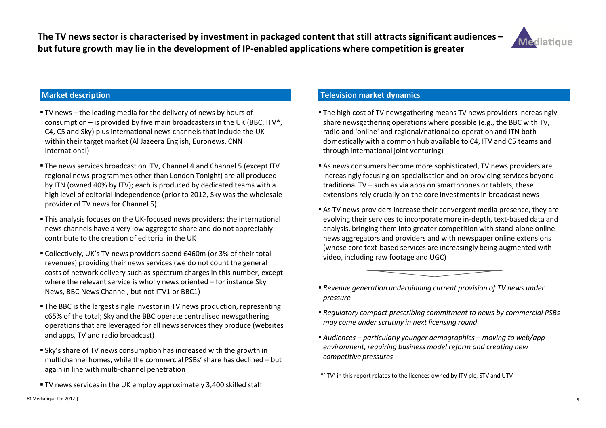

- TV news the leading media for the delivery of news by hours of consumption – is provided by five main broadcasters in the UK (BBC,  $ITV^*$ , C4, C5 and Sky) plus international news channels that include the UK within their target market (Al Jazeera English, Euronews, CNN International)
- The news services broadcast on ITV, Channel 4 and Channel 5 (except ITV regional news programmes other than London Tonight) are all produced by ITN (owned 40% by ITV); each is produced by dedicated teams with a high level of editorial independence (prior to 2012, Sky was the wholesale provider of TV news for Channel 5)
- This analysis focuses on the UK-focused news providers; the international news channels have a very low aggregate share and do not appreciably contribute to the creation of editorial in the UK
- Collectively, UK's TV news providers spend £460m (or 3% of their total revenues) providing their news services (we do not count the general costs of network delivery such as spectrum charges in this number, except where the relevant service is wholly news oriented – for instance Sky News, BBC News Channel, but not ITV1 or BBC1)
- The BBC is the largest single investor in TV news production, representing c65% of the total; Sky and the BBC operate centralised newsgathering operations that are leveraged for all news services they produce (websites and apps, TV and radio broadcast)
- Sky's share of TV news consumption has increased with the growth in multichannel homes, while the commercial PSBs' share has declined – but again in line with multi-channel penetration
- TV news services in the UK employ approximately 3,400 skilled staff

#### Television market dynamics

- The high cost of TV newsgathering means TV news providers increasingly share newsgathering operations where possible (e.g., the BBC with TV, radio and 'online' and regional/national co-operation and ITN both domestically with a common hub available to C4, ITV and C5 teams and through international joint venturing)
- As news consumers become more sophisticated, TV news providers are increasingly focusing on specialisation and on providing services beyond traditional TV – such as via apps on smartphones or tablets; these extensions rely crucially on the core investments in broadcast news
- As TV news providers increase their convergent media presence, they are evolving their services to incorporate more in-depth, text-based data and analysis, bringing them into greater competition with stand-alone online news aggregators and providers and with newspaper online extensions (whose core text-based services are increasingly being augmented with video, including raw footage and UGC)



- Regulatory compact prescribing commitment to news by commercial PSBs may come under scrutiny in next licensing round
- Audiences particularly younger demographics moving to web/app environment, requiring business model reform and creating new competitive pressures

\*'ITV' in this report relates to the licences owned by ITV plc, STV and UTV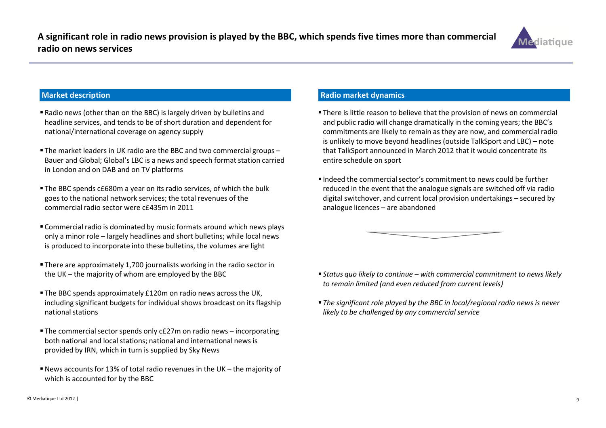

- Radio news (other than on the BBC) is largely driven by bulletins and headline services, and tends to be of short duration and dependent for national/international coverage on agency supply
- The market leaders in UK radio are the BBC and two commercial groups – Bauer and Global; Global's LBC is a news and speech format station carried in London and on DAB and on TV platforms
- The BBC spends c£680m a year on its radio services, of which the bulk goes to the national network services; the total revenues of the commercial radio sector were c£435m in 2011
- Commercial radio is dominated by music formats around which news plays only a minor role – largely headlines and short bulletins; while local news is produced to incorporate into these bulletins, the volumes are light
- There are approximately 1,700 journalists working in the radio sector in the UK – the majority of whom are employed by the BBC
- The BBC spends approximately £120m on radio news across the UK, including significant budgets for individual shows broadcast on its flagship national stations
- The commercial sector spends only c£27m on radio news incorporating both national and local stations; national and international news is provided by IRN, which in turn is supplied by Sky News
- News accounts for 13% of total radio revenues in the UK the majority of which is accounted for by the BBC

#### Radio market dynamics

- There is little reason to believe that the provision of news on commercial and public radio will change dramatically in the coming years; the BBC's commitments are likely to remain as they are now, and commercial radio is unlikely to move beyond headlines (outside TalkSport and LBC) – note that TalkSport announced in March 2012 that it would concentrate its entire schedule on sport
- $\blacksquare$  Indeed the commercial sector's commitment to news could be further reduced in the event that the analogue signals are switched off via radio digital switchover, and current local provision undertakings – secured by analogue licences – are abandoned



- $\blacksquare$  Status quo likely to continue with commercial commitment to news likely to remain limited (and even reduced from current levels)
- The significant role played by the BBC in local/regional radio news is never likely to be challenged by any commercial service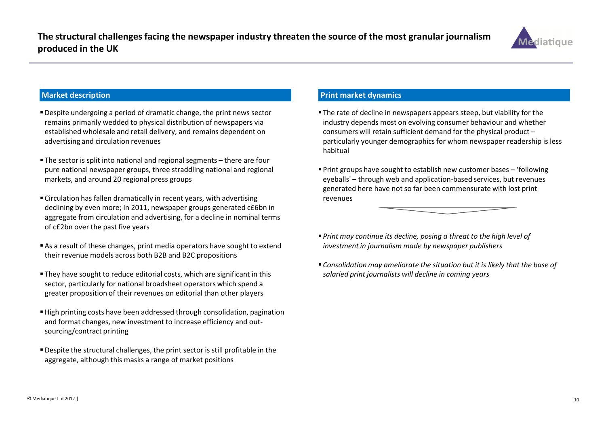

- Despite undergoing a period of dramatic change, the print news sector remains primarily wedded to physical distribution of newspapers via established wholesale and retail delivery, and remains dependent on advertising and circulation revenues
- The sector is split into national and regional segments there are four pure national newspaper groups, three straddling national and regional markets, and around 20 regional press groups
- Circulation has fallen dramatically in recent years, with advertising declining by even more; In 2011, newspaper groups generated c£6bn in aggregate from circulation and advertising, for a decline in nominal terms of c£2bn over the past five years
- As a result of these changes, print media operators have sought to extend their revenue models across both B2B and B2C propositions
- They have sought to reduce editorial costs, which are significant in this sector, particularly for national broadsheet operators which spend a greater proposition of their revenues on editorial than other players
- High printing costs have been addressed through consolidation, pagination and format changes, new investment to increase efficiency and outsourcing/contract printing
- Despite the structural challenges, the print sector is still profitable in the aggregate, although this masks a range of market positions

#### Print market dynamics

- The rate of decline in newspapers appears steep, but viability for the industry depends most on evolving consumer behaviour and whether consumers will retain sufficient demand for the physical product – particularly younger demographics for whom newspaper readership is less habitual
- Print groups have sought to establish new customer bases 'following eyeballs' – through web and application-based services, but revenues generated here have not so far been commensurate with lost print revenues
- $\blacksquare$  Print may continue its decline, posing a threat to the high level of investment in journalism made by newspaper publishers
- Consolidation may ameliorate the situation but it is likely that the base of salaried print journalists will decline in coming years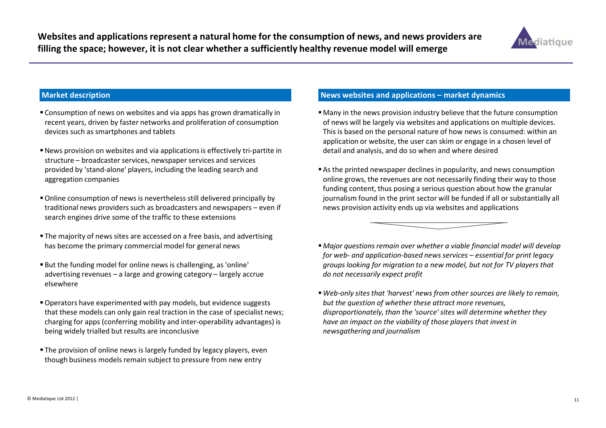

- Consumption of news on websites and via apps has grown dramatically in recent years, driven by faster networks and proliferation of consumption devices such as smartphones and tablets
- News provision on websites and via applications is effectively tri-partite in structure – broadcaster services, newspaper services and services provided by 'stand-alone' players, including the leading search and aggregation companies
- Online consumption of news is nevertheless still delivered principally by traditional news providers such as broadcasters and newspapers – even if search engines drive some of the traffic to these extensions
- The majority of news sites are accessed on a free basis, and advertising has become the primary commercial model for general news
- But the funding model for online news is challenging, as 'online' advertising revenues – a large and growing category – largely accrue elsewhere
- Operators have experimented with pay models, but evidence suggests that these models can only gain real traction in the case of specialist news; charging for apps (conferring mobility and inter-operability advantages) is being widely trialled but results are inconclusive
- The provision of online news is largely funded by legacy players, even though business models remain subject to pressure from new entry

#### News websites and applications – market dynamics

- Many in the news provision industry believe that the future consumption of news will be largely via websites and applications on multiple devices. This is based on the personal nature of how news is consumed: within an application or website, the user can skim or engage in a chosen level of detail and analysis, and do so when and where desired
- As the printed newspaper declines in popularity, and news consumption online grows, the revenues are not necessarily finding their way to those funding content, thus posing a serious question about how the granular journalism found in the print sector will be funded if all or substantially all news provision activity ends up via websites and applications



- Major questions remain over whether a viable financial model will develop for web- and application-based news services – essential for print legacy groups looking for migration to a new model, but not for TV players that do not necessarily expect profit
- Web-only sites that 'harvest' news from other sources are likely to remain, but the question of whether these attract more revenues, disproportionately, than the 'source' sites will determine whether they have an impact on the viability of those players that invest in newsgathering and journalism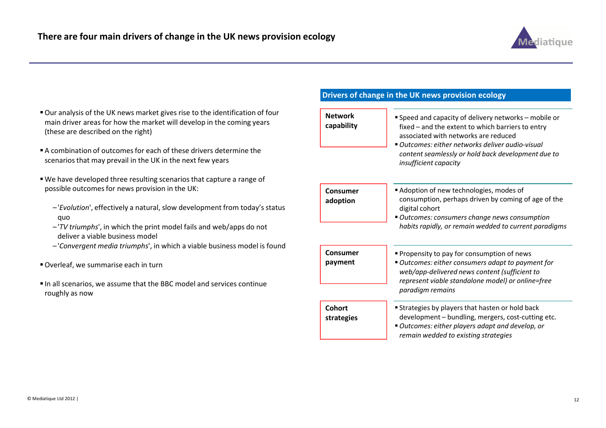

- Our analysis of the UK news market gives rise to the identification of four main driver areas for how the market will develop in the coming years (these are described on the right)
- A combination of outcomes for each of these drivers determine the scenarios that may prevail in the UK in the next few years
- We have developed three resulting scenarios that capture a range of possible outcomes for news provision in the UK:
	- –'Evolution', effectively a natural, slow development from today's status quo
	- –'TV triumphs', in which the print model fails and web/apps do not deliver a viable business model
	- –'Convergent media triumphs', in which a viable business model is found
- Overleaf, we summarise each in turn
- In all scenarios, we assume that the BBC model and services continue roughly as now

#### Drivers of change in the UK news provision ecology

| <b>Network</b><br>capability | Speed and capacity of delivery networks - mobile or<br>fixed - and the extent to which barriers to entry<br>associated with networks are reduced<br>■ Outcomes: either networks deliver audio-visual<br>content seamlessly or hold back development due to<br><i>insufficient capacity</i> |
|------------------------------|--------------------------------------------------------------------------------------------------------------------------------------------------------------------------------------------------------------------------------------------------------------------------------------------|
| Consumer<br>adoption         | Adoption of new technologies, modes of<br>consumption, perhaps driven by coming of age of the<br>digital cohort<br>" Outcomes: consumers change news consumption<br>habits rapidly, or remain wedded to current paradigms                                                                  |
| Consumer<br>payment          | • Propensity to pay for consumption of news<br>Outcomes: either consumers adapt to payment for<br>web/app-delivered news content (sufficient to<br>represent viable standalone model) or online=free<br>paradigm remains                                                                   |
| Cohort<br>strategies         | <b>Strategies by players that hasten or hold back</b><br>development - bundling, mergers, cost-cutting etc.<br>" Outcomes: either players adapt and develop, or<br>remain wedded to existing strategies                                                                                    |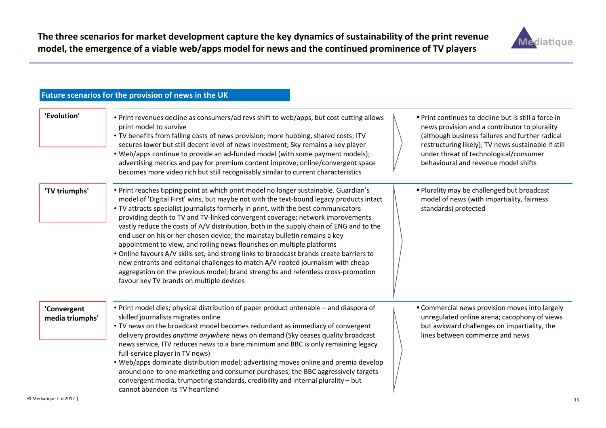

#### Future scenarios for the provision of news in the UK

| 'Evolution'                    | . Print revenues decline as consumers/ad revs shift to web/apps, but cost cutting allows<br>print model to survive<br>. TV benefits from falling costs of news provision; more hubbing, shared costs; ITV<br>secures lower but still decent level of news investment; Sky remains a key player<br>• Web/apps continue to provide an ad-funded model (with some payment models);<br>advertising metrics and pay for premium content improve; online/convergent space<br>becomes more video rich but still recognisably similar to current characteristics                                                                                                                                                                                                                                                                                                                                                                  | ■ Print continues to decline but is still a force in<br>news provision and a contributor to plurality<br>(although business failures and further radical<br>restructuring likely); TV news sustainable if still<br>under threat of technological/consumer<br>behavioural and revenue model shifts |
|--------------------------------|---------------------------------------------------------------------------------------------------------------------------------------------------------------------------------------------------------------------------------------------------------------------------------------------------------------------------------------------------------------------------------------------------------------------------------------------------------------------------------------------------------------------------------------------------------------------------------------------------------------------------------------------------------------------------------------------------------------------------------------------------------------------------------------------------------------------------------------------------------------------------------------------------------------------------|---------------------------------------------------------------------------------------------------------------------------------------------------------------------------------------------------------------------------------------------------------------------------------------------------|
| 'TV triumphs'                  | • Print reaches tipping point at which print model no longer sustainable. Guardian's<br>model of 'Digital First' wins, but maybe not with the text-bound legacy products intact<br>• TV attracts specialist journalists formerly in print, with the best communicators<br>providing depth to TV and TV-linked convergent coverage; network improvements<br>vastly reduce the costs of A/V distribution, both in the supply chain of ENG and to the<br>end user on his or her chosen device; the mainstay bulletin remains a key<br>appointment to view, and rolling news flourishes on multiple platforms<br>• Online favours A/V skills set, and strong links to broadcast brands create barriers to<br>new entrants and editorial challenges to match A/V-rooted journalism with cheap<br>aggregation on the previous model; brand strengths and relentless cross-promotion<br>favour key TV brands on multiple devices | Plurality may be challenged but broadcast<br>model of news (with impartiality, fairness<br>standards) protected                                                                                                                                                                                   |
| 'Convergent<br>media triumphs' | • Print model dies; physical distribution of paper product untenable - and diaspora of<br>skilled journalists migrates online<br>. TV news on the broadcast model becomes redundant as immediacy of convergent<br>delivery provides anytime anywhere news on demand (Sky ceases quality broadcast<br>news service, ITV reduces news to a bare minimum and BBC is only remaining legacy<br>full-service player in TV news)<br>. Web/apps dominate distribution model; advertising moves online and premia develop<br>around one-to-one marketing and consumer purchases; the BBC aggressively targets<br>convergent media, trumpeting standards, credibility and internal plurality - but<br>cannot abandon its TV heartland                                                                                                                                                                                               | " Commercial news provision moves into largely<br>unregulated online arena; cacophony of views<br>but awkward challenges on impartiality, the<br>lines between commerce and news                                                                                                                  |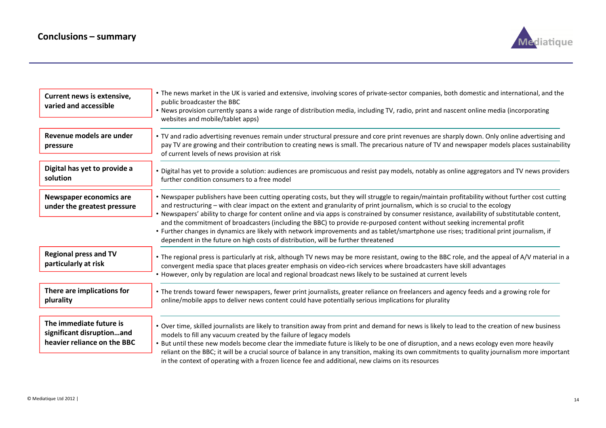

| Current news is extensive,<br>varied and accessible                                 | • The news market in the UK is varied and extensive, involving scores of private-sector companies, both domestic and international, and the<br>public broadcaster the BBC<br>• News provision currently spans a wide range of distribution media, including TV, radio, print and nascent online media (incorporating<br>websites and mobile/tablet apps)                                                                                                                                                                                                                                                                                                                                                                                                                                   |
|-------------------------------------------------------------------------------------|--------------------------------------------------------------------------------------------------------------------------------------------------------------------------------------------------------------------------------------------------------------------------------------------------------------------------------------------------------------------------------------------------------------------------------------------------------------------------------------------------------------------------------------------------------------------------------------------------------------------------------------------------------------------------------------------------------------------------------------------------------------------------------------------|
| Revenue models are under<br>pressure                                                | • TV and radio advertising revenues remain under structural pressure and core print revenues are sharply down. Only online advertising and<br>pay TV are growing and their contribution to creating news is small. The precarious nature of TV and newspaper models places sustainability<br>of current levels of news provision at risk                                                                                                                                                                                                                                                                                                                                                                                                                                                   |
| Digital has yet to provide a<br>solution                                            | • Digital has yet to provide a solution: audiences are promiscuous and resist pay models, notably as online aggregators and TV news providers<br>further condition consumers to a free model                                                                                                                                                                                                                                                                                                                                                                                                                                                                                                                                                                                               |
| Newspaper economics are<br>under the greatest pressure                              | • Newspaper publishers have been cutting operating costs, but they will struggle to regain/maintain profitability without further cost cutting<br>and restructuring - with clear impact on the extent and granularity of print journalism, which is so crucial to the ecology<br>• Newspapers' ability to charge for content online and via apps is constrained by consumer resistance, availability of substitutable content,<br>and the commitment of broadcasters (including the BBC) to provide re-purposed content without seeking incremental profit<br>• Further changes in dynamics are likely with network improvements and as tablet/smartphone use rises; traditional print journalism, if<br>dependent in the future on high costs of distribution, will be further threatened |
| <b>Regional press and TV</b><br>particularly at risk                                | • The regional press is particularly at risk, although TV news may be more resistant, owing to the BBC role, and the appeal of A/V material in a<br>convergent media space that places greater emphasis on video-rich services where broadcasters have skill advantages<br>• However, only by regulation are local and regional broadcast news likely to be sustained at current levels                                                                                                                                                                                                                                                                                                                                                                                                    |
| There are implications for<br>plurality                                             | • The trends toward fewer newspapers, fewer print journalists, greater reliance on freelancers and agency feeds and a growing role for<br>online/mobile apps to deliver news content could have potentially serious implications for plurality                                                                                                                                                                                                                                                                                                                                                                                                                                                                                                                                             |
| The immediate future is<br>significant disruptionand<br>heavier reliance on the BBC | • Over time, skilled journalists are likely to transition away from print and demand for news is likely to lead to the creation of new business<br>models to fill any vacuum created by the failure of legacy models<br>• But until these new models become clear the immediate future is likely to be one of disruption, and a news ecology even more heavily<br>reliant on the BBC; it will be a crucial source of balance in any transition, making its own commitments to quality journalism more important<br>in the context of operating with a frozen licence fee and additional, new claims on its resources                                                                                                                                                                       |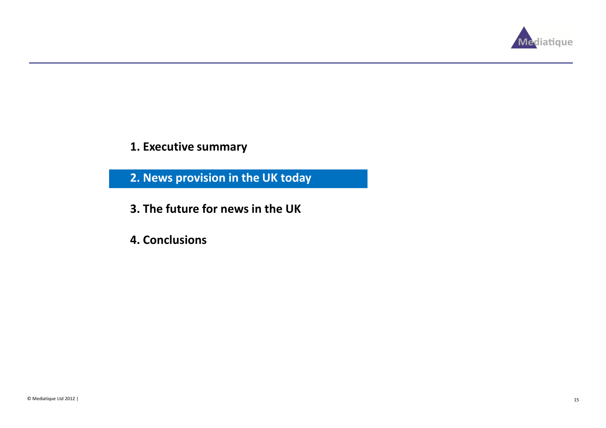

1. Executive summary

2. News provision in the UK today

- 3. The future for news in the UK
- 4. Conclusions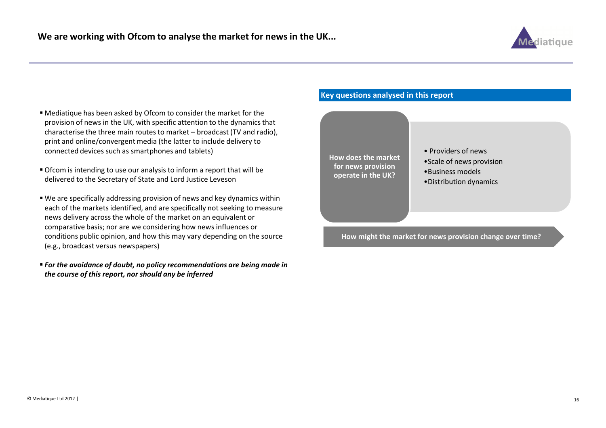

- Mediatique has been asked by Ofcom to consider the market for the provision of news in the UK, with specific attention to the dynamics that characterise the three main routes to market – broadcast (TV and radio), print and online/convergent media (the latter to include delivery to connected devices such as smartphones and tablets)
- Ofcom is intending to use our analysis to inform a report that will be delivered to the Secretary of State and Lord Justice Leveson
- We are specifically addressing provision of news and key dynamics within each of the markets identified, and are specifically not seeking to measure news delivery across the whole of the market on an equivalent or comparative basis; nor are we considering how news influences or conditions public opinion, and how this may vary depending on the source (e.g., broadcast versus newspapers)
- For the avoidance of doubt, no policy recommendations are being made in the course of this report, nor should any be inferred

#### Key questions analysed in this report



How might the market for news provision change over time?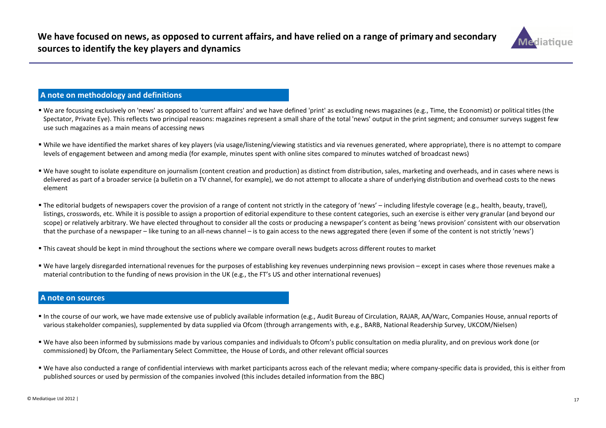

#### A note on methodology and definitions

- We are focussing exclusively on 'news' as opposed to 'current affairs' and we have defined 'print' as excluding news magazines (e.g., Time, the Economist) or political titles (the Spectator, Private Eye). This reflects two principal reasons: magazines represent a small share of the total 'news' output in the print segment; and consumer surveys suggest few use such magazines as a main means of accessing news
- While we have identified the market shares of key players (via usage/listening/viewing statistics and via revenues generated, where appropriate), there is no attempt to compare levels of engagement between and among media (for example, minutes spent with online sites compared to minutes watched of broadcast news)
- We have sought to isolate expenditure on journalism (content creation and production) as distinct from distribution, sales, marketing and overheads, and in cases where news is delivered as part of a broader service (a bulletin on a TV channel, for example), we do not attempt to allocate a share of underlying distribution and overhead costs to the news element
- The editorial budgets of newspapers cover the provision of a range of content not strictly in the category of 'news' including lifestyle coverage (e.g., health, beauty, travel), listings, crosswords, etc. While it is possible to assign a proportion of editorial expenditure to these content categories, such an exercise is either very granular (and beyond our scope) or relatively arbitrary. We have elected throughout to consider all the costs or producing a newspaper's content as being 'news provision' consistent with our observation that the purchase of a newspaper – like tuning to an all-news channel – is to gain access to the news aggregated there (even if some of the content is not strictly 'news')
- This caveat should be kept in mind throughout the sections where we compare overall news budgets across different routes to market
- We have largely disregarded international revenues for the purposes of establishing key revenues underpinning news provision except in cases where those revenues make a material contribution to the funding of news provision in the UK (e.g., the FT's US and other international revenues)

#### A note on sources

- In the course of our work, we have made extensive use of publicly available information (e.g., Audit Bureau of Circulation, RAJAR, AA/Warc, Companies House, annual reports of various stakeholder companies), supplemented by data supplied via Ofcom (through arrangements with, e.g., BARB, National Readership Survey, UKCOM/Nielsen)
- We have also been informed by submissions made by various companies and individuals to Ofcom's public consultation on media plurality, and on previous work done (or commissioned) by Ofcom, the Parliamentary Select Committee, the House of Lords, and other relevant official sources
- We have also conducted a range of confidential interviews with market participants across each of the relevant media; where company-specific data is provided, this is either from published sources or used by permission of the companies involved (this includes detailed information from the BBC)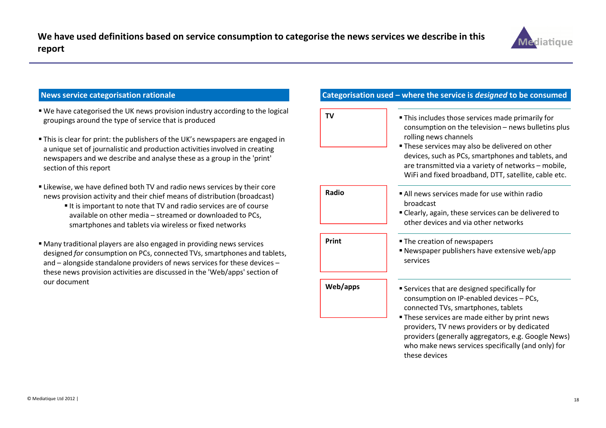

#### News service categorisation rationale

- We have categorised the UK news provision industry according to the logical groupings around the type of service that is produced
- This is clear for print: the publishers of the UK's newspapers are engaged in a unique set of journalistic and production activities involved in creating newspapers and we describe and analyse these as a group in the 'print' section of this report
- Likewise, we have defined both TV and radio news services by their core news provision activity and their chief means of distribution (broadcast)
	- $\blacksquare$  It is important to note that TV and radio services are of course available on other media – streamed or downloaded to PCs, smartphones and tablets via wireless or fixed networks
- Many traditional players are also engaged in providing news services designed for consumption on PCs, connected TVs, smartphones and tablets, and – alongside standalone providers of news services for these devices – these news provision activities are discussed in the 'Web/apps' section of our document

#### Categorisation used – where the service is designed to be consumed

| TV       | . This includes those services made primarily for<br>consumption on the television - news bulletins plus<br>rolling news channels<br>• These services may also be delivered on other<br>devices, such as PCs, smartphones and tablets, and<br>are transmitted via a variety of networks - mobile,<br>WiFi and fixed broadband, DTT, satellite, cable etc. |
|----------|-----------------------------------------------------------------------------------------------------------------------------------------------------------------------------------------------------------------------------------------------------------------------------------------------------------------------------------------------------------|
| Radio    | All news services made for use within radio<br>broadcast<br>" Clearly, again, these services can be delivered to<br>other devices and via other networks                                                                                                                                                                                                  |
|          |                                                                                                                                                                                                                                                                                                                                                           |
| Print    | • The creation of newspapers<br>Newspaper publishers have extensive web/app<br>services                                                                                                                                                                                                                                                                   |
| Web/apps | <b>Services that are designed specifically for</b><br>consumption on IP-enabled devices - PCs,<br>connected TVs, smartphones, tablets<br>. These services are made either by print news                                                                                                                                                                   |
|          | providers, TV news providers or by dedicated<br>providers (generally aggregators, e.g. Google News)<br>who make news services specifically (and only) for                                                                                                                                                                                                 |

these devices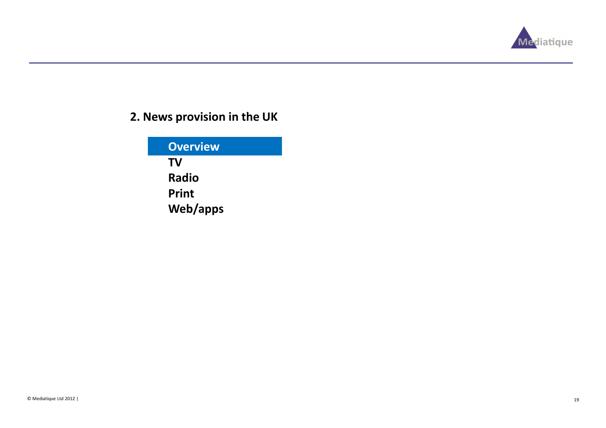

## 2. News provision in the UK

| <b>Overview</b> |
|-----------------|
| TV              |
| <b>Radio</b>    |
| Print           |
| Web/apps        |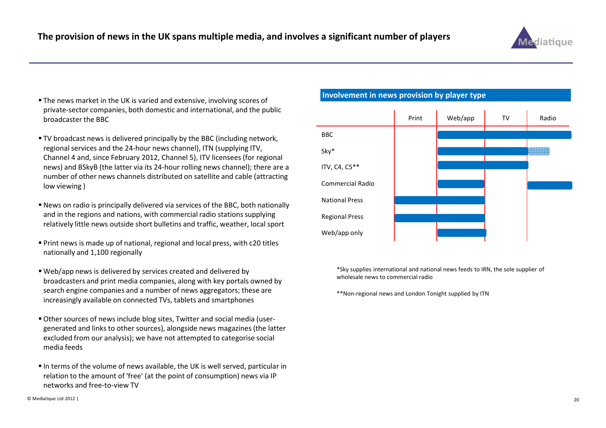

- The news market in the UK is varied and extensive, involving scores of private-sector companies, both domestic and international, and the public broadcaster the BBC
- TV broadcast news is delivered principally by the BBC (including network, regional services and the 24-hour news channel), ITN (supplying ITV, Channel 4 and, since February 2012, Channel 5), ITV licensees (for regional news) and BSkyB (the latter via its 24-hour rolling news channel); there are a number of other news channels distributed on satellite and cable (attracting low viewing )
- News on radio is principally delivered via services of the BBC, both nationally and in the regions and nations, with commercial radio stations supplying relatively little news outside short bulletins and traffic, weather, local sport
- Print news is made up of national, regional and local press, with c20 titles nationally and 1,100 regionally
- Web/app news is delivered by services created and delivered by broadcasters and print media companies, along with key portals owned by search engine companies and a number of news aggregators; these are increasingly available on connected TVs, tablets and smartphones
- Other sources of news include blog sites, Twitter and social media (usergenerated and links to other sources), alongside news magazines (the latter excluded from our analysis); we have not attempted to categorise social media feeds
- $\blacksquare$  In terms of the volume of news available, the UK is well served, particular in relation to the amount of 'free' (at the point of consumption) news via IP networks and free-to-view TV

Involvement in news provision by player type



\*Sky supplies international and national news feeds to IRN, the sole supplier of wholesale news to commercial radio

\*\*Non-regional news and London Tonight supplied by ITN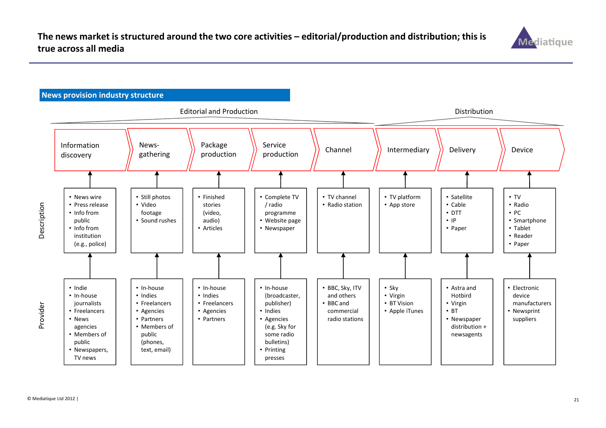

#### News provision industry structure

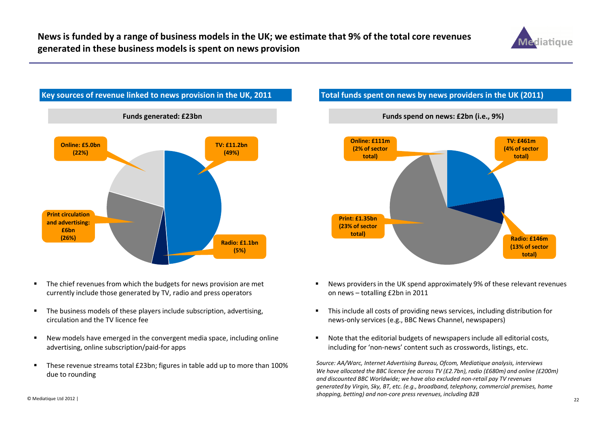



- $\blacksquare$  The chief revenues from which the budgets for news provision are met currently include those generated by TV, radio and press operators
- $\blacksquare$  The business models of these players include subscription, advertising, circulation and the TV licence fee
- $\blacksquare$  New models have emerged in the convergent media space, including online advertising, online subscription/paid-for apps
- $\blacksquare$  These revenue streams total £23bn; figures in table add up to more than 100% due to rounding

### Total funds spent on news by news providers in the UK (2011)



- $\blacksquare$  News providers in the UK spend approximately 9% of these relevant revenues on news – totalling £2bn in 2011
- $\blacksquare$  This include all costs of providing news services, including distribution for news-only services (e.g., BBC News Channel, newspapers)
- Note that the editorial budgets of newspapers include all editorial costs, including for 'non-news' content such as crosswords, listings, etc.

Source: AA/Warc, Internet Advertising Bureau, Ofcom, Mediatique analysis, interviews We have allocated the BBC licence fee across TV (£2.7bn), radio (£680m) and online (£200m) and discounted BBC Worldwide; we have also excluded non-retail pay TV revenues generated by Virgin, Sky, BT, etc. (e.g., broadband, telephony, commercial premises, home shopping, betting) and non-core press revenues, including B2B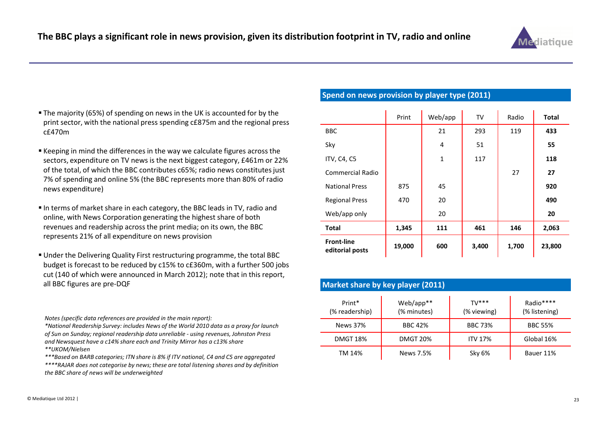

- The majority (65%) of spending on news in the UK is accounted for by the print sector, with the national press spending c£875m and the regional press c£470m
- $\blacksquare$  Keeping in mind the differences in the way we calculate figures across the sectors, expenditure on TV news is the next biggest category, £461m or 22% of the total, of which the BBC contributes c65%; radio news constitutes just 7% of spending and online 5% (the BBC represents more than 80% of radio news expenditure)
- In terms of market share in each category, the BBC leads in TV, radio and online, with News Corporation generating the highest share of both revenues and readership across the print media; on its own, the BBC represents 21% of all expenditure on news provision
- Under the Delivering Quality First restructuring programme, the total BBC budget is forecast to be reduced by c15% to c£360m, with a further 500 jobs cut (140 of which were announced in March 2012); note that in this report, all BBC figures are pre-DQF

Notes (specific data references are provided in the main report):

\*National Readership Survey: includes News of the World 2010 data as a proxy for launch of Sun on Sunday; regional readership data unreliable - using revenues, Johnston Press and Newsquest have a c14% share each and Trinity Mirror has a c13% share\*\*UKOM/Nielsen

 \*\*\*Based on BARB categories; ITN share is 8% if ITV national, C4 and C5 are aggregated \*\*\*\*RAJAR does not categorise by news; these are total listening shares and by definition the BBC share of news will be underweighted

#### Spend on news provision by player type (2011)

|                                      | Print  | Web/app     | TV    | Radio | <b>Total</b> |
|--------------------------------------|--------|-------------|-------|-------|--------------|
| <b>BBC</b>                           |        | 21          | 293   | 119   | 433          |
| Sky                                  |        | 4           | 51    |       | 55           |
| ITV, C4, C5                          |        | $\mathbf 1$ | 117   |       | 118          |
| <b>Commercial Radio</b>              |        |             |       | 27    | 27           |
| <b>National Press</b>                | 875    | 45          |       |       | 920          |
| <b>Regional Press</b>                | 470    | 20          |       |       | 490          |
| Web/app only                         |        | 20          |       |       | 20           |
| <b>Total</b>                         | 1,345  | 111         | 461   | 146   | 2,063        |
| <b>Front-line</b><br>editorial posts | 19,000 | 600         | 3,400 | 1,700 | 23,800       |

| Market share by key player (2011) |                          |                         |                            |  |  |
|-----------------------------------|--------------------------|-------------------------|----------------------------|--|--|
| Print*<br>(% readership)          | Web/app**<br>(% minutes) | $TV$ ***<br>(% viewing) | Radio****<br>(% listening) |  |  |
| News 37%                          | <b>BBC 42%</b>           | <b>BBC 73%</b>          | <b>BBC 55%</b>             |  |  |
| <b>DMGT 18%</b>                   | <b>DMGT 20%</b>          | <b>ITV 17%</b>          | Global 16%                 |  |  |
| TM 14%                            | News 7.5%                | Sky 6%                  | Bauer 11%                  |  |  |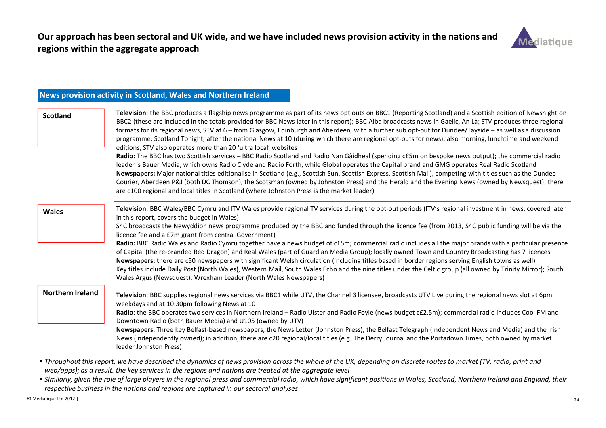

| News provision activity in Scotland, Wales and Northern Ireland                                                                                                                                                                                                                                                                                                                                                                                                                                                                                                                                                                                                                                                                                                                                                                                                                                                                                                                                                                                                                                                                                                                                                                                                                                                                                                                                                               |
|-------------------------------------------------------------------------------------------------------------------------------------------------------------------------------------------------------------------------------------------------------------------------------------------------------------------------------------------------------------------------------------------------------------------------------------------------------------------------------------------------------------------------------------------------------------------------------------------------------------------------------------------------------------------------------------------------------------------------------------------------------------------------------------------------------------------------------------------------------------------------------------------------------------------------------------------------------------------------------------------------------------------------------------------------------------------------------------------------------------------------------------------------------------------------------------------------------------------------------------------------------------------------------------------------------------------------------------------------------------------------------------------------------------------------------|
| Television: the BBC produces a flagship news programme as part of its news opt outs on BBC1 (Reporting Scotland) and a Scottish edition of Newsnight on<br>BBC2 (these are included in the totals provided for BBC News later in this report); BBC Alba broadcasts news in Gaelic, An Là; STV produces three regional<br>formats for its regional news, STV at 6 - from Glasgow, Edinburgh and Aberdeen, with a further sub opt-out for Dundee/Tayside - as well as a discussion<br>programme, Scotland Tonight, after the national News at 10 (during which there are regional opt-outs for news); also morning, lunchtime and weekend<br>editions; STV also operates more than 20 'ultra local' websites<br>Radio: The BBC has two Scottish services - BBC Radio Scotland and Radio Nan Gàidheal (spending c£5m on bespoke news output); the commercial radio<br>leader is Bauer Media, which owns Radio Clyde and Radio Forth, while Global operates the Capital brand and GMG operates Real Radio Scotland<br>Newspapers: Major national titles editionalise in Scotland (e.g., Scottish Sun, Scottish Express, Scottish Mail), competing with titles such as the Dundee<br>Courier, Aberdeen P&J (both DC Thomson), the Scotsman (owned by Johnston Press) and the Herald and the Evening News (owned by Newsquest); there<br>are c100 regional and local titles in Scotland (where Johnston Press is the market leader) |
| Television: BBC Wales/BBC Cymru and ITV Wales provide regional TV services during the opt-out periods (ITV's regional investment in news, covered later<br>in this report, covers the budget in Wales)<br>S4C broadcasts the Newyddion news programme produced by the BBC and funded through the licence fee (from 2013, S4C public funding will be via the<br>licence fee and a £7m grant from central Government)<br>Radio: BBC Radio Wales and Radio Cymru together have a news budget of c£5m; commercial radio includes all the major brands with a particular presence<br>of Capital (the re-branded Red Dragon) and Real Wales (part of Guardian Media Group); locally owned Town and Country Broadcasting has 7 licences<br>Newspapers: there are c50 newspapers with significant Welsh circulation (including titles based in border regions serving English towns as well)<br>Key titles include Daily Post (North Wales), Western Mail, South Wales Echo and the nine titles under the Celtic group (all owned by Trinity Mirror); South<br>Wales Argus (Newsquest), Wrexham Leader (North Wales Newspapers)                                                                                                                                                                                                                                                                                                       |
| Television: BBC supplies regional news services via BBC1 while UTV, the Channel 3 licensee, broadcasts UTV Live during the regional news slot at 6pm<br>weekdays and at 10:30pm following News at 10<br>Radio: the BBC operates two services in Northern Ireland - Radio Ulster and Radio Foyle (news budget c£2.5m); commercial radio includes Cool FM and<br>Downtown Radio (both Bauer Media) and U105 (owned by UTV)<br>Newspapers: Three key Belfast-based newspapers, the News Letter (Johnston Press), the Belfast Telegraph (Independent News and Media) and the Irish<br>News (independently owned); in addition, there are c20 regional/local titles (e.g. The Derry Journal and the Portadown Times, both owned by market<br>leader Johnston Press)                                                                                                                                                                                                                                                                                                                                                                                                                                                                                                                                                                                                                                                                |
|                                                                                                                                                                                                                                                                                                                                                                                                                                                                                                                                                                                                                                                                                                                                                                                                                                                                                                                                                                                                                                                                                                                                                                                                                                                                                                                                                                                                                               |

### web/apps); as a result, the key services in the regions and nations are treated at the aggregate level<br>■ Similarly, given the role of large players in the regional press and commercial radio, which have significant positi respective business in the nations and regions are captured in our sectoral analyses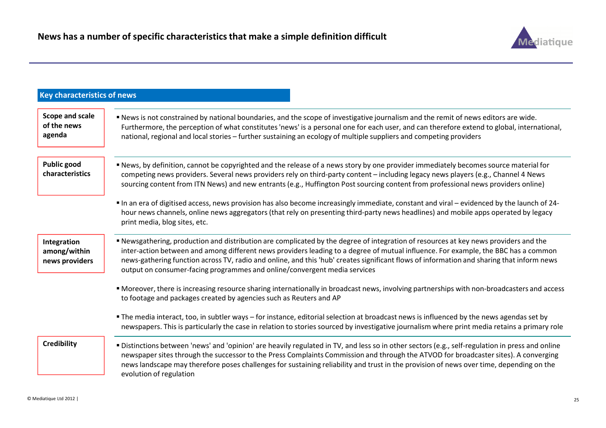

| <b>Key characteristics of news</b>            |                                                                                                                                                                                                                                                                                                                                                                                                                                                                                                    |
|-----------------------------------------------|----------------------------------------------------------------------------------------------------------------------------------------------------------------------------------------------------------------------------------------------------------------------------------------------------------------------------------------------------------------------------------------------------------------------------------------------------------------------------------------------------|
| Scope and scale<br>of the news<br>agenda      | . News is not constrained by national boundaries, and the scope of investigative journalism and the remit of news editors are wide.<br>Furthermore, the perception of what constitutes 'news' is a personal one for each user, and can therefore extend to global, international,<br>national, regional and local stories – further sustaining an ecology of multiple suppliers and competing providers                                                                                            |
| <b>Public good</b><br>characteristics         | " News, by definition, cannot be copyrighted and the release of a news story by one provider immediately becomes source material for<br>competing news providers. Several news providers rely on third-party content – including legacy news players (e.g., Channel 4 News<br>sourcing content from ITN News) and new entrants (e.g., Huffington Post sourcing content from professional news providers online)                                                                                    |
|                                               | In an era of digitised access, news provision has also become increasingly immediate, constant and viral - evidenced by the launch of 24-<br>hour news channels, online news aggregators (that rely on presenting third-party news headlines) and mobile apps operated by legacy<br>print media, blog sites, etc.                                                                                                                                                                                  |
| Integration<br>among/within<br>news providers | Rewsgathering, production and distribution are complicated by the degree of integration of resources at key news providers and the<br>inter-action between and among different news providers leading to a degree of mutual influence. For example, the BBC has a common<br>news-gathering function across TV, radio and online, and this 'hub' creates significant flows of information and sharing that inform news<br>output on consumer-facing programmes and online/convergent media services |
|                                               | • Moreover, there is increasing resource sharing internationally in broadcast news, involving partnerships with non-broadcasters and access<br>to footage and packages created by agencies such as Reuters and AP                                                                                                                                                                                                                                                                                  |
|                                               | • The media interact, too, in subtler ways – for instance, editorial selection at broadcast news is influenced by the news agendas set by<br>newspapers. This is particularly the case in relation to stories sourced by investigative journalism where print media retains a primary role                                                                                                                                                                                                         |
| <b>Credibility</b>                            | " Distinctions between 'news' and 'opinion' are heavily regulated in TV, and less so in other sectors (e.g., self-regulation in press and online<br>newspaper sites through the successor to the Press Complaints Commission and through the ATVOD for broadcaster sites). A converging<br>news landscape may therefore poses challenges for sustaining reliability and trust in the provision of news over time, depending on the<br>evolution of regulation                                      |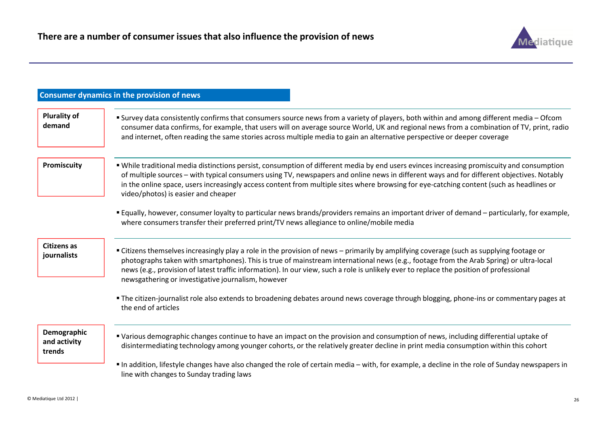

|                                       | <b>Consumer dynamics in the provision of news</b>                                                                                                                                                                                                                                                                                                                                                                                                                                   |
|---------------------------------------|-------------------------------------------------------------------------------------------------------------------------------------------------------------------------------------------------------------------------------------------------------------------------------------------------------------------------------------------------------------------------------------------------------------------------------------------------------------------------------------|
| <b>Plurality of</b><br>demand         | " Survey data consistently confirms that consumers source news from a variety of players, both within and among different media - Ofcom<br>consumer data confirms, for example, that users will on average source World, UK and regional news from a combination of TV, print, radio<br>and internet, often reading the same stories across multiple media to gain an alternative perspective or deeper coverage                                                                    |
| Promiscuity                           | " While traditional media distinctions persist, consumption of different media by end users evinces increasing promiscuity and consumption<br>of multiple sources - with typical consumers using TV, newspapers and online news in different ways and for different objectives. Notably<br>in the online space, users increasingly access content from multiple sites where browsing for eye-catching content (such as headlines or<br>video/photos) is easier and cheaper          |
|                                       | Equally, however, consumer loyalty to particular news brands/providers remains an important driver of demand – particularly, for example,<br>where consumers transfer their preferred print/TV news allegiance to online/mobile media                                                                                                                                                                                                                                               |
| <b>Citizens as</b><br>journalists     | " Citizens themselves increasingly play a role in the provision of news - primarily by amplifying coverage (such as supplying footage or<br>photographs taken with smartphones). This is true of mainstream international news (e.g., footage from the Arab Spring) or ultra-local<br>news (e.g., provision of latest traffic information). In our view, such a role is unlikely ever to replace the position of professional<br>newsgathering or investigative journalism, however |
|                                       | "The citizen-journalist role also extends to broadening debates around news coverage through blogging, phone-ins or commentary pages at<br>the end of articles                                                                                                                                                                                                                                                                                                                      |
| Demographic<br>and activity<br>trends | " Various demographic changes continue to have an impact on the provision and consumption of news, including differential uptake of<br>disintermediating technology among younger cohorts, or the relatively greater decline in print media consumption within this cohort                                                                                                                                                                                                          |
|                                       | In addition, lifestyle changes have also changed the role of certain media – with, for example, a decline in the role of Sunday newspapers in<br>line with changes to Sunday trading laws                                                                                                                                                                                                                                                                                           |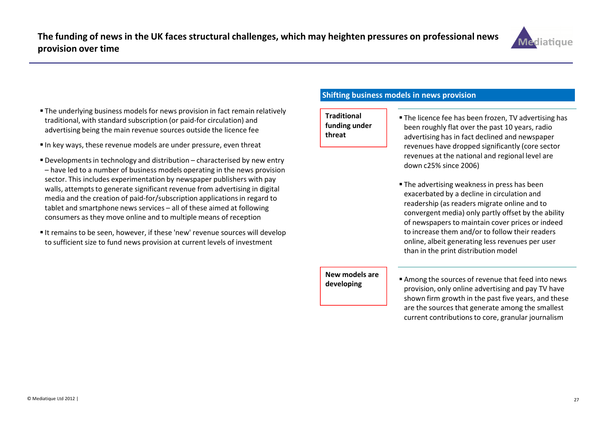

- The underlying business models for news provision in fact remain relatively traditional, with standard subscription (or paid-for circulation) and advertising being the main revenue sources outside the licence fee
- $\blacksquare$  In key ways, these revenue models are under pressure, even threat
- Developments in technology and distribution characterised by new entry – have led to a number of business models operating in the news provision sector. This includes experimentation by newspaper publishers with pay walls, attempts to generate significant revenue from advertising in digital media and the creation of paid-for/subscription applications in regard to tablet and smartphone news services – all of these aimed at following consumers as they move online and to multiple means of reception
- $\blacksquare$  It remains to be seen, however, if these 'new' revenue sources will develop to sufficient size to fund news provision at current levels of investment

#### Shifting business models in news provision

**Traditional** funding under threat

- The licence fee has been frozen, TV advertising has been roughly flat over the past 10 years, radio advertising has in fact declined and newspaper revenues have dropped significantly (core sector revenues at the national and regional level are down c25% since 2006)
- The advertising weakness in press has been exacerbated by a decline in circulation and readership (as readers migrate online and to convergent media) only partly offset by the ability of newspapers to maintain cover prices or indeed to increase them and/or to follow their readers online, albeit generating less revenues per user than in the print distribution model

#### New models are developing

 Among the sources of revenue that feed into news provision, only online advertising and pay TV have shown firm growth in the past five years, and these are the sources that generate among the smallest current contributions to core, granular journalism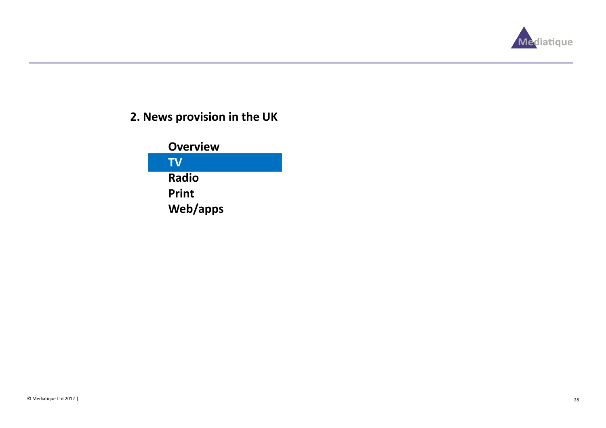

### 2. News provision in the UK

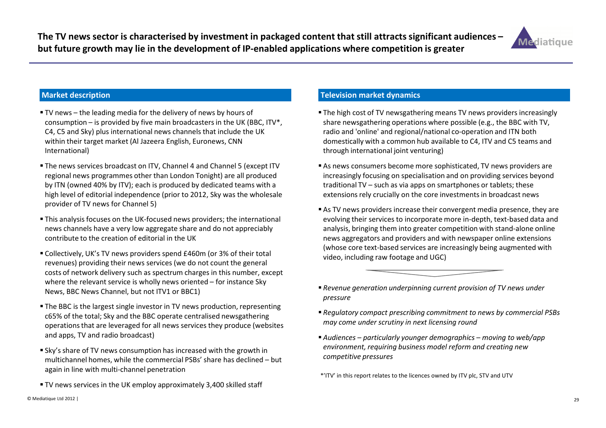

- TV news the leading media for the delivery of news by hours of consumption – is provided by five main broadcasters in the UK (BBC,  $ITV^*$ , C4, C5 and Sky) plus international news channels that include the UK within their target market (Al Jazeera English, Euronews, CNN International)
- The news services broadcast on ITV, Channel 4 and Channel 5 (except ITV regional news programmes other than London Tonight) are all produced by ITN (owned 40% by ITV); each is produced by dedicated teams with a high level of editorial independence (prior to 2012, Sky was the wholesale provider of TV news for Channel 5)
- This analysis focuses on the UK-focused news providers; the international news channels have a very low aggregate share and do not appreciably contribute to the creation of editorial in the UK
- Collectively, UK's TV news providers spend £460m (or 3% of their total revenues) providing their news services (we do not count the general costs of network delivery such as spectrum charges in this number, except where the relevant service is wholly news oriented – for instance Sky News, BBC News Channel, but not ITV1 or BBC1)
- The BBC is the largest single investor in TV news production, representing c65% of the total; Sky and the BBC operate centralised newsgathering operations that are leveraged for all news services they produce (websites and apps, TV and radio broadcast)
- Sky's share of TV news consumption has increased with the growth in multichannel homes, while the commercial PSBs' share has declined – but again in line with multi-channel penetration
- TV news services in the UK employ approximately 3,400 skilled staff

#### Television market dynamics

- The high cost of TV newsgathering means TV news providers increasingly share newsgathering operations where possible (e.g., the BBC with TV, radio and 'online' and regional/national co-operation and ITN both domestically with a common hub available to C4, ITV and C5 teams and through international joint venturing)
- As news consumers become more sophisticated, TV news providers are increasingly focusing on specialisation and on providing services beyond traditional TV – such as via apps on smartphones or tablets; these extensions rely crucially on the core investments in broadcast news
- As TV news providers increase their convergent media presence, they are evolving their services to incorporate more in-depth, text-based data and analysis, bringing them into greater competition with stand-alone online news aggregators and providers and with newspaper online extensions (whose core text-based services are increasingly being augmented with video, including raw footage and UGC)



- Regulatory compact prescribing commitment to news by commercial PSBs may come under scrutiny in next licensing round
- Audiences particularly younger demographics moving to web/app environment, requiring business model reform and creating new competitive pressures

\*'ITV' in this report relates to the licences owned by ITV plc, STV and UTV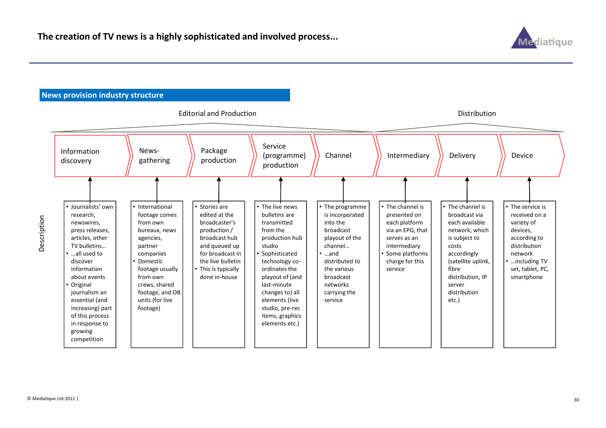

#### News provision industry structure



© Mediatique Ltd 2012 |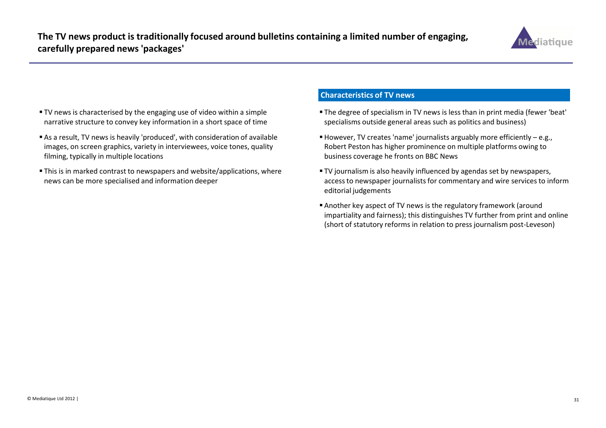

- TV news is characterised by the engaging use of video within a simple narrative structure to convey key information in a short space of time
- As a result, TV news is heavily 'produced', with consideration of available images, on screen graphics, variety in interviewees, voice tones, quality filming, typically in multiple locations
- This is in marked contrast to newspapers and website/applications, where news can be more specialised and information deeper

#### Characteristics of TV news

- The degree of specialism in TV news is less than in print media (fewer 'beat' specialisms outside general areas such as politics and business)
- $\blacksquare$  However, TV creates 'name' journalists arguably more efficiently e.g., Robert Peston has higher prominence on multiple platforms owing to business coverage he fronts on BBC News
- TV journalism is also heavily influenced by agendas set by newspapers, access to newspaper journalists for commentary and wire services to inform editorial judgements
- Another key aspect of TV news is the regulatory framework (around impartiality and fairness); this distinguishes TV further from print and online (short of statutory reforms in relation to press journalism post-Leveson)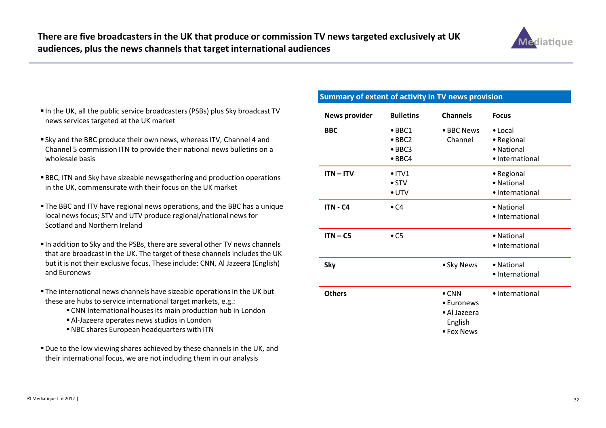

- $\blacksquare$  In the UK, all the public service broadcasters (PSBs) plus Sky broadcast TV news services targeted at the UK market
- **Sky and the BBC produce their own news, whereas ITV, Channel 4 and** Channel 5 commission ITN to provide their national news bulletins on a wholesale basis
- BBC, ITN and Sky have sizeable newsgathering and production operations in the UK, commensurate with their focus on the UK market
- The BBC and ITV have regional news operations, and the BBC has a unique local news focus; STV and UTV produce regional/national news for Scotland and Northern Ireland
- $\blacksquare$  In addition to Sky and the PSBs, there are several other TV news channels that are broadcast in the UK. The target of these channels includes the UK but it is not their exclusive focus. These include: CNN, Al Jazeera (English) and Euronews
- The international news channels have sizeable operations in the UK but these are hubs to service international target markets, e.g.:
	- CNN International houses its main production hub in London
	- Al-Jazeera operates news studios in London
	- NBC shares European headquarters with ITN
- Due to the low viewing shares achieved by these channels in the UK, and their international focus, we are not including them in our analysis

### Summary of extent of activity in TV news provision

| <b>News provider</b> | <b>Bulletins</b>                                                     | <b>Channels</b>                                                      | <b>Focus</b>                                                   |
|----------------------|----------------------------------------------------------------------|----------------------------------------------------------------------|----------------------------------------------------------------|
| <b>BBC</b>           | $\bullet$ BBC1<br>$\bullet$ BBC2<br>$\bullet$ BBC3<br>$\bullet$ BBC4 | • BBC News<br>Channel                                                | $\bullet$ Local<br>• Regional<br>• National<br>· International |
| $ITN - ITV$          | $\bullet$ ITV1<br>$\bullet$ STV<br>$\bullet$ UTV                     |                                                                      | • Regional<br>• National<br>· International                    |
| <b>ITN - C4</b>      | $\bullet$ C4                                                         |                                                                      | • National<br>• International                                  |
| $ITN - C5$           | $\bullet$ C5                                                         |                                                                      | • National<br>• International                                  |
| <b>Sky</b>           |                                                                      | • Sky News                                                           | • National<br>• International                                  |
| <b>Others</b>        |                                                                      | $\bullet$ CNN<br>• Euronews<br>· Al Jazeera<br>English<br>• Fox News | · International                                                |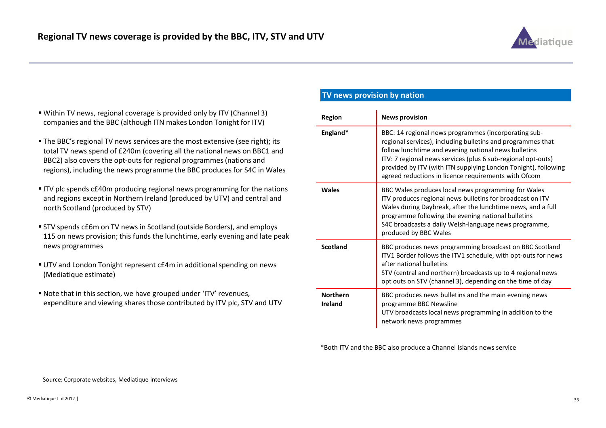

- Within TV news, regional coverage is provided only by ITV (Channel 3) companies and the BBC (although ITN makes London Tonight for ITV)
- The BBC's regional TV news services are the most extensive (see right); its total TV news spend of £240m (covering all the national news on BBC1 and BBC2) also covers the opt-outs for regional programmes (nations and regions), including the news programme the BBC produces for S4C in Wales
- ITV plc spends c£40m producing regional news programming for the nations and regions except in Northern Ireland (produced by UTV) and central and north Scotland (produced by STV)
- STV spends c£6m on TV news in Scotland (outside Borders), and employs 115 on news provision; this funds the lunchtime, early evening and late peak news programmes
- UTV and London Tonight represent c£4m in additional spending on news (Mediatique estimate)
- Note that in this section, we have grouped under 'ITV' revenues, expenditure and viewing shares those contributed by ITV plc, STV and UTV

#### TV news provision by nation

| Region                     | <b>News provision</b>                                                                                                                                                                                                                                                                                                                                                 |
|----------------------------|-----------------------------------------------------------------------------------------------------------------------------------------------------------------------------------------------------------------------------------------------------------------------------------------------------------------------------------------------------------------------|
| England*                   | BBC: 14 regional news programmes (incorporating sub-<br>regional services), including bulletins and programmes that<br>follow lunchtime and evening national news bulletins<br>ITV: 7 regional news services (plus 6 sub-regional opt-outs)<br>provided by ITV (with ITN supplying London Tonight), following<br>agreed reductions in licence requirements with Ofcom |
| <b>Wales</b>               | BBC Wales produces local news programming for Wales<br>ITV produces regional news bulletins for broadcast on ITV<br>Wales during Daybreak, after the lunchtime news, and a full<br>programme following the evening national bulletins<br>S4C broadcasts a daily Welsh-language news programme,<br>produced by BBC Wales                                               |
| <b>Scotland</b>            | BBC produces news programming broadcast on BBC Scotland<br>ITV1 Border follows the ITV1 schedule, with opt-outs for news<br>after national bulletins<br>STV (central and northern) broadcasts up to 4 regional news<br>opt outs on STV (channel 3), depending on the time of day                                                                                      |
| <b>Northern</b><br>Ireland | BBC produces news bulletins and the main evening news<br>programme BBC Newsline<br>UTV broadcasts local news programming in addition to the<br>network news programmes                                                                                                                                                                                                |

\*Both ITV and the BBC also produce a Channel Islands news service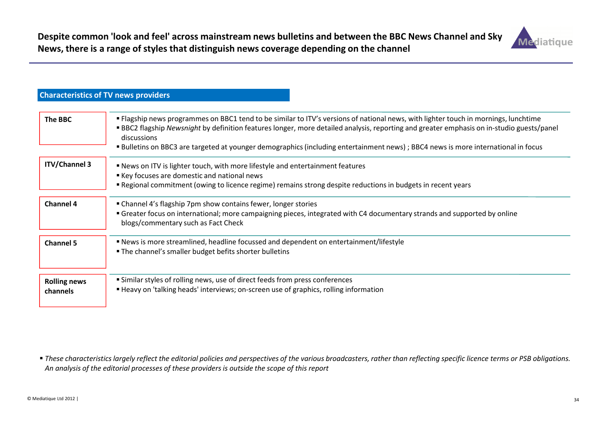

|                                 | Characteristics of TV Hews providers                                                                                                                                                                                                                                                                                                                                                                                               |
|---------------------------------|------------------------------------------------------------------------------------------------------------------------------------------------------------------------------------------------------------------------------------------------------------------------------------------------------------------------------------------------------------------------------------------------------------------------------------|
| <b>The BBC</b>                  | " Flagship news programmes on BBC1 tend to be similar to ITV's versions of national news, with lighter touch in mornings, lunchtime<br>BBC2 flagship Newsnight by definition features longer, more detailed analysis, reporting and greater emphasis on in-studio guests/panel<br>discussions<br>" Bulletins on BBC3 are targeted at younger demographics (including entertainment news); BBC4 news is more international in focus |
| <b>ITV/Channel 3</b>            | ■ News on ITV is lighter touch, with more lifestyle and entertainment features<br>Key focuses are domestic and national news<br><b>Example 1</b> Regional commitment (owing to licence regime) remains strong despite reductions in budgets in recent years                                                                                                                                                                        |
| <b>Channel 4</b>                | • Channel 4's flagship 7pm show contains fewer, longer stories<br>• Greater focus on international; more campaigning pieces, integrated with C4 documentary strands and supported by online<br>blogs/commentary such as Fact Check                                                                                                                                                                                                 |
| <b>Channel 5</b>                | <b>• News is more streamlined, headline focussed and dependent on entertainment/lifestyle</b><br>" The channel's smaller budget befits shorter bulletins                                                                                                                                                                                                                                                                           |
| <b>Rolling news</b><br>channels | " Similar styles of rolling news, use of direct feeds from press conferences<br><b>■ Heavy on 'talking heads' interviews; on-screen use of graphics, rolling information</b>                                                                                                                                                                                                                                                       |

 $\bullet$  These characteristics largely reflect the editorial policies and perspectives of the various broadcasters, rather than reflecting specific licence terms or PSB obligations. An analysis of the editorial processes of these providers is outside the scope of this report

Characteristics of TV news providers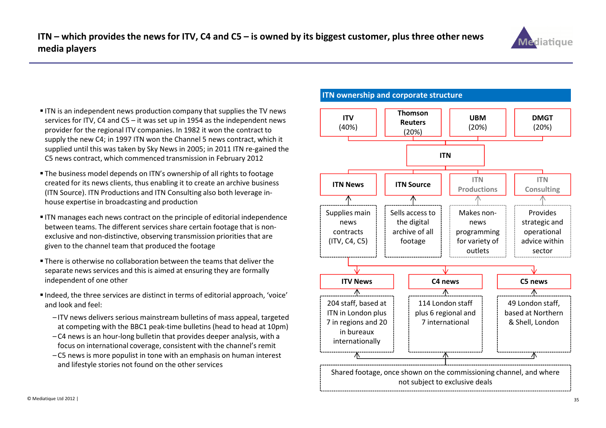

- **ITN** is an independent news production company that supplies the TV news services for ITV, C4 and C5 – it was set up in 1954 as the independent news provider for the regional ITV companies. In 1982 it won the contract to supply the new C4; in 1997 ITN won the Channel 5 news contract, which it supplied until this was taken by Sky News in 2005; in 2011 ITN re-gained the C5 news contract, which commenced transmission in February 2012
- The business model depends on ITN's ownership of all rights to footage created for its news clients, thus enabling it to create an archive business (ITN Source). ITN Productions and ITN Consulting also both leverage inhouse expertise in broadcasting and production
- **ITN** manages each news contract on the principle of editorial independence between teams. The different services share certain footage that is nonexclusive and non-distinctive, observing transmission priorities that are given to the channel team that produced the footage
- There is otherwise no collaboration between the teams that deliver the separate news services and this is aimed at ensuring they are formally independent of one other
- Indeed, the three services are distinct in terms of editorial approach, 'voice' and look and feel:
	- ITV news delivers serious mainstream bulletins of mass appeal, targeted at competing with the BBC1 peak-time bulletins (head to head at 10pm)
	- C4 news is an hour-long bulletin that provides deeper analysis, with a focus on international coverage, consistent with the channel's remit
	- C5 news is more populist in tone with an emphasis on human interest and lifestyle stories not found on the other services

#### ITN ownership and corporate structure

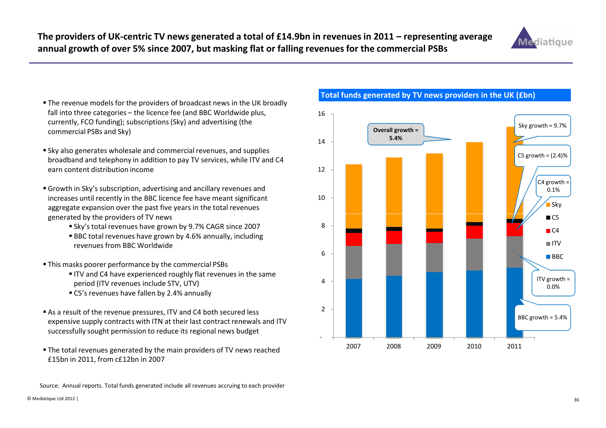

- The revenue models for the providers of broadcast news in the UK broadly fall into three categories – the licence fee (and BBC Worldwide plus, currently, FCO funding); subscriptions (Sky) and advertising (the commercial PSBs and Sky)
- $\blacksquare$  Sky also generates wholesale and commercial revenues, and supplies broadband and telephony in addition to pay TV services, while ITV and C4 earn content distribution income
- Growth in Sky's subscription, advertising and ancillary revenues and increases until recently in the BBC licence fee have meant significant aggregate expansion over the past five years in the total revenues generated by the providers of TV news
	- Sky's total revenues have grown by 9.7% CAGR since 2007
	- BBC total revenues have grown by 4.6% annually, including revenues from BBC Worldwide
- This masks poorer performance by the commercial PSBs
	- ITV and C4 have experienced roughly flat revenues in the same period (ITV revenues include STV, UTV)
	- C5's revenues have fallen by 2.4% annually
- As a result of the revenue pressures, ITV and C4 both secured less expensive supply contracts with ITN at their last contract renewals and ITV successfully sought permission to reduce its regional news budget
- The total revenues generated by the main providers of TV news reached £15bn in 2011, from c£12bn in 2007

Total funds generated by TV news providers in the UK (£bn)



Source: Annual reports. Total funds generated include all revenues accruing to each provider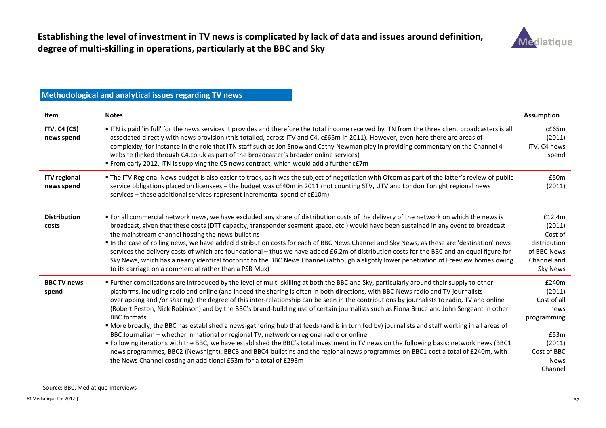

# Methodological and analytical issues regarding TV news

| Item                              | <b>Notes</b>                                                                                                                                                                                                                                                                                                                                                                                                                                                                                                                                                                                                                                                                                                                                                                                                                                                                                                                                                                                                                                                                                                                                                                                    | <b>Assumption</b>                                                                                                |
|-----------------------------------|-------------------------------------------------------------------------------------------------------------------------------------------------------------------------------------------------------------------------------------------------------------------------------------------------------------------------------------------------------------------------------------------------------------------------------------------------------------------------------------------------------------------------------------------------------------------------------------------------------------------------------------------------------------------------------------------------------------------------------------------------------------------------------------------------------------------------------------------------------------------------------------------------------------------------------------------------------------------------------------------------------------------------------------------------------------------------------------------------------------------------------------------------------------------------------------------------|------------------------------------------------------------------------------------------------------------------|
| ITV, C4 (C5)<br>news spend        | ITN is paid 'in full' for the news services it provides and therefore the total income received by ITN from the three client broadcasters is all<br>associated directly with news provision (this totalled, across ITV and C4, c£65m in 2011). However, even here there are areas of<br>complexity, for instance in the role that ITN staff such as Jon Snow and Cathy Newman play in providing commentary on the Channel 4<br>website (linked through C4.co.uk as part of the broadcaster's broader online services)<br>" From early 2012, ITN is supplying the C5 news contract, which would add a further c£7m                                                                                                                                                                                                                                                                                                                                                                                                                                                                                                                                                                               | $c$ £65 $m$<br>(2011)<br>ITV, C4 news<br>spend                                                                   |
| <b>ITV</b> regional<br>news spend | • The ITV Regional News budget is also easier to track, as it was the subject of negotiation with Ofcom as part of the latter's review of public<br>service obligations placed on licensees - the budget was c£40m in 2011 (not counting STV, UTV and London Tonight regional news<br>services - these additional services represent incremental spend of c£10m)                                                                                                                                                                                                                                                                                                                                                                                                                                                                                                                                                                                                                                                                                                                                                                                                                                | £50 <sub>m</sub><br>(2011)                                                                                       |
| <b>Distribution</b><br>costs      | " For all commercial network news, we have excluded any share of distribution costs of the delivery of the network on which the news is<br>broadcast, given that these costs (DTT capacity, transponder segment space, etc.) would have been sustained in any event to broadcast<br>the mainstream channel hosting the news bulletins<br>In the case of rolling news, we have added distribution costs for each of BBC News Channel and Sky News, as these are 'destination' news<br>services the delivery costs of which are foundational - thus we have added £6.2m of distribution costs for the BBC and an equal figure for<br>Sky News, which has a nearly identical footprint to the BBC News Channel (although a slightly lower penetration of Freeview homes owing<br>to its carriage on a commercial rather than a PSB Mux)                                                                                                                                                                                                                                                                                                                                                            | £12.4m<br>(2011)<br>Cost of<br>distribution<br>of BBC News<br>Channel and<br><b>Sky News</b>                     |
| <b>BBC TV news</b><br>spend       | " Further complications are introduced by the level of multi-skilling at both the BBC and Sky, particularly around their supply to other<br>platforms, including radio and online (and indeed the sharing is often in both directions, with BBC News radio and TV journalists<br>overlapping and /or sharing); the degree of this inter-relationship can be seen in the contributions by journalists to radio, TV and online<br>(Robert Peston, Nick Robinson) and by the BBC's brand-building use of certain journalists such as Fiona Bruce and John Sergeant in other<br><b>BBC</b> formats<br>• More broadly, the BBC has established a news-gathering hub that feeds (and is in turn fed by) journalists and staff working in all areas of<br>BBC Journalism - whether in national or regional TV, network or regional radio or online<br>" Following iterations with the BBC, we have established the BBC's total investment in TV news on the following basis: network news (BBC1<br>news programmes, BBC2 (Newsnight), BBC3 and BBC4 bulletins and the regional news programmes on BBC1 cost a total of £240m, with<br>the News Channel costing an additional £53m for a total of £293m | £240m<br>(2011)<br>Cost of all<br>news<br>programming<br>£53m<br>(2011)<br>Cost of BBC<br><b>News</b><br>Channel |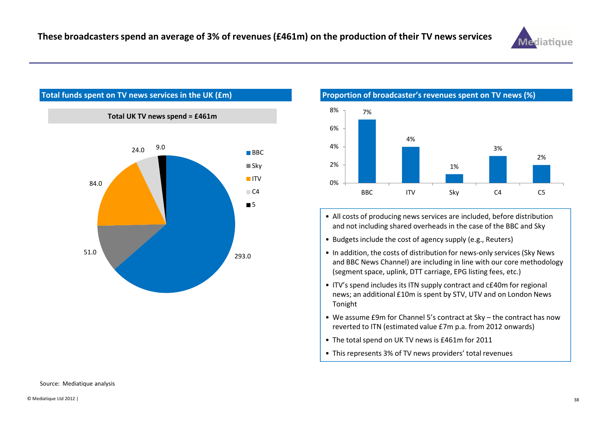



Total funds spent on TV news services in the UK (£m)



- All costs of producing news services are included, before distribution and not including shared overheads in the case of the BBC and Sky
- Budgets include the cost of agency supply (e.g., Reuters)
- In addition, the costs of distribution for news-only services (Sky News and BBC News Channel) are including in line with our core methodology (segment space, uplink, DTT carriage, EPG listing fees, etc.)
- ITV's spend includes its ITN supply contract and c£40m for regional news; an additional £10m is spent by STV, UTV and on London News Tonight
- We assume £9m for Channel 5's contract at Sky the contract has now reverted to ITN (estimated value £7m p.a. from 2012 onwards)
- The total spend on UK TV news is £461m for 2011
- This represents 3% of TV news providers' total revenues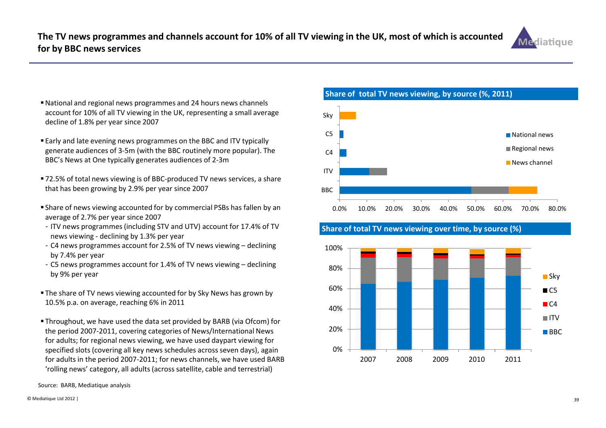

- National and regional news programmes and 24 hours news channels account for 10% of all TV viewing in the UK, representing a small average decline of 1.8% per year since 2007
- Early and late evening news programmes on the BBC and ITV typically generate audiences of 3-5m (with the BBC routinely more popular). The BBC's News at One typically generates audiences of 2-3m
- 72.5% of total news viewing is of BBC-produced TV news services, a share that has been growing by 2.9% per year since 2007
- Share of news viewing accounted for by commercial PSBs has fallen by an average of 2.7% per year since 2007
- ITV news programmes (including STV and UTV) account for 17.4% of TV news viewing - declining by 1.3% per year
- C4 news programmes account for 2.5% of TV news viewing declining by 7.4% per year
- C5 news programmes account for 1.4% of TV news viewing declining by 9% per year
- The share of TV news viewing accounted for by Sky News has grown by 10.5% p.a. on average, reaching 6% in 2011
- Throughout, we have used the data set provided by BARB (via Ofcom) for the period 2007-2011, covering categories of News/International News for adults; for regional news viewing, we have used daypart viewing for specified slots (covering all key news schedules across seven days), again for adults in the period 2007-2011; for news channels, we have used BARB 'rolling news' category, all adults (across satellite, cable and terrestrial)



Share of total TV news viewing over time, by source (%)

Share of total TV news viewing, by source (%, 2011)



Source: BARB, Mediatique analysis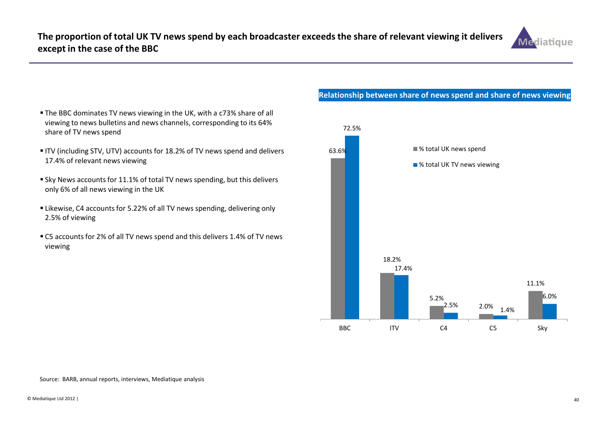

- The BBC dominates TV news viewing in the UK, with a c73% share of all viewing to news bulletins and news channels, corresponding to its 64% share of TV news spend
- ITV (including STV, UTV) accounts for 18.2% of TV news spend and delivers 17.4% of relevant news viewing
- Sky News accounts for 11.1% of total TV news spending, but this delivers only 6% of all news viewing in the UK
- Likewise, C4 accounts for 5.22% of all TV news spending, delivering only 2.5% of viewing
- C5 accounts for 2% of all TV news spend and this delivers 1.4% of TV news viewing

# Relationship between share of news spend and share of news viewing



#### Source: BARB, annual reports, interviews, Mediatique analysis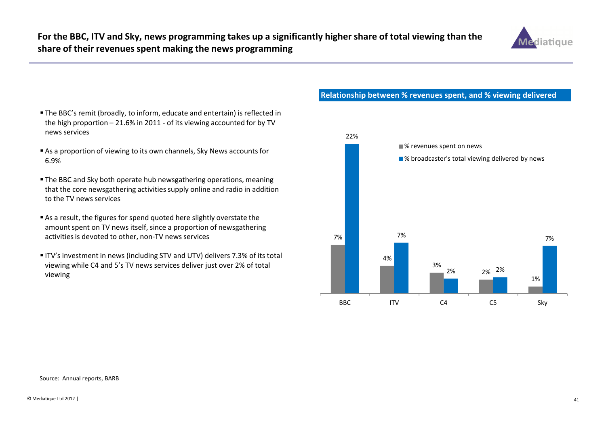

- The BBC's remit (broadly, to inform, educate and entertain) is reflected in the high proportion – 21.6% in 2011 - of its viewing accounted for by TV news services
- As a proportion of viewing to its own channels, Sky News accounts for 6.9%
- The BBC and Sky both operate hub newsgathering operations, meaning that the core newsgathering activities supply online and radio in addition to the TV news services
- As a result, the figures for spend quoted here slightly overstate the amount spent on TV news itself, since a proportion of newsgathering activities is devoted to other, non-TV news services
- ITV's investment in news (including STV and UTV) delivers 7.3% of its total viewing while C4 and 5's TV news services deliver just over 2% of total viewing

#### Relationship between % revenues spent, and % viewing delivered

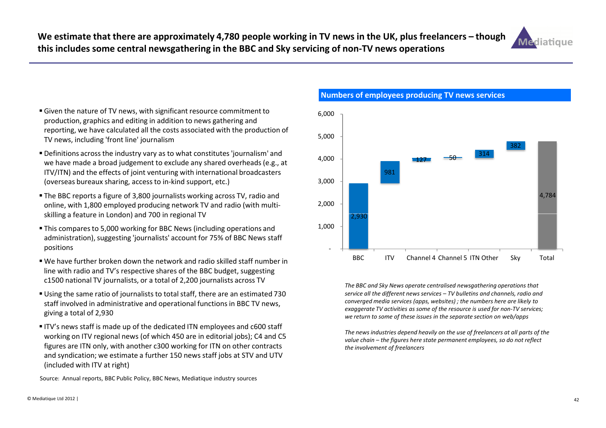

- Given the nature of TV news, with significant resource commitment to production, graphics and editing in addition to news gathering and reporting, we have calculated all the costs associated with the production of TV news, including 'front line' journalism
- Definitions across the industry vary as to what constitutes 'journalism' and we have made a broad judgement to exclude any shared overheads (e.g., at ITV/ITN) and the effects of joint venturing with international broadcasters (overseas bureaux sharing, access to in-kind support, etc.)
- The BBC reports a figure of 3,800 journalists working across TV, radio and online, with 1,800 employed producing network TV and radio (with multiskilling a feature in London) and 700 in regional TV
- This compares to 5,000 working for BBC News (including operations and administration), suggesting 'journalists' account for 75% of BBC News staff positions
- We have further broken down the network and radio skilled staff number in line with radio and TV's respective shares of the BBC budget, suggesting c1500 national TV journalists, or a total of 2,200 journalists across TV
- Using the same ratio of journalists to total staff, there are an estimated 730 staff involved in administrative and operational functions in BBC TV news, giving a total of 2,930
- ITV's news staff is made up of the dedicated ITN employees and c600 staff working on ITV regional news (of which 450 are in editorial jobs); C4 and C5 figures are ITN only, with another c300 working for ITN on other contracts and syndication; we estimate a further 150 news staff jobs at STV and UTV (included with ITV at right)

Source: Annual reports, BBC Public Policy, BBC News, Mediatique industry sources

 $V = \begin{bmatrix} 2,930 \\ 2,930 \end{bmatrix}$ 981127 $7 - 50 - 314$ 3824,784 2,000 3,000 4,000 5,000 6,000 -1,000

Numbers of employees producing TV news services

The BBC and Sky News operate centralised newsgathering operations that service all the different news services – TV bulletins and channels, radio and converged media services (apps, websites) ; the numbers here are likely to exaggerate TV activities as some of the resource is used for non-TV services; we return to some of these issues in the separate section on web/apps

BBC ITV Channel 4 Channel 5 ITN Other Sky Total

The news industries depend heavily on the use of freelancers at all parts of the value chain – the figures here state permanent employees, so do not reflect the involvement of freelancers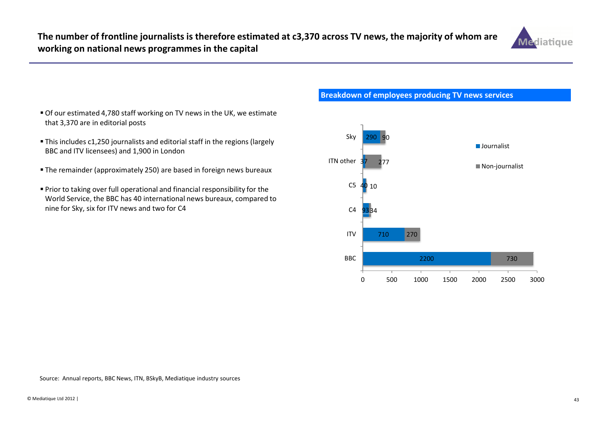

- Of our estimated 4,780 staff working on TV news in the UK, we estimate that 3,370 are in editorial posts
- This includes c1,250 journalists and editorial staff in the regions (largely BBC and ITV licensees) and 1,900 in London
- The remainder (approximately 250) are based in foreign news bureaux
- Prior to taking over full operational and financial responsibility for the World Service, the BBC has 40 international news bureaux, compared to nine for Sky, six for ITV news and two for C44 C4 93



## Breakdown of employees producing TV news services

Source: Annual reports, BBC News, ITN, BSkyB, Mediatique industry sources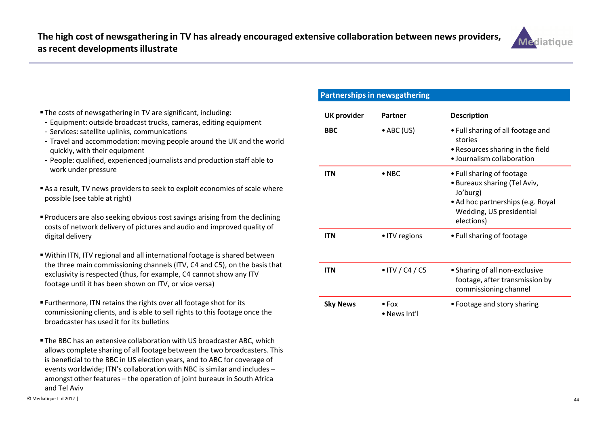

- The costs of newsgathering in TV are significant, including:
- Equipment: outside broadcast trucks, cameras, editing equipment
- Services: satellite uplinks, communications
- Travel and accommodation: moving people around the UK and the world quickly, with their equipment
- People: qualified, experienced journalists and production staff able to work under pressure
- As a result, TV news providers to seek to exploit economies of scale where possible (see table at right)
- Producers are also seeking obvious cost savings arising from the declining costs of network delivery of pictures and audio and improved quality of digital delivery
- Within ITN, ITV regional and all international footage is shared between the three main commissioning channels (ITV, C4 and C5), on the basis that exclusivity is respected (thus, for example, C4 cannot show any ITV footage until it has been shown on ITV, or vice versa)
- Furthermore, ITN retains the rights over all footage shot for its commissioning clients, and is able to sell rights to this footage once the broadcaster has used it for its bulletins
- The BBC has an extensive collaboration with US broadcaster ABC, which allows complete sharing of all footage between the two broadcasters. This is beneficial to the BBC in US election years, and to ABC for coverage of events worldwide; ITN's collaboration with NBC is similar and includes – amongst other features – the operation of joint bureaux in South Africa and Tel Aviv

## Partnerships in newsgathering

| <b>UK provider</b> | Partner                       | <b>Description</b>                                                                                                                                   |
|--------------------|-------------------------------|------------------------------------------------------------------------------------------------------------------------------------------------------|
| <b>BBC</b>         | $\bullet$ ABC (US)            | • Full sharing of all footage and<br>stories<br>• Resources sharing in the field<br>• Journalism collaboration                                       |
| <b>ITN</b>         | $\bullet$ NBC                 | • Full sharing of footage<br>• Bureaux sharing (Tel Aviv,<br>Jo'burg)<br>• Ad hoc partnerships (e.g. Royal<br>Wedding, US presidential<br>elections) |
| <b>ITN</b>         | • ITV regions                 | • Full sharing of footage                                                                                                                            |
| <b>ITN</b>         | $\bullet$ ITV / C4 / C5       | • Sharing of all non-exclusive<br>footage, after transmission by<br>commissioning channel                                                            |
| <b>Sky News</b>    | $\bullet$ Fox<br>• News Int'l | • Footage and story sharing                                                                                                                          |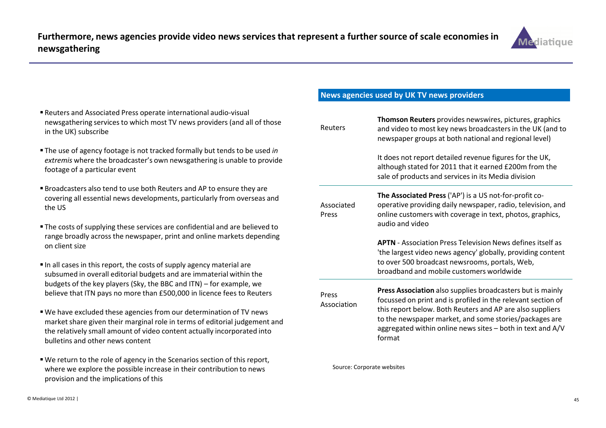

- Reuters and Associated Press operate international audio-visual newsgathering services to which most TV news providers (and all of those in the UK) subscribe
- **The use of agency footage is not tracked formally but tends to be used in** extremis where the broadcaster's own newsgathering is unable to provide footage of a particular event
- Broadcasters also tend to use both Reuters and AP to ensure they are covering all essential news developments, particularly from overseas and the US
- The costs of supplying these services are confidential and are believed to range broadly across the newspaper, print and online markets depending on client size
- $\blacksquare$  In all cases in this report, the costs of supply agency material are subsumed in overall editorial budgets and are immaterial within the budgets of the key players (Sky, the BBC and ITN) – for example, we believe that ITN pays no more than £500,000 in licence fees to Reuters
- We have excluded these agencies from our determination of TV news market share given their marginal role in terms of editorial judgement and the relatively small amount of video content actually incorporated into bulletins and other news content
- We return to the role of agency in the Scenarios section of this report, where we explore the possible increase in their contribution to news provision and the implications of this

## News agencies used by UK TV news providers

| Thomson Reuters provides newswires, pictures, graphics<br>Reuters<br>and video to most key news broadcasters in the UK (and to<br>newspaper groups at both national and regional level) |                                                                                                                                                                                                                                                                                                                           |  |  |
|-----------------------------------------------------------------------------------------------------------------------------------------------------------------------------------------|---------------------------------------------------------------------------------------------------------------------------------------------------------------------------------------------------------------------------------------------------------------------------------------------------------------------------|--|--|
|                                                                                                                                                                                         | It does not report detailed revenue figures for the UK,<br>although stated for 2011 that it earned £200m from the<br>sale of products and services in its Media division                                                                                                                                                  |  |  |
| Associated<br>Press                                                                                                                                                                     | The Associated Press ('AP') is a US not-for-profit co-<br>operative providing daily newspaper, radio, television, and<br>online customers with coverage in text, photos, graphics,<br>audio and video                                                                                                                     |  |  |
|                                                                                                                                                                                         | <b>APTN</b> - Association Press Television News defines itself as<br>'the largest video news agency' globally, providing content<br>to over 500 broadcast newsrooms, portals, Web,<br>broadband and mobile customers worldwide                                                                                            |  |  |
| Press<br>Association                                                                                                                                                                    | Press Association also supplies broadcasters but is mainly<br>focussed on print and is profiled in the relevant section of<br>this report below. Both Reuters and AP are also suppliers<br>to the newspaper market, and some stories/packages are<br>aggregated within online news sites - both in text and A/V<br>format |  |  |

Source: Corporate websites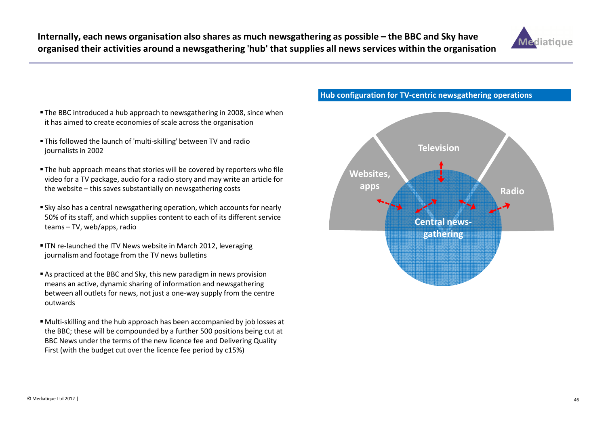

- The BBC introduced a hub approach to newsgathering in 2008, since when it has aimed to create economies of scale across the organisation
- This followed the launch of 'multi-skilling' between TV and radio journalists in 2002
- The hub approach means that stories will be covered by reporters who file video for a TV package, audio for a radio story and may write an article for the website – this saves substantially on newsgathering costs
- Sky also has a central newsgathering operation, which accounts for nearly 50% of its staff, and which supplies content to each of its different service teams – TV, web/apps, radio
- ITN re-launched the ITV News website in March 2012, leveraging journalism and footage from the TV news bulletins
- As practiced at the BBC and Sky, this new paradigm in news provision means an active, dynamic sharing of information and newsgathering between all outlets for news, not just a one-way supply from the centre outwards
- Multi-skilling and the hub approach has been accompanied by job losses at the BBC; these will be compounded by a further 500 positions being cut at BBC News under the terms of the new licence fee and Delivering Quality First (with the budget cut over the licence fee period by c15%)

Hub configuration for TV-centric newsgathering operations

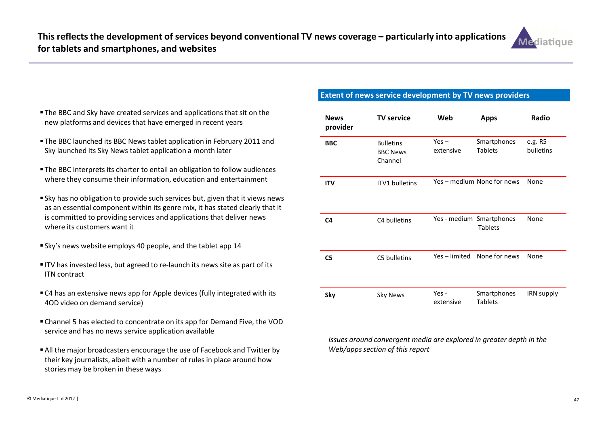

- The BBC and Sky have created services and applications that sit on the new platforms and devices that have emerged in recent years
- The BBC launched its BBC News tablet application in February 2011 and Sky launched its Sky News tablet application a month later
- The BBC interprets its charter to entail an obligation to follow audiences where they consume their information, education and entertainment
- Sky has no obligation to provide such services but, given that it views news as an essential component within its genre mix, it has stated clearly that it is committed to providing services and applications that deliver news where its customers want it
- Sky's news website employs 40 people, and the tablet app 14
- ITV has invested less, but agreed to re-launch its news site as part of its ITN contract
- C4 has an extensive news app for Apple devices (fully integrated with its 4OD video on demand service)
- Channel 5 has elected to concentrate on its app for Demand Five, the VOD service and has no news service application available
- All the major broadcasters encourage the use of Facebook and Twitter by their key journalists, albeit with a number of rules in place around how stories may be broken in these ways

## Extent of news service development by TV news providers

| <b>News</b><br>provider | <b>TV service</b>                              | Web                  | <b>Apps</b>                                | Radio                |
|-------------------------|------------------------------------------------|----------------------|--------------------------------------------|----------------------|
| <b>BBC</b>              | <b>Bulletins</b><br><b>BBC News</b><br>Channel | $Yes -$<br>extensive | Smartphones<br><b>Tablets</b>              | e.g. R5<br>bulletins |
| <b>ITV</b>              | <b>ITV1</b> bulletins                          |                      | Yes - medium None for news                 | None                 |
| C4                      | C4 bulletins                                   |                      | Yes - medium Smartphones<br><b>Tablets</b> | None                 |
| C5                      | C5 bulletins                                   | Yes - limited        | None for news                              | None                 |
| Sky                     | <b>Sky News</b>                                | Yes -<br>extensive   | Smartphones<br><b>Tablets</b>              | IRN supply           |

Issues around convergent media are explored in greater depth in the Web/apps section of this report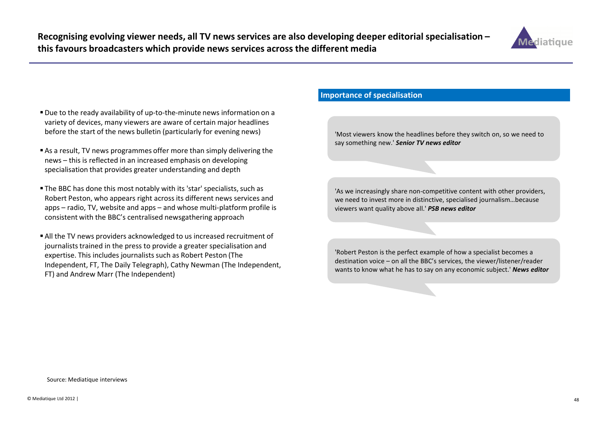

- Due to the ready availability of up-to-the-minute news information on a variety of devices, many viewers are aware of certain major headlines before the start of the news bulletin (particularly for evening news)
- As a result, TV news programmes offer more than simply delivering the news – this is reflected in an increased emphasis on developing specialisation that provides greater understanding and depth
- The BBC has done this most notably with its 'star' specialists, such as Robert Peston, who appears right across its different news services and apps – radio, TV, website and apps – and whose multi-platform profile is consistent with the BBC's centralised newsgathering approach
- All the TV news providers acknowledged to us increased recruitment of journalists trained in the press to provide a greater specialisation and expertise. This includes journalists such as Robert Peston (The Independent, FT, The Daily Telegraph), Cathy Newman (The Independent, FT) and Andrew Marr (The Independent)

## Importance of specialisation

'Most viewers know the headlines before they switch on, so we need to say something new.' Senior TV news editor

'As we increasingly share non-competitive content with other providers, we need to invest more in distinctive, specialised journalism…because viewers want quality above all.' PSB news editor

'Robert Peston is the perfect example of how a specialist becomes a destination voice – on all the BBC's services, the viewer/listener/reader wants to know what he has to say on any economic subject.' News editor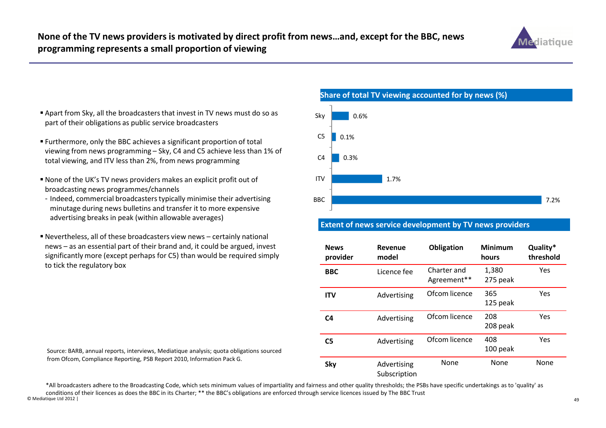

- $\blacksquare$  Apart from Sky, all the broadcasters that invest in TV news must do so as part of their obligations as public service broadcasters
- Furthermore, only the BBC achieves a significant proportion of total viewing from news programming – Sky, C4 and C5 achieve less than 1% of total viewing, and ITV less than 2%, from news programming
- None of the UK's TV news providers makes an explicit profit out of broadcasting news programmes/channels
- Indeed, commercial broadcasters typically minimise their advertising minutage during news bulletins and transfer it to more expensive advertising breaks in peak (within allowable averages)
- Nevertheless, all of these broadcasters view news certainly national news – as an essential part of their brand and, it could be argued, invest significantly more (except perhaps for C5) than would be required simply to tick the regulatory box



7.2%1.7%0.3%0.1%0.6%BBCITV $C<sub>4</sub>$ C5SkyShare of total TV viewing accounted for by news (%)

## Extent of news service development by TV news providers

| <b>News</b><br>provider | Revenue<br>model            | Obligation                 | <b>Minimum</b><br>hours | Quality*<br>threshold |
|-------------------------|-----------------------------|----------------------------|-------------------------|-----------------------|
| <b>BBC</b>              | Licence fee                 | Charter and<br>Agreement** | 1,380<br>275 peak       | Yes                   |
| <b>ITV</b>              | Advertising                 | Ofcom licence              | 365<br>125 peak         | Yes                   |
| C <sub>4</sub>          | Advertising                 | Ofcom licence              | 208<br>208 peak         | Yes                   |
| C <sub>5</sub>          | Advertising                 | Ofcom licence              | 408<br>100 peak         | Yes                   |
| Sky                     | Advertising<br>Subscription | None                       | None                    | None                  |

© Mediatique Ltd 2012 |<u>ago de la contrada de la contrada de la contrada de la contrada de la contrada de la contrada de la contrada d</u> \*All broadcasters adhere to the Broadcasting Code, which sets minimum values of impartiality and fairness and other quality thresholds; the PSBs have specific undertakings as to 'quality' as conditions of their licences as does the BBC in its Charter; \*\* the BBC's obligations are enforced through service licences issued by The BBC Trust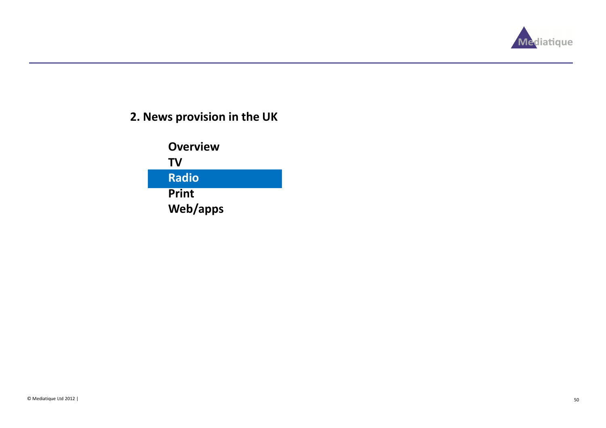

# 2. News provision in the UK

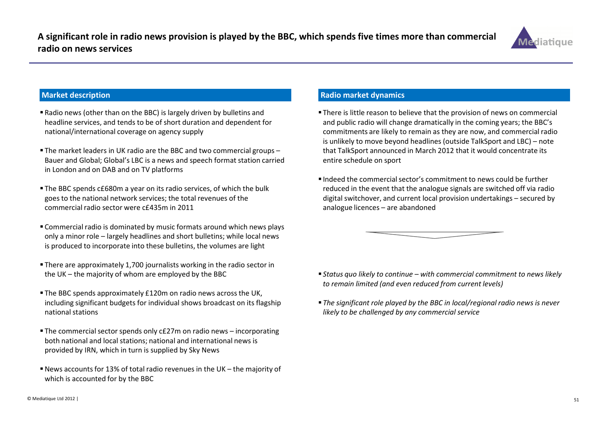

#### Market description

- Radio news (other than on the BBC) is largely driven by bulletins and headline services, and tends to be of short duration and dependent for national/international coverage on agency supply
- The market leaders in UK radio are the BBC and two commercial groups – Bauer and Global; Global's LBC is a news and speech format station carried in London and on DAB and on TV platforms
- The BBC spends c£680m a year on its radio services, of which the bulk goes to the national network services; the total revenues of the commercial radio sector were c£435m in 2011
- Commercial radio is dominated by music formats around which news plays only a minor role – largely headlines and short bulletins; while local news is produced to incorporate into these bulletins, the volumes are light
- There are approximately 1,700 journalists working in the radio sector in the UK – the majority of whom are employed by the BBC
- The BBC spends approximately £120m on radio news across the UK, including significant budgets for individual shows broadcast on its flagship national stations
- The commercial sector spends only c£27m on radio news incorporating both national and local stations; national and international news is provided by IRN, which in turn is supplied by Sky News
- News accounts for 13% of total radio revenues in the UK the majority of which is accounted for by the BBC

#### Radio market dynamics

- There is little reason to believe that the provision of news on commercial and public radio will change dramatically in the coming years; the BBC's commitments are likely to remain as they are now, and commercial radio is unlikely to move beyond headlines (outside TalkSport and LBC) – note that TalkSport announced in March 2012 that it would concentrate its entire schedule on sport
- $\blacksquare$  Indeed the commercial sector's commitment to news could be further reduced in the event that the analogue signals are switched off via radio digital switchover, and current local provision undertakings – secured by analogue licences – are abandoned



- $\blacksquare$  Status quo likely to continue with commercial commitment to news likely to remain limited (and even reduced from current levels)
- The significant role played by the BBC in local/regional radio news is never likely to be challenged by any commercial service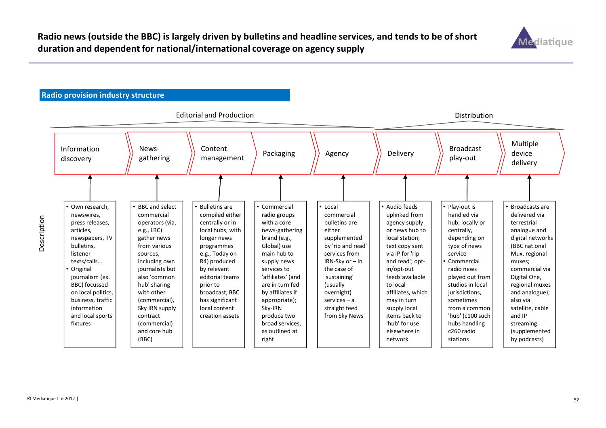

## Radio provision industry structure

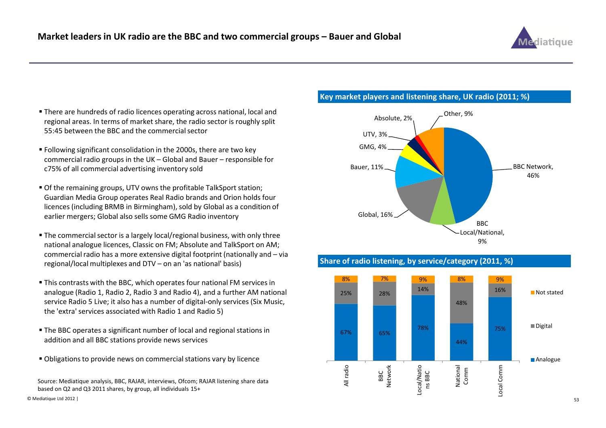

- There are hundreds of radio licences operating across national, local and regional areas. In terms of market share, the radio sector is roughly split 55:45 between the BBC and the commercial sector
- Following significant consolidation in the 2000s, there are two key commercial radio groups in the UK – Global and Bauer – responsible for c75% of all commercial advertising inventory sold
- Of the remaining groups, UTV owns the profitable TalkSport station; Guardian Media Group operates Real Radio brands and Orion holds four licences (including BRMB in Birmingham), sold by Global as a condition of earlier mergers; Global also sells some GMG Radio inventory
- The commercial sector is a largely local/regional business, with only three national analogue licences, Classic on FM; Absolute and TalkSport on AM; commercial radio has a more extensive digital footprint (nationally and – via regional/local multiplexes and DTV – on an 'as national' basis)
- This contrasts with the BBC, which operates four national FM services in analogue (Radio 1, Radio 2, Radio 3 and Radio 4), and a further AM national service Radio 5 Live; it also has a number of digital-only services (Six Music, the 'extra' services associated with Radio 1 and Radio 5)
- The BBC operates a significant number of local and regional stations in addition and all BBC stations provide news services
- Obligations to provide news on commercial stations vary by licence

Source: Mediatique analysis, BBC, RAJAR, interviews, Ofcom; RAJAR listening share databased on Q2 and Q3 2011 shares, by group, all individuals 15+

#### Key market players and listening share, UK radio (2011; %)







© Mediatique Ltd 2012 |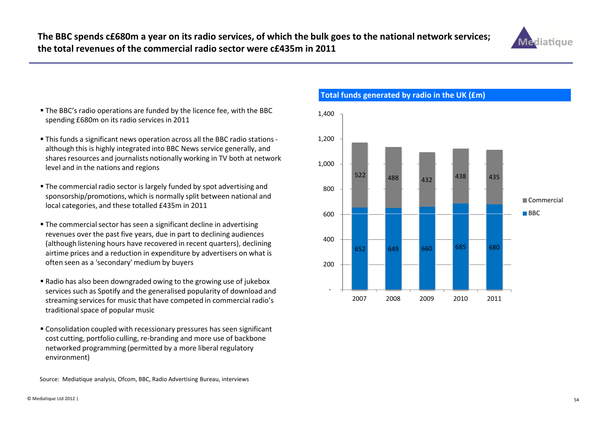

- The BBC's radio operations are funded by the licence fee, with the BBC spending £680m on its radio services in 2011
- This funds a significant news operation across all the BBC radio stations although this is highly integrated into BBC News service generally, and shares resources and journalists notionally working in TV both at network level and in the nations and regions
- The commercial radio sector is largely funded by spot advertising and sponsorship/promotions, which is normally split between national and local categories, and these totalled £435m in 2011
- The commercial sector has seen a significant decline in advertising revenues over the past five years, due in part to declining audiences (although listening hours have recovered in recent quarters), declining airtime prices and a reduction in expenditure by advertisers on what is often seen as a 'secondary' medium by buyers
- Radio has also been downgraded owing to the growing use of jukebox services such as Spotify and the generalised popularity of download and streaming services for music that have competed in commercial radio's traditional space of popular music
- Consolidation coupled with recessionary pressures has seen significant cost cutting, portfolio culling, re-branding and more use of backbone networked programming (permitted by a more liberal regulatory environment)

Source: Mediatique analysis, Ofcom, BBC, Radio Advertising Bureau, interviews



# Total funds generated by radio in the UK (£m)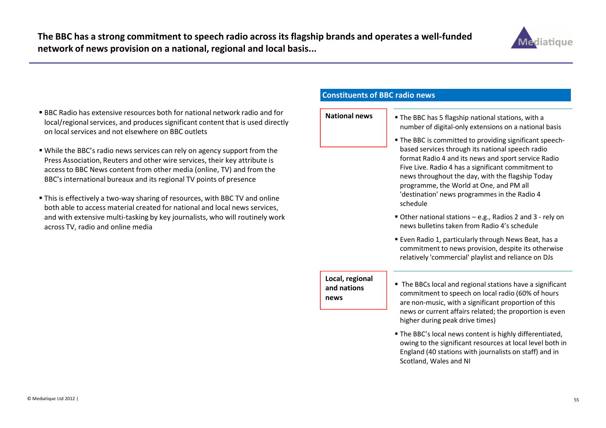

- BBC Radio has extensive resources both for national network radio and for local/regional services, and produces significant content that is used directly on local services and not elsewhere on BBC outlets
- While the BBC's radio news services can rely on agency support from the Press Association, Reuters and other wire services, their key attribute is access to BBC News content from other media (online, TV) and from the BBC's international bureaux and its regional TV points of presence
- This is effectively a two-way sharing of resources, with BBC TV and online both able to access material created for national and local news services, and with extensive multi-tasking by key journalists, who will routinely workacross TV, radio and online media

### Constituents of BBC radio news

# National news

- **S** Fine BBC has 5 flagship national stations, with a number of digital-only extensions on a national basis
	- The BBC is committed to providing significant speechbased services through its national speech radio format Radio 4 and its news and sport service RadioFive Live. Radio 4 has a significant commitment to news throughout the day, with the flagship Today programme, the World at One, and PM all 'destination' news programmes in the Radio 4 schedule
	- Other national stations e.g., Radios 2 and 3 rely on news bulletins taken from Radio 4's schedule
	- Even Radio 1, particularly through News Beat, has a commitment to news provision, despite its otherwiserelatively 'commercial' playlist and reliance on DJs

#### Local, regional and nations news

- The BBCs local and regional stations have a significant commitment to speech on local radio (60% of hours are non-music, with a significant proportion of this news or current affairs related; the proportion is even higher during peak drive times)
- The BBC's local news content is highly differentiated, owing to the significant resources at local level both in England (40 stations with journalists on staff) and in Scotland, Wales and NI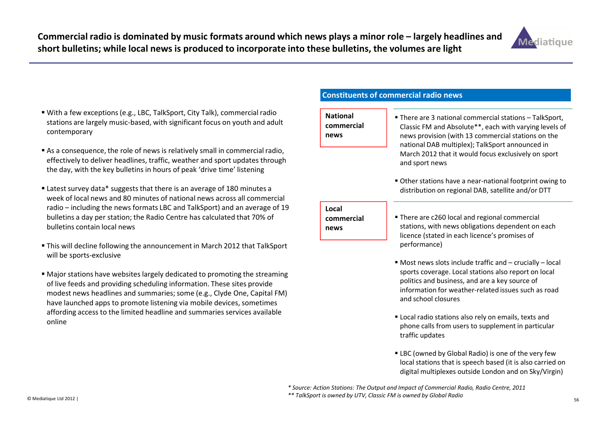

- With a few exceptions (e.g., LBC, TalkSport, City Talk), commercial radio stations are largely music-based, with significant focus on youth and adult contemporary
- As a consequence, the role of news is relatively small in commercial radio, effectively to deliver headlines, traffic, weather and sport updates through the day, with the key bulletins in hours of peak 'drive time' listening
- Latest survey data\* suggests that there is an average of 180 minutes a week of local news and 80 minutes of national news across all commercial radio – including the news formats LBC and TalkSport) and an average of 19 bulletins a day per station; the Radio Centre has calculated that 70% of bulletins contain local news
- This will decline following the announcement in March 2012 that TalkSport will be sports-exclusive
- Major stations have websites largely dedicated to promoting the streaming of live feeds and providing scheduling information. These sites provide modest news headlines and summaries; some (e.g., Clyde One, Capital FM) have launched apps to promote listening via mobile devices, sometimes affording access to the limited headline and summaries services available online

## Constituents of commercial radio news

## National commercial news

- There are 3 national commercial stations TalkSport, Classic FM and Absolute\*\*, each with varying levels of news provision (with 13 commercial stations on the national DAB multiplex); TalkSport announced in March 2012 that it would focus exclusively on sportand sport news
- Other stations have a near-national footprint owing to distribution on regional DAB, satellite and/or DTT

#### Local commercial

news

- There are c260 local and regional commercial stations, with news obligations dependent on each licence (stated in each licence's promises of performance)
- Most news slots include traffic and crucially local sports coverage. Local stations also report on localpolitics and business, and are a key source of information for weather-related issues such as roadand school closures
- Local radio stations also rely on emails, texts and phone calls from users to supplement in particular traffic updates
- LBC (owned by Global Radio) is one of the very few local stations that is speech based (it is also carried on digital multiplexes outside London and on Sky/Virgin)

 $\sim$  56 \* Source: Action Stations: The Output and Impact of Commercial Radio, Radio Centre, 2011\*\* TalkSport is owned by UTV, Classic FM is owned by Global Radio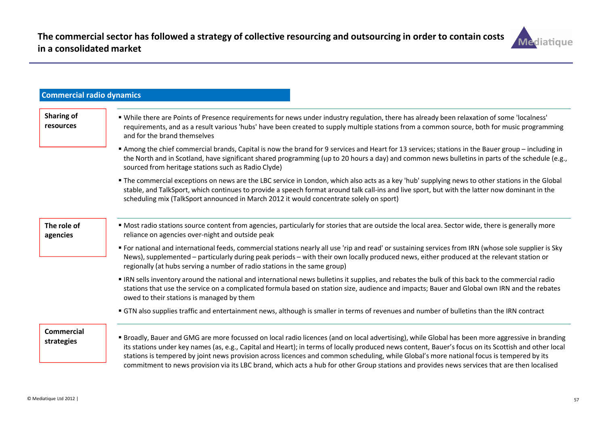

| <b>Commercial radio dynamics</b> |                                                                                                                                                                                                                                                                                                                                                                                                                                                                                                                                                                                                       |
|----------------------------------|-------------------------------------------------------------------------------------------------------------------------------------------------------------------------------------------------------------------------------------------------------------------------------------------------------------------------------------------------------------------------------------------------------------------------------------------------------------------------------------------------------------------------------------------------------------------------------------------------------|
| <b>Sharing of</b><br>resources   | " While there are Points of Presence requirements for news under industry regulation, there has already been relaxation of some 'localness'<br>requirements, and as a result various 'hubs' have been created to supply multiple stations from a common source, both for music programming<br>and for the brand themselves                                                                                                                                                                                                                                                                            |
|                                  | Among the chief commercial brands, Capital is now the brand for 9 services and Heart for 13 services; stations in the Bauer group – including in<br>the North and in Scotland, have significant shared programming (up to 20 hours a day) and common news bulletins in parts of the schedule (e.g.,<br>sourced from heritage stations such as Radio Clyde)                                                                                                                                                                                                                                            |
|                                  | • The commercial exceptions on news are the LBC service in London, which also acts as a key 'hub' supplying news to other stations in the Global<br>stable, and TalkSport, which continues to provide a speech format around talk call-ins and live sport, but with the latter now dominant in the<br>scheduling mix (TalkSport announced in March 2012 it would concentrate solely on sport)                                                                                                                                                                                                         |
| The role of<br>agencies          | " Most radio stations source content from agencies, particularly for stories that are outside the local area. Sector wide, there is generally more<br>reliance on agencies over-night and outside peak                                                                                                                                                                                                                                                                                                                                                                                                |
|                                  | " For national and international feeds, commercial stations nearly all use 'rip and read' or sustaining services from IRN (whose sole supplier is Sky<br>News), supplemented - particularly during peak periods - with their own locally produced news, either produced at the relevant station or<br>regionally (at hubs serving a number of radio stations in the same group)                                                                                                                                                                                                                       |
|                                  | IRN sells inventory around the national and international news bulletins it supplies, and rebates the bulk of this back to the commercial radio<br>stations that use the service on a complicated formula based on station size, audience and impacts; Bauer and Global own IRN and the rebates<br>owed to their stations is managed by them                                                                                                                                                                                                                                                          |
|                                  | • GTN also supplies traffic and entertainment news, although is smaller in terms of revenues and number of bulletins than the IRN contract                                                                                                                                                                                                                                                                                                                                                                                                                                                            |
| <b>Commercial</b><br>strategies  | " Broadly, Bauer and GMG are more focussed on local radio licences (and on local advertising), while Global has been more aggressive in branding<br>its stations under key names (as, e.g., Capital and Heart); in terms of locally produced news content, Bauer's focus on its Scottish and other local<br>stations is tempered by joint news provision across licences and common scheduling, while Global's more national focus is tempered by its<br>commitment to news provision via its LBC brand, which acts a hub for other Group stations and provides news services that are then localised |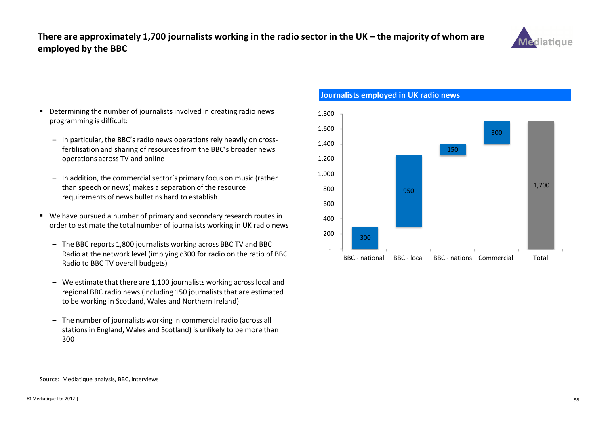

- Determining the number of journalists involved in creating radio news programming is difficult:
	- In particular, the BBC's radio news operations rely heavily on crossfertilisation and sharing of resources from the BBC's broader news operations across TV and online
	- In addition, the commercial sector's primary focus on music (rather than speech or news) makes a separation of the resource requirements of news bulletins hard to establish
- We have pursued a number of primary and secondary research routes in order to estimate the total number of journalists working in UK radio news
	- The BBC reports 1,800 journalists working across BBC TV and BBC Radio at the network level (implying c300 for radio on the ratio of BBC Radio to BBC TV overall budgets)
	- We estimate that there are 1,100 journalists working across local and regional BBC radio news (including 150 journalists that are estimated to be working in Scotland, Wales and Northern Ireland)
	- The number of journalists working in commercial radio (across all stations in England, Wales and Scotland) is unlikely to be more than 300



### Journalists employed in UK radio news

Source: Mediatique analysis, BBC, interviews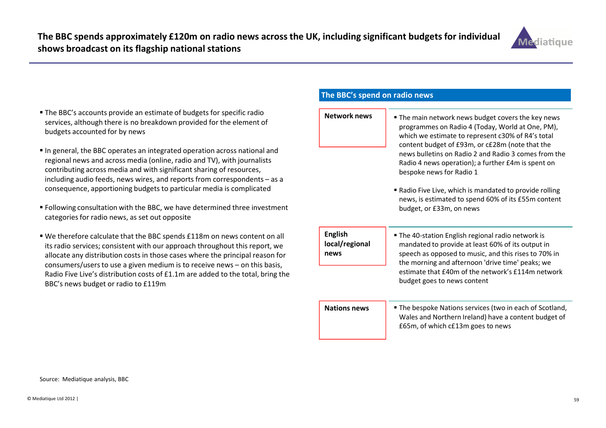

- The BBC's accounts provide an estimate of budgets for specific radio services, although there is no breakdown provided for the element of budgets accounted for by news
- In general, the BBC operates an integrated operation across national and regional news and across media (online, radio and TV), with journalists contributing across media and with significant sharing of resources, including audio feeds, news wires, and reports from correspondents – as a consequence, apportioning budgets to particular media is complicated
- Following consultation with the BBC, we have determined three investment categories for radio news, as set out opposite
- We therefore calculate that the BBC spends £118m on news content on all its radio services; consistent with our approach throughout this report, we allocate any distribution costs in those cases where the principal reason for consumers/users to use a given medium is to receive news – on this basis, Radio Five Live's distribution costs of £1.1m are added to the total, bring the BBC's news budget or radio to £119m

## The BBC's spend on radio news

- Network news **The main network news budget covers the key news** programmes on Radio 4 (Today, World at One, PM), which we estimate to represent c30% of R4's total content budget of £93m, or c£28m (note that the news bulletins on Radio 2 and Radio 3 comes from the Radio 4 news operation); a further £4m is spent on bespoke news for Radio 1 Radio Five Live, which is mandated to provide rolling news, is estimated to spend 60% of its £55m contentbudget, or £33m, on news■ The 40-station English regional radio network is mandated to provide at least 60% of its output in English local/regional news
	- speech as opposed to music, and this rises to 70% in the morning and afternoon 'drive time' peaks; we estimate that £40m of the network's £114m network budget goes to news content

Nations news

 The bespoke Nations services (two in each of Scotland, Wales and Northern Ireland) have a content budget of £65m, of which c£13m goes to news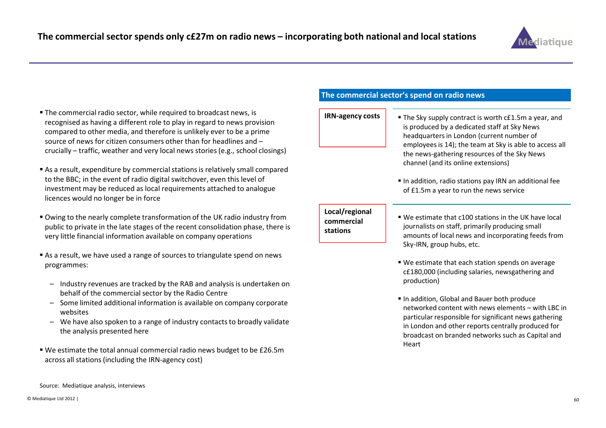

- The commercial radio sector, while required to broadcast news, is recognised as having a different role to play in regard to news provision compared to other media, and therefore is unlikely ever to be a prime source of news for citizen consumers other than for headlines and –crucially – traffic, weather and very local news stories (e.g., school closings)
- As a result, expenditure by commercial stations is relatively small compared to the BBC; in the event of radio digital switchover, even this level of investment may be reduced as local requirements attached to analogue licences would no longer be in force
- Owing to the nearly complete transformation of the UK radio industry from public to private in the late stages of the recent consolidation phase, there is very little financial information available on company operations
- As a result, we have used a range of sources to triangulate spend on news programmes:
	- Industry revenues are tracked by the RAB and analysis is undertaken on behalf of the commercial sector by the Radio Centre
	- Some limited additional information is available on company corporate websites
	- We have also spoken to a range of industry contacts to broadly validate the analysis presented here
- We estimate the total annual commercial radio news budget to be £26.5m across all stations (including the IRN-agency cost)

## The commercial sector's spend on radio news

#### IRN-agency costs

- **S**  $\blacksquare$  **The Sky supply contract is worth c£1.5m a year, and** is produced by a dedicated staff at Sky News headquarters in London (current number of employees is 14); the team at Sky is able to access all the news-gathering resources of the Sky News channel (and its online extensions)
	- In addition, radio stations pay IRN an additional fee of £1.5m a year to run the news service

# commercial stations

- **Local/regional**  $\begin{vmatrix} 1 & 1 \\ 0 & 1 \end{vmatrix}$  We estimate that c100 stations in the UK have local journalists on staff, primarily producing small amounts of local news and incorporating feeds from Sky-IRN, group hubs, etc.
	- We estimate that each station spends on average c£180,000 (including salaries, newsgathering and production)
	- In addition, Global and Bauer both produce networked content with news elements – with LBC in particular responsible for significant news gathering in London and other reports centrally produced for broadcast on branded networks such as Capital and Heart

Source: Mediatique analysis, interviews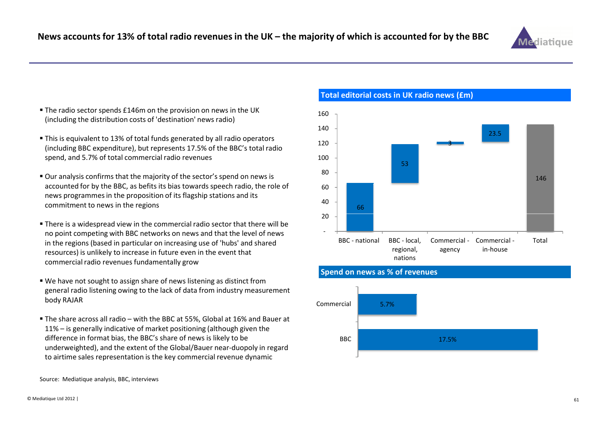

- The radio sector spends £146m on the provision on news in the UK (including the distribution costs of 'destination' news radio)
- This is equivalent to 13% of total funds generated by all radio operators (including BBC expenditure), but represents 17.5% of the BBC's total radio spend, and 5.7% of total commercial radio revenues
- Our analysis confirms that the majority of the sector's spend on news is accounted for by the BBC, as befits its bias towards speech radio, the role of news programmes in the proposition of its flagship stations and its commitment to news in the regions
- There is a widespread view in the commercial radio sector that there will be no point competing with BBC networks on news and that the level of news in the regions (based in particular on increasing use of 'hubs' and shared resources) is unlikely to increase in future even in the event that commercial radio revenues fundamentally grow
- We have not sought to assign share of news listening as distinct from general radio listening owing to the lack of data from industry measurement body RAJAR
- The share across all radio with the BBC at 55%, Global at 16% and Bauer at 11% – is generally indicative of market positioning (although given the difference in format bias, the BBC's share of news is likely to be underweighted), and the extent of the Global/Bauer near-duopoly in regard to airtime sales representation is the key commercial revenue dynamic



Total editorial costs in UK radio news (£m)



#### Spend on news as % of revenues

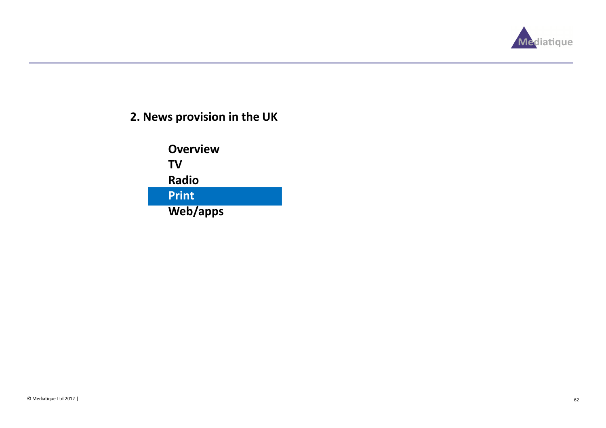

# 2. News provision in the UK

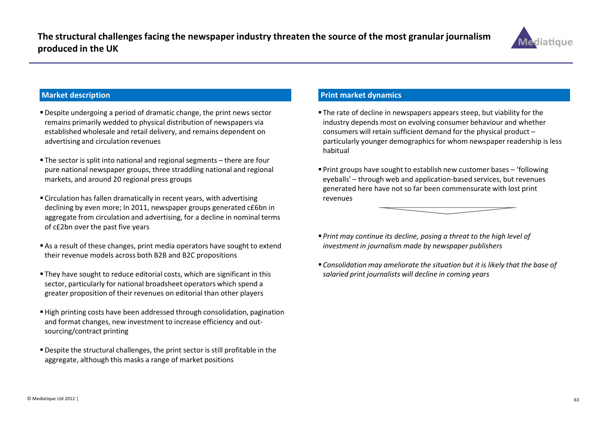

#### Market description

- Despite undergoing a period of dramatic change, the print news sector remains primarily wedded to physical distribution of newspapers via established wholesale and retail delivery, and remains dependent on advertising and circulation revenues
- The sector is split into national and regional segments there are four pure national newspaper groups, three straddling national and regional markets, and around 20 regional press groups
- Circulation has fallen dramatically in recent years, with advertising declining by even more; In 2011, newspaper groups generated c£6bn in aggregate from circulation and advertising, for a decline in nominal terms of c£2bn over the past five years
- As a result of these changes, print media operators have sought to extend their revenue models across both B2B and B2C propositions
- They have sought to reduce editorial costs, which are significant in this sector, particularly for national broadsheet operators which spend a greater proposition of their revenues on editorial than other players
- High printing costs have been addressed through consolidation, pagination and format changes, new investment to increase efficiency and outsourcing/contract printing
- Despite the structural challenges, the print sector is still profitable in the aggregate, although this masks a range of market positions

### Print market dynamics

- The rate of decline in newspapers appears steep, but viability for the industry depends most on evolving consumer behaviour and whether consumers will retain sufficient demand for the physical product – particularly younger demographics for whom newspaper readership is less habitual
- Print groups have sought to establish new customer bases 'following eyeballs' – through web and application-based services, but revenues generated here have not so far been commensurate with lost print revenues
- $\textcolor{red}{\bullet}$  Print may continue its decline, posing a threat to the high level of investment in journalism made by newspaper publishers
- Consolidation may ameliorate the situation but it is likely that the base of salaried print journalists will decline in coming years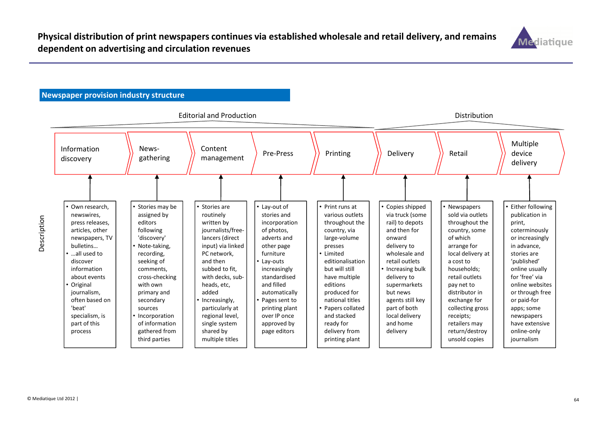

# Newspaper provision industry structure

| <b>Editorial and Production</b>                                                                                                                                                                                                                                      |                                                                                                                                                                                                                                                                         |                                                                                                                                                                                                                                                                                                        |                                                                                                                                                                                                                                                                   | Distribution                                                                                                                                                                                                                                                                                         |                                                                                                                                                                                                                                                                                  |                                                                                                                                                                                                                                                                                                        |                                                                                                                                                                                                                                                                                                   |
|----------------------------------------------------------------------------------------------------------------------------------------------------------------------------------------------------------------------------------------------------------------------|-------------------------------------------------------------------------------------------------------------------------------------------------------------------------------------------------------------------------------------------------------------------------|--------------------------------------------------------------------------------------------------------------------------------------------------------------------------------------------------------------------------------------------------------------------------------------------------------|-------------------------------------------------------------------------------------------------------------------------------------------------------------------------------------------------------------------------------------------------------------------|------------------------------------------------------------------------------------------------------------------------------------------------------------------------------------------------------------------------------------------------------------------------------------------------------|----------------------------------------------------------------------------------------------------------------------------------------------------------------------------------------------------------------------------------------------------------------------------------|--------------------------------------------------------------------------------------------------------------------------------------------------------------------------------------------------------------------------------------------------------------------------------------------------------|---------------------------------------------------------------------------------------------------------------------------------------------------------------------------------------------------------------------------------------------------------------------------------------------------|
| Information<br>discovery                                                                                                                                                                                                                                             | News-<br>gathering                                                                                                                                                                                                                                                      | Content<br>management                                                                                                                                                                                                                                                                                  | Pre-Press                                                                                                                                                                                                                                                         | Printing                                                                                                                                                                                                                                                                                             | Delivery                                                                                                                                                                                                                                                                         | Retail                                                                                                                                                                                                                                                                                                 | Multiple<br>device<br>delivery                                                                                                                                                                                                                                                                    |
|                                                                                                                                                                                                                                                                      |                                                                                                                                                                                                                                                                         |                                                                                                                                                                                                                                                                                                        |                                                                                                                                                                                                                                                                   |                                                                                                                                                                                                                                                                                                      |                                                                                                                                                                                                                                                                                  |                                                                                                                                                                                                                                                                                                        |                                                                                                                                                                                                                                                                                                   |
| • Own research.<br>newswires,<br>press releases,<br>articles, other<br>newspapers, TV<br>bulletins<br>. all used to<br>discover<br>information<br>about events<br>• Original<br>journalism,<br>often based on<br>'beat'<br>specialism, is<br>part of this<br>process | Stories may be<br>assigned by<br>editors<br>following<br>'discovery'<br>Note-taking,<br>recording,<br>seeking of<br>comments,<br>cross-checking<br>with own<br>primary and<br>secondary<br>sources<br>Incorporation<br>of information<br>gathered from<br>third parties | • Stories are<br>routinely<br>written by<br>journalists/free-<br>lancers (direct<br>input) via linked<br>PC network,<br>and then<br>subbed to fit,<br>with decks, sub-<br>heads, etc,<br>added<br>Increasingly,<br>particularly at<br>regional level,<br>single system<br>shared by<br>multiple titles | • Lay-out of<br>stories and<br>incorporation<br>of photos,<br>adverts and<br>other page<br>furniture<br>Lay-outs<br>increasingly<br>standardised<br>and filled<br>automatically<br>Pages sent to<br>printing plant<br>over IP once<br>approved by<br>page editors | • Print runs at<br>various outlets<br>throughout the<br>country, via<br>large-volume<br>presses<br>• Limited<br>editionalisation<br>but will still<br>have multiple<br>editions<br>produced for<br>national titles<br>Papers collated<br>and stacked<br>ready for<br>delivery from<br>printing plant | • Copies shipped<br>via truck (some<br>rail) to depots<br>and then for<br>onward<br>delivery to<br>wholesale and<br>retail outlets<br>• Increasing bulk<br>delivery to<br>supermarkets<br>but news<br>agents still key<br>part of both<br>local delivery<br>and home<br>delivery | • Newspapers<br>sold via outlets<br>throughout the<br>country, some<br>of which<br>arrange for<br>local delivery at<br>a cost to<br>households;<br>retail outlets<br>pay net to<br>distributor in<br>exchange for<br>collecting gross<br>receipts;<br>retailers may<br>return/destroy<br>unsold copies | Either following<br>publication in<br>print,<br>coterminously<br>or increasingly<br>in advance,<br>stories are<br>'published'<br>online usually<br>for 'free' via<br>online websites<br>or through free<br>or paid-for<br>apps; some<br>newspapers<br>have extensive<br>online-only<br>journalism |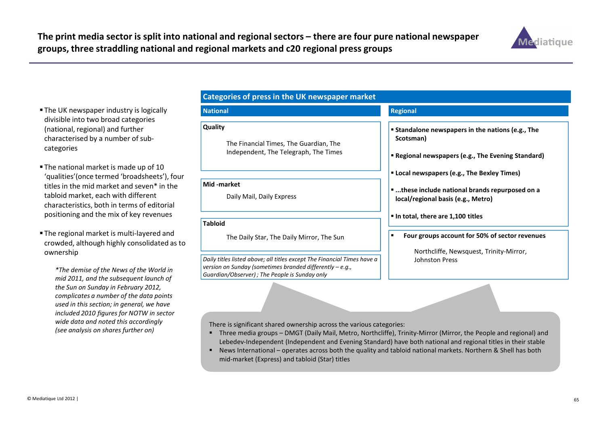

- The UK newspaper industry is logically divisible into two broad categories (national, regional) and further characterised by a number of subcategories
- The national market is made up of 10 'qualities'(once termed 'broadsheets'), four titles in the mid market and seven\* in the tabloid market, each with different characteristics, both in terms of editorial positioning and the mix of key revenues
- The regional market is multi-layered and crowded, although highly consolidated as to ownership

\*The demise of the News of the World in mid 2011, and the subsequent launch of the Sun on Sunday in February 2012, complicates a number of the data points used in this section; in general, we have included 2010 figures for NOTW in sector wide data and noted this accordingly (see analysis on shares further on)

#### Categories of press in the UK newspaper market

#### National

#### Quality

The Financial Times, The Guardian, The Independent, The Telegraph, The Times

#### Mid -market

Daily Mail, Daily Express

#### Tabloid

The Daily Star, The Daily Mirror, The Sun

Daily titles listed above; all titles except The Financial Times have a version on Sunday (sometimes branded differently – e.g., Guardian/Observer) ; The People is Sunday only

#### Regional

- Standalone newspapers in the nations (e.g., The Scotsman)
- Regional newspapers (e.g., The Evening Standard)
- Local newspapers (e.g., The Bexley Times)
- ...these include national brands repurposed on a local/regional basis (e.g., Metro)
- $\blacksquare$  In total, there are 1,100 titles
- $\blacksquare$  Four groups account for 50% of sector revenues
	- Northcliffe, Newsquest, Trinity-Mirror, Johnston Press

There is significant shared ownership across the various categories:

- Three media groups DMGT (Daily Mail, Metro, Northcliffe), Trinity-Mirror (Mirror, the People and regional) and Lebedev-Independent (Independent and Evening Standard) have both national and regional titles in their stable
- News International operates across both the quality and tabloid national markets. Northern & Shell has both mid-market (Express) and tabloid (Star) titles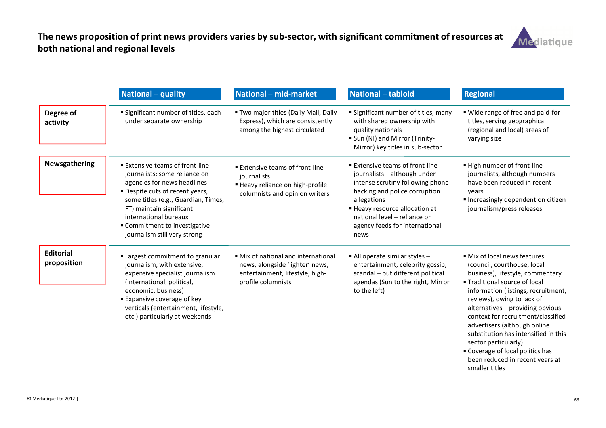

|                                 | National - quality                                                                                                                                                                                                                                                                                   | National - mid-market                                                                                                           | <b>National - tabloid</b>                                                                                                                                                                                                                                        | <b>Regional</b>                                                                                                                                                                                                                                                                                                                                                                                                     |
|---------------------------------|------------------------------------------------------------------------------------------------------------------------------------------------------------------------------------------------------------------------------------------------------------------------------------------------------|---------------------------------------------------------------------------------------------------------------------------------|------------------------------------------------------------------------------------------------------------------------------------------------------------------------------------------------------------------------------------------------------------------|---------------------------------------------------------------------------------------------------------------------------------------------------------------------------------------------------------------------------------------------------------------------------------------------------------------------------------------------------------------------------------------------------------------------|
| Degree of<br>activity           | <b>Significant number of titles, each</b><br>under separate ownership                                                                                                                                                                                                                                | " Two major titles (Daily Mail, Daily<br>Express), which are consistently<br>among the highest circulated                       | <b>Significant number of titles, many</b><br>with shared ownership with<br>quality nationals<br>" Sun (NI) and Mirror (Trinity-<br>Mirror) key titles in sub-sector                                                                                              | " Wide range of free and paid-for<br>titles, serving geographical<br>(regional and local) areas of<br>varying size                                                                                                                                                                                                                                                                                                  |
| <b>Newsgathering</b>            | <b>Extensive teams of front-line</b><br>journalists; some reliance on<br>agencies for news headlines<br>" Despite cuts of recent years,<br>some titles (e.g., Guardian, Times,<br>FT) maintain significant<br>international bureaux<br>" Commitment to investigative<br>journalism still very strong | <b>Extensive teams of front-line</b><br>journalists<br>■ Heavy reliance on high-profile<br>columnists and opinion writers       | ■ Extensive teams of front-line<br>journalists - although under<br>intense scrutiny following phone-<br>hacking and police corruption<br>allegations<br>■ Heavy resource allocation at<br>national level - reliance on<br>agency feeds for international<br>news | ■ High number of front-line<br>journalists, although numbers<br>have been reduced in recent<br>years<br>Increasingly dependent on citizen<br>journalism/press releases                                                                                                                                                                                                                                              |
| <b>Editorial</b><br>proposition | " Largest commitment to granular<br>journalism, with extensive,<br>expensive specialist journalism<br>(international, political,<br>economic, business)<br><b>Expansive coverage of key</b><br>verticals (entertainment, lifestyle,<br>etc.) particularly at weekends                                | • Mix of national and international<br>news, alongside 'lighter' news,<br>entertainment, lifestyle, high-<br>profile columnists | $\blacksquare$ All operate similar styles $\blacksquare$<br>entertainment, celebrity gossip,<br>scandal - but different political<br>agendas (Sun to the right, Mirror<br>to the left)                                                                           | • Mix of local news features<br>(council, courthouse, local<br>business), lifestyle, commentary<br>■ Traditional source of local<br>information (listings, recruitment,<br>reviews), owing to lack of<br>alternatives - providing obvious<br>context for recruitment/classified<br>advertisers (although online<br>substitution has intensified in this<br>sector particularly)<br>• Coverage of local politics has |

 Coverage of local politics has been reduced in recent years at smaller titles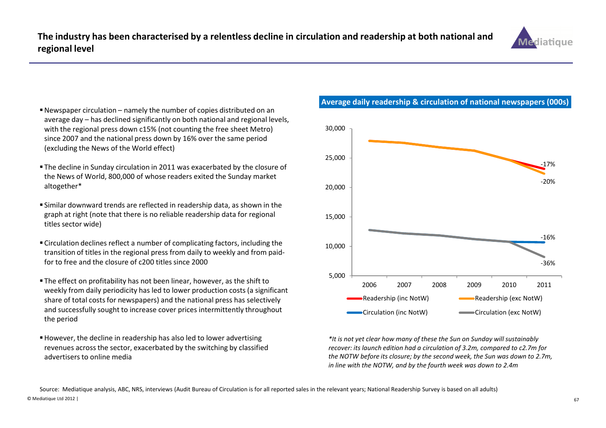

- Newspaper circulation namely the number of copies distributed on an average day – has declined significantly on both national and regional levels, with the regional press down c15% (not counting the free sheet Metro) since 2007 and the national press down by 16% over the same period (excluding the News of the World effect)
- The decline in Sunday circulation in 2011 was exacerbated by the closure of the News of World, 800,000 of whose readers exited the Sunday market altogether\*
- Similar downward trends are reflected in readership data, as shown in the graph at right (note that there is no reliable readership data for regional titles sector wide)
- Circulation declines reflect a number of complicating factors, including the transition of titles in the regional press from daily to weekly and from paidfor to free and the closure of c200 titles since 2000
- The effect on profitability has not been linear, however, as the shift to weekly from daily periodicity has led to lower production costs (a significant share of total costs for newspapers) and the national press has selectively and successfully sought to increase cover prices intermittently throughout the period
- However, the decline in readership has also led to lower advertising revenues across the sector, exacerbated by the switching by classified advertisers to online media

## Average daily readership & circulation of national newspapers (000s)



\*It is not yet clear how many of these the Sun on Sunday will sustainably recover: its launch edition had a circulation of 3.2m, compared to c2.7m for the NOTW before its closure; by the second week, the Sun was down to 2.7m, in line with the NOTW, and by the fourth week was down to 2.4m

© Mediatique Ltd 2012 | $\sim$  67 Source: Mediatique analysis, ABC, NRS, interviews (Audit Bureau of Circulation is for all reported sales in the relevant years; National Readership Survey is based on all adults)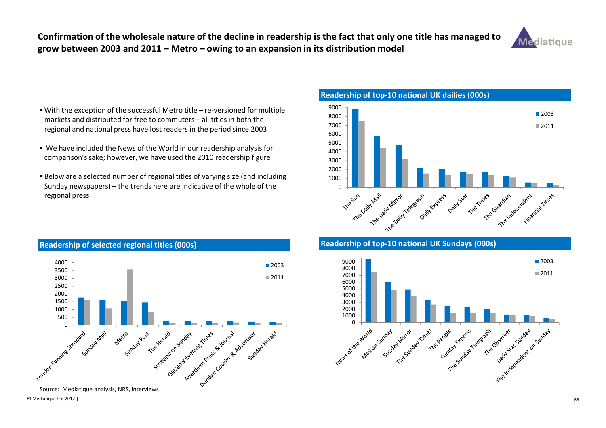

- With the exception of the successful Metro title re-versioned for multiple markets and distributed for free to commuters – all titles in both the regional and national press have lost readers in the period since 2003
- We have included the News of the World in our readership analysis for comparison's sake; however, we have used the 2010 readership figure
- $\blacksquare$  Below are a selected number of regional titles of varying size (and including Sunday newspapers) – the trends here are indicative of the whole of the regional press



#### Readership of top-10 national UK Sundays (000s)



# Readership of selected regional titles (000s)



© Mediatique Ltd 2012 |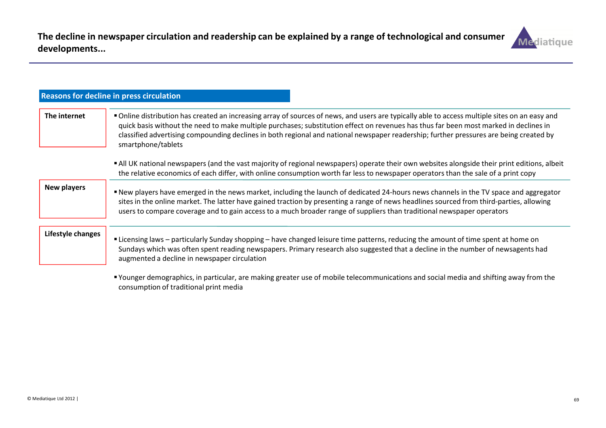

|                    | <b>Reasons for decline in press circulation</b>                                                                                                                                                                                                                                                                                                                                                                                                         |
|--------------------|---------------------------------------------------------------------------------------------------------------------------------------------------------------------------------------------------------------------------------------------------------------------------------------------------------------------------------------------------------------------------------------------------------------------------------------------------------|
| The internet       | " Online distribution has created an increasing array of sources of news, and users are typically able to access multiple sites on an easy and<br>quick basis without the need to make multiple purchases; substitution effect on revenues has thus far been most marked in declines in<br>classified advertising compounding declines in both regional and national newspaper readership; further pressures are being created by<br>smartphone/tablets |
|                    | • All UK national newspapers (and the vast majority of regional newspapers) operate their own websites alongside their print editions, albeit<br>the relative economics of each differ, with online consumption worth far less to newspaper operators than the sale of a print copy                                                                                                                                                                     |
| <b>New players</b> | ■ New players have emerged in the news market, including the launch of dedicated 24-hours news channels in the TV space and aggregator<br>sites in the online market. The latter have gained traction by presenting a range of news headlines sourced from third-parties, allowing<br>users to compare coverage and to gain access to a much broader range of suppliers than traditional newspaper operators                                            |
| Lifestyle changes  | "Licensing laws – particularly Sunday shopping – have changed leisure time patterns, reducing the amount of time spent at home on<br>Sundays which was often spent reading newspapers. Primary research also suggested that a decline in the number of newsagents had<br>augmented a decline in newspaper circulation                                                                                                                                   |

 Younger demographics, in particular, are making greater use of mobile telecommunications and social media and shifting away from the consumption of traditional print media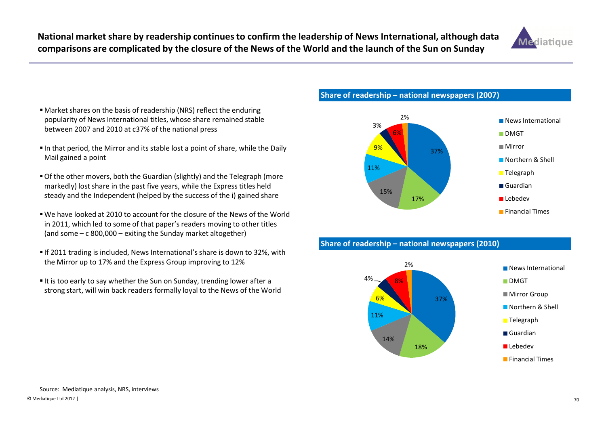National market share by readership continues to confirm the leadership of News International, although data comparisons are complicated by the closure of the News of the World and the launch of the Sun on Sunday



- Market shares on the basis of readership (NRS) reflect the enduring popularity of News International titles, whose share remained stable between 2007 and 2010 at c37% of the national press
- In that period, the Mirror and its stable lost a point of share, while the Daily Mail gained a point
- Of the other movers, both the Guardian (slightly) and the Telegraph (more markedly) lost share in the past five years, while the Express titles held steady and the Independent (helped by the success of the i) gained share
- We have looked at 2010 to account for the closure of the News of the World in 2011, which led to some of that paper's readers moving to other titles (and some – c 800,000 – exiting the Sunday market altogether)
- If 2011 trading is included, News International's share is down to 32%, with the Mirror up to 17% and the Express Group improving to 12%
- $\blacksquare$  It is too early to say whether the Sun on Sunday, trending lower after a strong start, will win back readers formally loyal to the News of the World

#### Share of readership – national newspapers (2007)



#### Share of readership – national newspapers (2010)

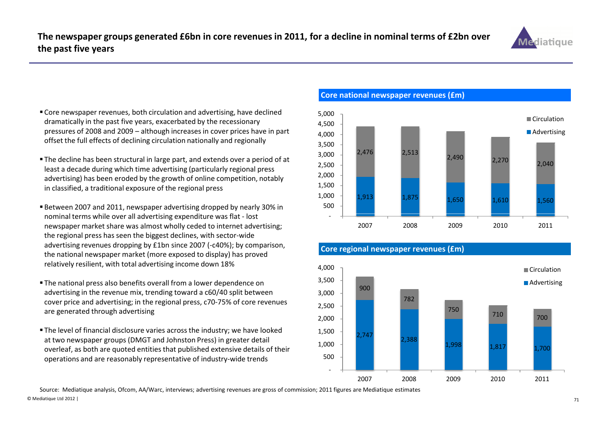

- Core newspaper revenues, both circulation and advertising, have declined dramatically in the past five years, exacerbated by the recessionary pressures of 2008 and 2009 – although increases in cover prices have in part offset the full effects of declining circulation nationally and regionally
- The decline has been structural in large part, and extends over a period of at least a decade during which time advertising (particularly regional press advertising) has been eroded by the growth of online competition, notably in classified, a traditional exposure of the regional press
- Between 2007 and 2011, newspaper advertising dropped by nearly 30% in nominal terms while over all advertising expenditure was flat - lost newspaper market share was almost wholly ceded to internet advertising; the regional press has seen the biggest declines, with sector-wide advertising revenues dropping by £1bn since 2007 (-c40%); by comparison, the national newspaper market (more exposed to display) has proved relatively resilient, with total advertising income down 18%
- The national press also benefits overall from a lower dependence on advertising in the revenue mix, trending toward a c60/40 split between cover price and advertising; in the regional press, c70-75% of core revenues are generated through advertising
- The level of financial disclosure varies across the industry; we have looked at two newspaper groups (DMGT and Johnston Press) in greater detail overleaf, as both are quoted entities that published extensive details of their operations and are reasonably representative of industry-wide trends

Core national newspaper revenues (£m)



#### Core regional newspaper revenues (£m)



© Mediatique Ltd 2012 |<u>21</u> Source: Mediatique analysis, Ofcom, AA/Warc, interviews; advertising revenues are gross of commission; 2011 figures are Mediatique estimates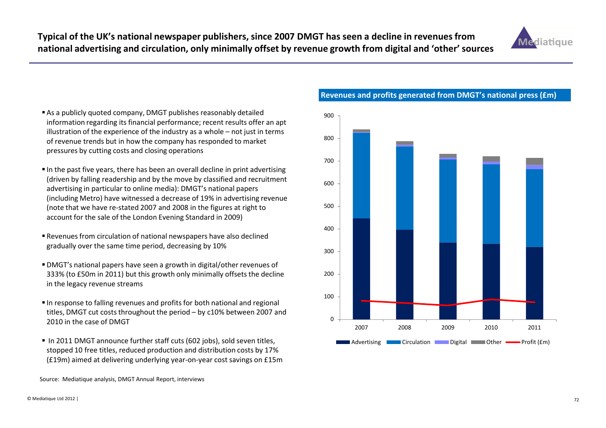

- As a publicly quoted company, DMGT publishes reasonably detailed information regarding its financial performance; recent results offer an apt illustration of the experience of the industry as a whole – not just in terms of revenue trends but in how the company has responded to market pressures by cutting costs and closing operations
- $\blacksquare$  In the past five years, there has been an overall decline in print advertising (driven by falling readership and by the move by classified and recruitment advertising in particular to online media): DMGT's national papers (including Metro) have witnessed a decrease of 19% in advertising revenue (note that we have re-stated 2007 and 2008 in the figures at right to account for the sale of the London Evening Standard in 2009)
- Revenues from circulation of national newspapers have also declined gradually over the same time period, decreasing by 10%
- DMGT's national papers have seen a growth in digital/other revenues of 333% (to £50m in 2011) but this growth only minimally offsets the decline in the legacy revenue streams
- In response to falling revenues and profits for both national and regional titles, DMGT cut costs throughout the period – by c10% between 2007 and 2010 in the case of DMGT
- In 2011 DMGT announce further staff cuts (602 jobs), sold seven titles, stopped 10 free titles, reduced production and distribution costs by 17% (£19m) aimed at delivering underlying year-on-year cost savings on £15m



Revenues and profits generated from DMGT's national press (£m)

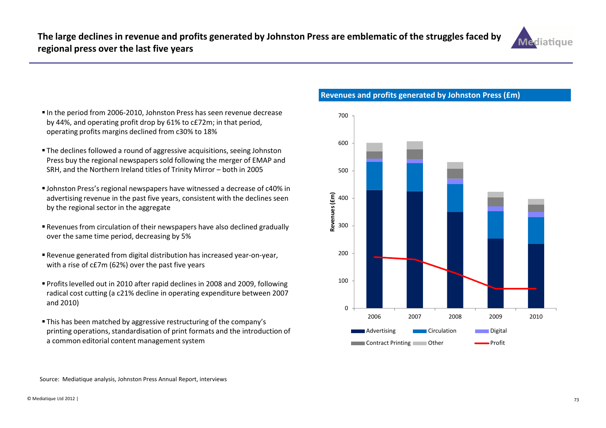

- In the period from 2006-2010, Johnston Press has seen revenue decrease by 44%, and operating profit drop by 61% to c£72m; in that period, operating profits margins declined from c30% to 18%
- The declines followed a round of aggressive acquisitions, seeing Johnston Press buy the regional newspapers sold following the merger of EMAP and SRH, and the Northern Ireland titles of Trinity Mirror – both in 2005
- Johnston Press's regional newspapers have witnessed a decrease of c40% in advertising revenue in the past five years, consistent with the declines seen by the regional sector in the aggregate
- Revenues from circulation of their newspapers have also declined gradually over the same time period, decreasing by 5%
- Revenue generated from digital distribution has increased year-on-year, with a rise of c£7m (62%) over the past five years
- Profits levelled out in 2010 after rapid declines in 2008 and 2009, following radical cost cutting (a c21% decline in operating expenditure between 2007 and 2010)
- This has been matched by aggressive restructuring of the company's printing operations, standardisation of print formats and the introduction of a common editorial content management system

Revenues and profits generated by Johnston Press (£m)



Source: Mediatique analysis, Johnston Press Annual Report, interviews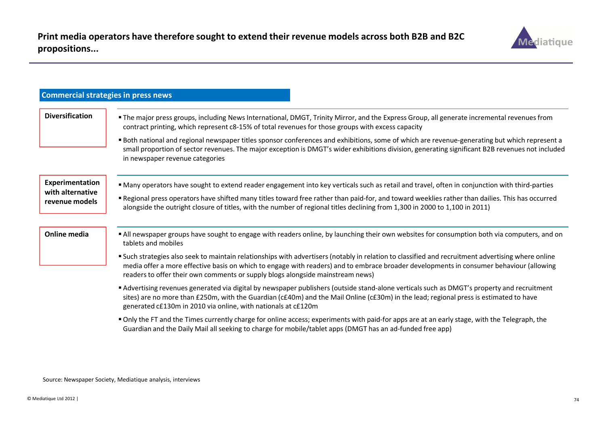

| <b>Commercial strategies in press news</b>            |                                                                                                                                                                                                                                                                                                                                                                                                                                                                                                                                                                                        |
|-------------------------------------------------------|----------------------------------------------------------------------------------------------------------------------------------------------------------------------------------------------------------------------------------------------------------------------------------------------------------------------------------------------------------------------------------------------------------------------------------------------------------------------------------------------------------------------------------------------------------------------------------------|
| <b>Diversification</b>                                | "The major press groups, including News International, DMGT, Trinity Mirror, and the Express Group, all generate incremental revenues from<br>contract printing, which represent c8-15% of total revenues for those groups with excess capacity<br>" Both national and regional newspaper titles sponsor conferences and exhibitions, some of which are revenue-generating but which represent a<br>small proportion of sector revenues. The major exception is DMGT's wider exhibitions division, generating significant B2B revenues not included<br>in newspaper revenue categories |
| Experimentation<br>with alternative<br>revenue models | " Many operators have sought to extend reader engagement into key verticals such as retail and travel, often in conjunction with third-parties<br>" Regional press operators have shifted many titles toward free rather than paid-for, and toward weeklies rather than dailies. This has occurred<br>alongside the outright closure of titles, with the number of regional titles declining from 1,300 in 2000 to 1,100 in 2011)                                                                                                                                                      |
| <b>Online media</b>                                   | All newspaper groups have sought to engage with readers online, by launching their own websites for consumption both via computers, and on<br>tablets and mobiles<br>" Such strategies also seek to maintain relationships with advertisers (notably in relation to classified and recruitment advertising where online<br>media offer a more effective basis on which to engage with readers) and to embrace broader developments in consumer behaviour (allowing<br>readers to offer their own comments or supply blogs alongside mainstream news)                                   |
|                                                       | Advertising revenues generated via digital by newspaper publishers (outside stand-alone verticals such as DMGT's property and recruitment<br>sites) are no more than £250m, with the Guardian (c£40m) and the Mail Online (c£30m) in the lead; regional press is estimated to have<br>generated c£130m in 2010 via online, with nationals at c£120m                                                                                                                                                                                                                                    |
|                                                       | " Only the FT and the Times currently charge for online access; experiments with paid-for apps are at an early stage, with the Telegraph, the<br>Guardian and the Daily Mail all seeking to charge for mobile/tablet apps (DMGT has an ad-funded free app)                                                                                                                                                                                                                                                                                                                             |

Source: Newspaper Society, Mediatique analysis, interviews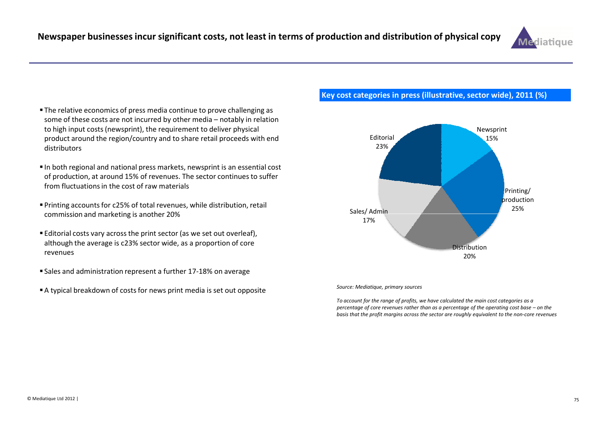

- The relative economics of press media continue to prove challenging as some of these costs are not incurred by other media – notably in relation to high input costs (newsprint), the requirement to deliver physical product around the region/country and to share retail proceeds with end distributors
- $\blacksquare$  In both regional and national press markets, newsprint is an essential cost of production, at around 15% of revenues. The sector continues to suffer from fluctuations in the cost of raw materials
- Printing accounts for c25% of total revenues, while distribution, retail commission and marketing is another 20%
- Editorial costs vary across the print sector (as we set out overleaf), although the average is c23% sector wide, as a proportion of core revenues
- Sales and administration represent a further 17-18% on average
- A typical breakdown of costs for news print media is set out opposite

#### Key cost categories in press (illustrative, sector wide), 2011 (%)



#### Source: Mediatique, primary sources

To account for the range of profits, we have calculated the main cost categories as a percentage of core revenues rather than as a percentage of the operating cost base – on the basis that the profit margins across the sector are roughly equivalent to the non-core revenues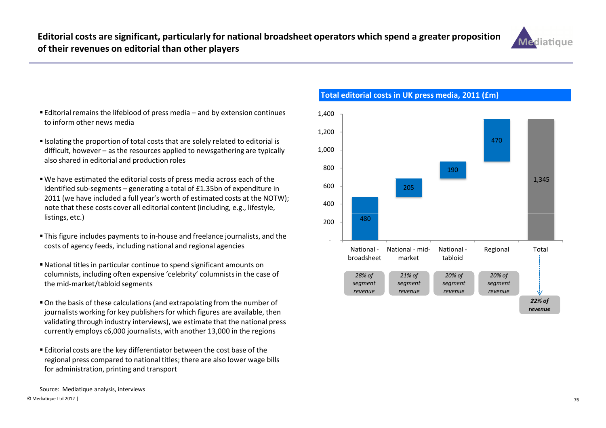

- Editorial remains the lifeblood of press media and by extension continues  $1,400$ to inform other news media
- **Isolating the proportion of total costs that are solely related to editorial is** difficult, however – as the resources applied to newsgathering are typically also shared in editorial and production roles
- We have estimated the editorial costs of press media across each of the identified sub-segments – generating a total of £1.35bn of expenditure in 2011 (we have included a full year's worth of estimated costs at the NOTW); note that these costs cover all editorial content (including, e.g., lifestyle, listings, etc.)
- This figure includes payments to in-house and freelance journalists, and the costs of agency feeds, including national and regional agencies
- National titles in particular continue to spend significant amounts on columnists, including often expensive 'celebrity' columnists in the case of the mid-market/tabloid segments
- On the basis of these calculations (and extrapolating from the number of journalists working for key publishers for which figures are available, then validating through industry interviews), we estimate that the national press currently employs c6,000 journalists, with another 13,000 in the regions
- Editorial costs are the key differentiator between the cost base of the regional press compared to national titles; there are also lower wage bills for administration, printing and transport



Total editorial costs in UK press media, 2011 (£m)

© Mediatique Ltd 2012 |<u>1 да се постана на политички производите на политички при природни при природни при при при при при при при п</u> Source: Mediatique analysis, interviews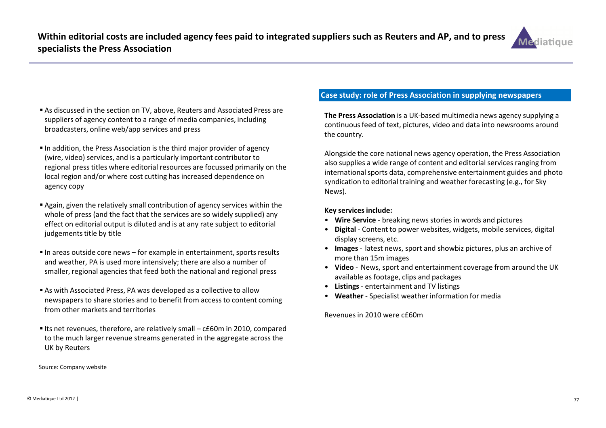

- As discussed in the section on TV, above, Reuters and Associated Press are suppliers of agency content to a range of media companies, including broadcasters, online web/app services and press
- In addition, the Press Association is the third major provider of agency (wire, video) services, and is a particularly important contributor to regional press titles where editorial resources are focussed primarily on the local region and/or where cost cutting has increased dependence on agency copy
- Again, given the relatively small contribution of agency services within the whole of press (and the fact that the services are so widely supplied) any effect on editorial output is diluted and is at any rate subject to editorial judgements title by title
- $\blacksquare$  In areas outside core news for example in entertainment, sports results and weather, PA is used more intensively; there are also a number of smaller, regional agencies that feed both the national and regional press
- As with Associated Press, PA was developed as a collective to allow newspapers to share stories and to benefit from access to content coming from other markets and territories
- ■Its net revenues, therefore, are relatively small c£60m in 2010, compared to the much larger revenue streams generated in the aggregate across the UK by Reuters

Source: Company website

### Case study: role of Press Association in supplying newspapers

The Press Association is a UK-based multimedia news agency supplying a continuous feed of text, pictures, video and data into newsrooms around the country.

Alongside the core national news agency operation, the Press Association also supplies a wide range of content and editorial services ranging from international sports data, comprehensive entertainment guides and photo syndication to editorial training and weather forecasting (e.g., for Sky News).

#### Key services include:

- Wire Service breaking news stories in words and pictures
- Digital Content to power websites, widgets, mobile services, digital display screens, etc.
- Images latest news, sport and showbiz pictures, plus an archive of more than 15m images
- Video News, sport and entertainment coverage from around the UK available as footage, clips and packages
- Listings- entertainment and TV listings
- Weather Specialist weather information for media

Revenues in 2010 were c£60m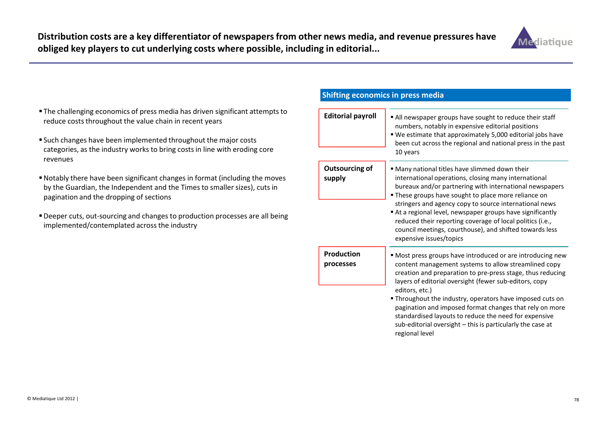

- The challenging economics of press media has driven significant attempts to reduce costs throughout the value chain in recent years
- Such changes have been implemented throughout the major costs categories, as the industry works to bring costs in line with eroding core revenues
- Notably there have been significant changes in format (including the moves by the Guardian, the Independent and the Times to smaller sizes), cuts in pagination and the dropping of sections
- Deeper cuts, out-sourcing and changes to production processes are all being implemented/contemplated across the industry

### Shifting economics in press media

| <b>Editorial payroll</b>        | All newspaper groups have sought to reduce their staff<br>numbers, notably in expensive editorial positions<br>" We estimate that approximately 5,000 editorial jobs have<br>been cut across the regional and national press in the past<br>10 years                                                                                                                                                                                                                                                                               |
|---------------------------------|------------------------------------------------------------------------------------------------------------------------------------------------------------------------------------------------------------------------------------------------------------------------------------------------------------------------------------------------------------------------------------------------------------------------------------------------------------------------------------------------------------------------------------|
| <b>Outsourcing of</b><br>supply | • Many national titles have slimmed down their<br>international operations, closing many international<br>bureaux and/or partnering with international newspapers<br>" These groups have sought to place more reliance on<br>stringers and agency copy to source international news<br>At a regional level, newspaper groups have significantly<br>reduced their reporting coverage of local politics (i.e.,<br>council meetings, courthouse), and shifted towards less<br>expensive issues/topics                                 |
| Production<br>processes         | " Most press groups have introduced or are introducing new<br>content management systems to allow streamlined copy<br>creation and preparation to pre-press stage, thus reducing<br>layers of editorial oversight (fewer sub-editors, copy<br>editors, etc.)<br><b>Throughout the industry, operators have imposed cuts on</b><br>pagination and imposed format changes that rely on more<br>standardised layouts to reduce the need for expensive<br>sub-editorial oversight - this is particularly the case at<br>regional level |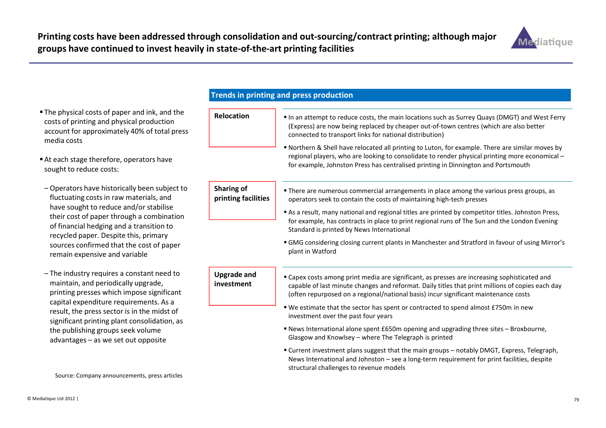

- The physical costs of paper and ink, and the costs of printing and physical production account for approximately 40% of total press media costs
- At each stage therefore, operators have sought to reduce costs:
- Operators have historically been subject to fluctuating costs in raw materials, and have sought to reduce and/or stabilise their cost of paper through a combination of financial hedging and a transition to recycled paper. Despite this, primary sources confirmed that the cost of paper remain expensive and variable
- The industry requires a constant need to maintain, and periodically upgrade, printing presses which impose significant capital expenditure requirements. As a result, the press sector is in the midst of significant printing plant consolidation, as the publishing groups seek volume advantages – as we set out opposite

| Trends in printing and press production  |                                                                                                                                                                                                                                                                                         |  |
|------------------------------------------|-----------------------------------------------------------------------------------------------------------------------------------------------------------------------------------------------------------------------------------------------------------------------------------------|--|
|                                          |                                                                                                                                                                                                                                                                                         |  |
| <b>Relocation</b>                        | In an attempt to reduce costs, the main locations such as Surrey Quays (DMGT) and West Ferry<br>(Express) are now being replaced by cheaper out-of-town centres (which are also better<br>connected to transport links for national distribution)                                       |  |
|                                          | " Northern & Shell have relocated all printing to Luton, for example. There are similar moves by<br>regional players, who are looking to consolidate to render physical printing more economical -<br>for example, Johnston Press has centralised printing in Dinnington and Portsmouth |  |
| <b>Sharing of</b><br>printing facilities | " There are numerous commercial arrangements in place among the various press groups, as<br>operators seek to contain the costs of maintaining high-tech presses                                                                                                                        |  |
|                                          | As a result, many national and regional titles are printed by competitor titles. Johnston Press,<br>for example, has contracts in place to print regional runs of The Sun and the London Evening<br>Standard is printed by News International                                           |  |
|                                          | " GMG considering closing current plants in Manchester and Stratford in favour of using Mirror's<br>plant in Watford                                                                                                                                                                    |  |
| <b>Upgrade and</b><br>investment         | " Capex costs among print media are significant, as presses are increasing sophisticated and<br>capable of last minute changes and reformat. Daily titles that print millions of copies each day<br>(often repurposed on a regional/national basis) incur significant maintenance costs |  |
|                                          | ■ We estimate that the sector has spent or contracted to spend almost £750m in new<br>investment over the past four years                                                                                                                                                               |  |
|                                          | " News International alone spent £650m opening and upgrading three sites - Broxbourne,<br>Glasgow and Knowlsey - where The Telegraph is printed                                                                                                                                         |  |
|                                          | " Current investment plans suggest that the main groups - notably DMGT, Express, Telegraph,<br>News International and Johnston - see a long-term requirement for print facilities, despite<br>structural challenges to revenue models                                                   |  |

Source: Company announcements, press articles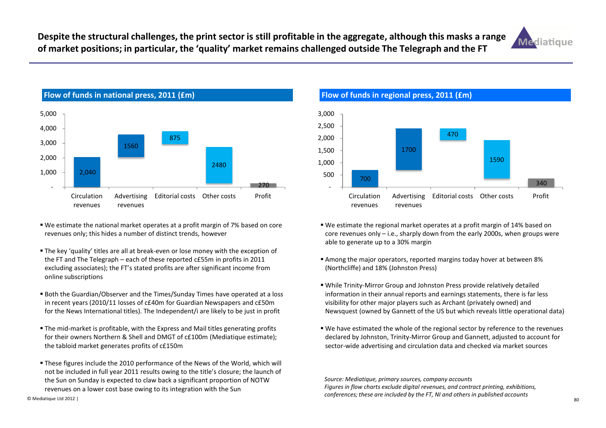Despite the structural challenges, the print sector is still profitable in the aggregate, although this masks a range of market positions; in particular, the 'quality' market remains challenged outside The Telegraph and the FT





- We estimate the national market operates at a profit margin of 7% based on core revenues only; this hides a number of distinct trends, however
- The key 'quality' titles are all at break-even or lose money with the exception of the FT and The Telegraph – each of these reported c£55m in profits in 2011 excluding associates); the FT's stated profits are after significant income from online subscriptions
- Both the Guardian/Observer and the Times/Sunday Times have operated at a loss in recent years (2010/11 losses of c£40m for Guardian Newspapers and c£50m for the News International titles). The Independent/i are likely to be just in profit
- The mid-market is profitable, with the Express and Mail titles generating profits for their owners Northern & Shell and DMGT of c£100m (Mediatique estimate); the tabloid market generates profits of c£150m
- These figures include the 2010 performance of the News of the World, which will not be included in full year 2011 results owing to the title's closure; the launch of the Sun on Sunday is expected to claw back a significant proportion of NOTW revenues on a lower cost base owing to its integration with the Sun



- We estimate the regional market operates at a profit margin of 14% based on core revenues only – i.e., sharply down from the early 2000s, when groups were able to generate up to a 30% margin
- Among the major operators, reported margins today hover at between 8% (Northcliffe) and 18% (Johnston Press)
- While Trinity-Mirror Group and Johnston Press provide relatively detailed information in their annual reports and earnings statements, there is far less visibility for other major players such as Archant (privately owned) and Newsquest (owned by Gannett of the US but which reveals little operational data)
- We have estimated the whole of the regional sector by reference to the revenues declared by Johnston, Trinity-Mirror Group and Gannett, adjusted to account for sector-wide advertising and circulation data and checked via market sources

Source: Mediatique, primary sources, company accounts Figures in flow charts exclude digital revenues, and contract printing, exhibitions, conferences; these are included by the FT, NI and others in published accounts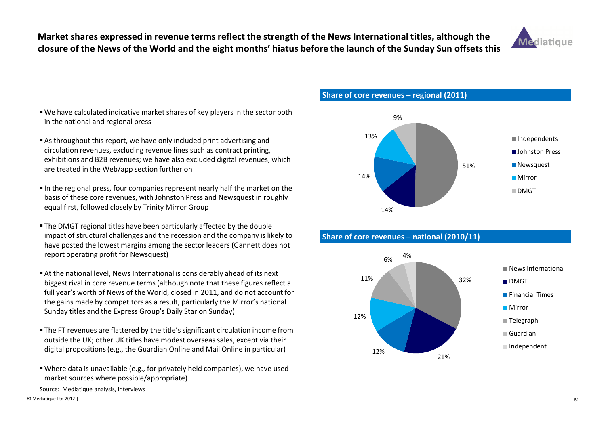

- We have calculated indicative market shares of key players in the sector both in the national and regional press
- As throughout this report, we have only included print advertising and circulation revenues, excluding revenue lines such as contract printing, exhibitions and B2B revenues; we have also excluded digital revenues, which are treated in the Web/app section further on
- In the regional press, four companies represent nearly half the market on the basis of these core revenues, with Johnston Press and Newsquest in roughly equal first, followed closely by Trinity Mirror Group
- The DMGT regional titles have been particularly affected by the double impact of structural challenges and the recession and the company is likely to have posted the lowest margins among the sector leaders (Gannett does not report operating profit for Newsquest)
- At the national level, News International is considerably ahead of its next biggest rival in core revenue terms (although note that these figures reflect a full year's worth of News of the World, closed in 2011, and do not account for the gains made by competitors as a result, particularly the Mirror's national Sunday titles and the Express Group's Daily Star on Sunday)
- The FT revenues are flattered by the title's significant circulation income from outside the UK; other UK titles have modest overseas sales, except via their digital propositions (e.g., the Guardian Online and Mail Online in particular)
- Where data is unavailable (e.g., for privately held companies), we have used market sources where possible/appropriate)

Source: Mediatique analysis, interviews

Share of core revenues – regional (2011)







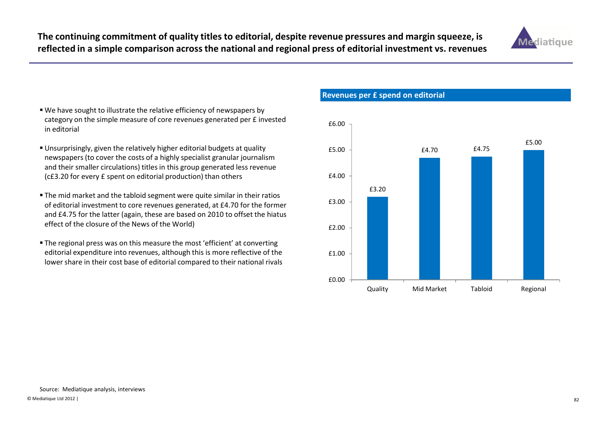The continuing commitment of quality titles to editorial, despite revenue pressures and margin squeeze, is reflected in a simple comparison across the national and regional press of editorial investment vs. revenues



- We have sought to illustrate the relative efficiency of newspapers by category on the simple measure of core revenues generated per £ invested in editorial
- Unsurprisingly, given the relatively higher editorial budgets at quality newspapers (to cover the costs of a highly specialist granular journalism and their smaller circulations) titles in this group generated less revenue (c£3.20 for every £ spent on editorial production) than others
- The mid market and the tabloid segment were quite similar in their ratios of editorial investment to core revenues generated, at £4.70 for the former and £4.75 for the latter (again, these are based on 2010 to offset the hiatus effect of the closure of the News of the World)
- The regional press was on this measure the most 'efficient' at converting editorial expenditure into revenues, although this is more reflective of the lower share in their cost base of editorial compared to their national rivals

Revenues per £ spend on editorial

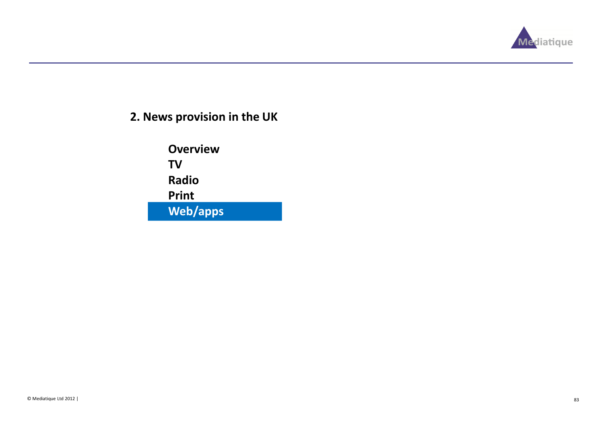

# 2. News provision in the UK

**Overview** TV Radio PrintWeb/apps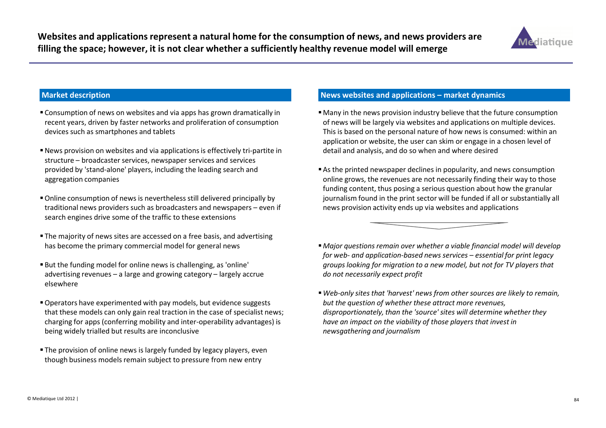

#### Market description

- Consumption of news on websites and via apps has grown dramatically in recent years, driven by faster networks and proliferation of consumption devices such as smartphones and tablets
- News provision on websites and via applications is effectively tri-partite in structure – broadcaster services, newspaper services and services provided by 'stand-alone' players, including the leading search and aggregation companies
- Online consumption of news is nevertheless still delivered principally by traditional news providers such as broadcasters and newspapers – even if search engines drive some of the traffic to these extensions
- The majority of news sites are accessed on a free basis, and advertising has become the primary commercial model for general news
- But the funding model for online news is challenging, as 'online' advertising revenues – a large and growing category – largely accrue elsewhere
- Operators have experimented with pay models, but evidence suggests that these models can only gain real traction in the case of specialist news; charging for apps (conferring mobility and inter-operability advantages) is being widely trialled but results are inconclusive
- The provision of online news is largely funded by legacy players, even though business models remain subject to pressure from new entry

## News websites and applications – market dynamics

- Many in the news provision industry believe that the future consumption of news will be largely via websites and applications on multiple devices. This is based on the personal nature of how news is consumed: within an application or website, the user can skim or engage in a chosen level of detail and analysis, and do so when and where desired
- As the printed newspaper declines in popularity, and news consumption online grows, the revenues are not necessarily finding their way to those funding content, thus posing a serious question about how the granular journalism found in the print sector will be funded if all or substantially all news provision activity ends up via websites and applications



- Major questions remain over whether a viable financial model will develop for web- and application-based news services – essential for print legacy groups looking for migration to a new model, but not for TV players that do not necessarily expect profit
- Web-only sites that 'harvest' news from other sources are likely to remain, but the question of whether these attract more revenues, disproportionately, than the 'source' sites will determine whether they have an impact on the viability of those players that invest in newsgathering and journalism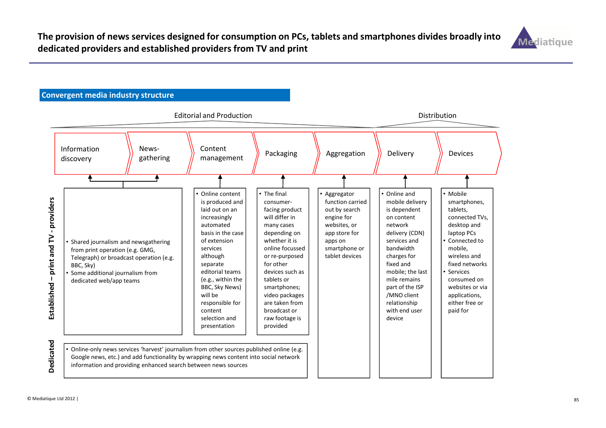

### Convergent media industry structure

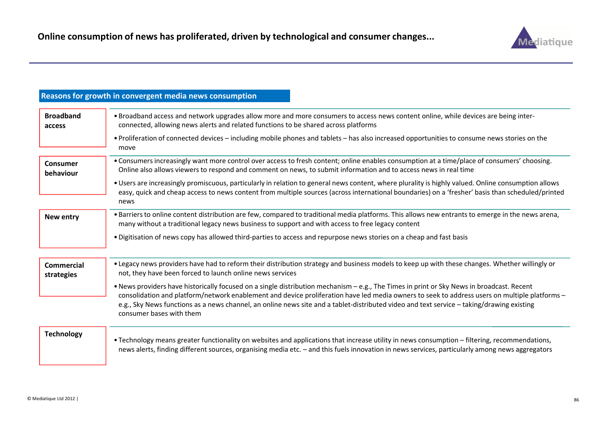

#### Reasons for growth in convergent media news consumption• Broadband access and network upgrades allow more and more consumers to access news content online, while devices are being interconnected, allowing news alerts and related functions to be shared across platforms• Proliferation of connected devices – including mobile phones and tablets – has also increased opportunities to consume news stories on the move• Consumers increasingly want more control over access to fresh content; online enables consumption at a time/place of consumers' choosing. Online also allows viewers to respond and comment on news, to submit information and to access news in real time• Users are increasingly promiscuous, particularly in relation to general news content, where plurality is highly valued. Online consumption allows easy, quick and cheap access to news content from multiple sources (across international boundaries) on a 'fresher' basis than scheduled/printed news•Barriers to online content distribution are few, compared to traditional media platforms. This allows new entrants to emerge in the news arena, Broadband accessConsumer behaviourNew entrymany without a traditional legacy news business to support and with access to free legacy content• Digitisation of news copy has allowed third-parties to access and repurpose news stories on a cheap and fast basis • Legacy news providers have had to reform their distribution strategy and business models to keep up with these changes. Whether willingly or not, they have been forced to launch online news services• News providers have historically focused on a single distribution mechanism – e.g., The Times in print or Sky News in broadcast. Recent consolidation and platform/network enablement and device proliferation have led media owners to seek to address users on multiple platforms –e.g., Sky News functions as a news channel, an online news site and a tablet-distributed video and text service – taking/drawing existing consumer bases with them• Technology means greater functionality on websites and applications that increase utility in news consumption – filtering, recommendations, news alerts, finding different sources, organising media etc. – and this fuels innovation in news services, particularly among news aggregators Commercial strategies**Technology**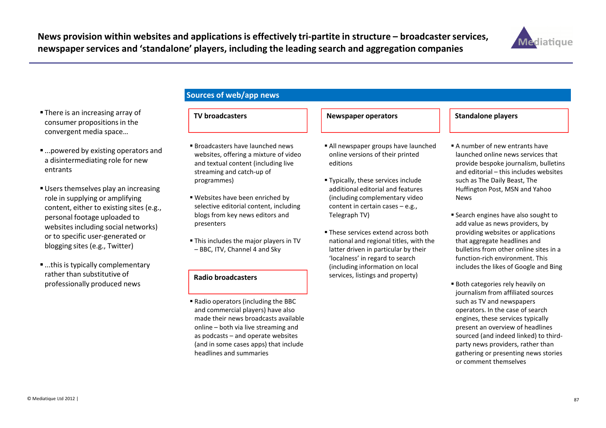

- There is an increasing array of consumer propositions in the convergent media space…
- ...powered by existing operators and a disintermediating role for new entrants
- Users themselves play an increasing role in supplying or amplifying content, either to existing sites (e.g., personal footage uploaded to websites including social networks) or to specific user-generated or blogging sites (e.g., Twitter)
- ...this is typically complementary rather than substitutive of professionally produced news

## Sources of web/app news

### TV broadcasters

- Broadcasters have launched news websites, offering a mixture of video and textual content (including live streaming and catch-up of programmes)
- Websites have been enriched by selective editorial content, including blogs from key news editors and presenters
- This includes the major players in TV – BBC, ITV, Channel 4 and Sky

#### Radio broadcasters

 Radio operators (including the BBC and commercial players) have also made their news broadcasts available online – both via live streaming and as podcasts – and operate websites (and in some cases apps) that include headlines and summaries

#### All newspaper groups have launched online versions of their printed editions

Newspaper operators

- Typically, these services include additional editorial and features (including complementary video content in certain cases – e.g., Telegraph TV)
- These services extend across both national and regional titles, with the latter driven in particular by their 'localness' in regard to search (including information on local services, listings and property)

#### Standalone players

- A number of new entrants have launched online news services that provide bespoke journalism, bulletins and editorial – this includes websites such as The Daily Beast, The Huffington Post, MSN and Yahoo News
- Search engines have also sought to add value as news providers, by providing websites or applications that aggregate headlines and bulletins from other online sites in a function-rich environment. This includes the likes of Google and Bing
- Both categories rely heavily on journalism from affiliated sources such as TV and newspapers operators. In the case of search engines, these services typically present an overview of headlines sourced (and indeed linked) to thirdparty news providers, rather than gathering or presenting news stories or comment themselves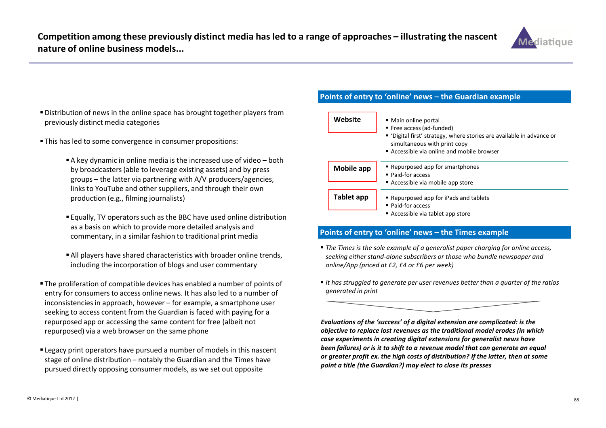

- Distribution of news in the online space has brought together players from previously distinct media categories
- This has led to some convergence in consumer propositions:
	- A key dynamic in online media is the increased use of video both by broadcasters (able to leverage existing assets) and by press groups – the latter via partnering with A/V producers/agencies, links to YouTube and other suppliers, and through their own production (e.g., filming journalists)
	- Equally, TV operators such as the BBC have used online distribution as a basis on which to provide more detailed analysis and commentary, in a similar fashion to traditional print media
	- All players have shared characteristics with broader online trends, including the incorporation of blogs and user commentary
- The proliferation of compatible devices has enabled a number of points of entry for consumers to access online news. It has also led to a number of inconsistencies in approach, however – for example, a smartphone user seeking to access content from the Guardian is faced with paying for a repurposed app or accessing the same content for free (albeit not repurposed) via a web browser on the same phone
- Legacy print operators have pursued a number of models in this nascent stage of online distribution – notably the Guardian and the Times have pursued directly opposing consumer models, as we set out opposite

### Points of entry to 'online' news – the Guardian example

| Website    | • Main online portal<br>■ Free access (ad-funded)<br>• 'Digital first' strategy, where stories are available in advance or<br>simultaneous with print copy<br>Accessible via online and mobile browser |  |
|------------|--------------------------------------------------------------------------------------------------------------------------------------------------------------------------------------------------------|--|
| Mobile app | • Repurposed app for smartphones<br>• Paid-for access                                                                                                                                                  |  |
|            | Accessible via mobile app store                                                                                                                                                                        |  |
| Tablet app | • Repurposed app for iPads and tablets<br>• Paid-for access                                                                                                                                            |  |
|            | Accessible via tablet app store                                                                                                                                                                        |  |

#### Points of entry to 'online' news – the Times example

- The Times is the sole example of a generalist paper charging for online access, seeking either stand-alone subscribers or those who bundle newspaper and online/App (priced at £2, £4 or £6 per week)
- $\;\blacksquare$  It has struggled to generate per user revenues better than a quarter of the ratios generated in print



Evaluations of the 'success' of a digital extension are complicated: is the objective to replace lost revenues as the traditional model erodes (in which case experiments in creating digital extensions for generalist news have been failures) or is it to shift to a revenue model that can generate an equal or greater profit ex. the high costs of distribution? If the latter, then at some point a title (the Guardian?) may elect to close its presses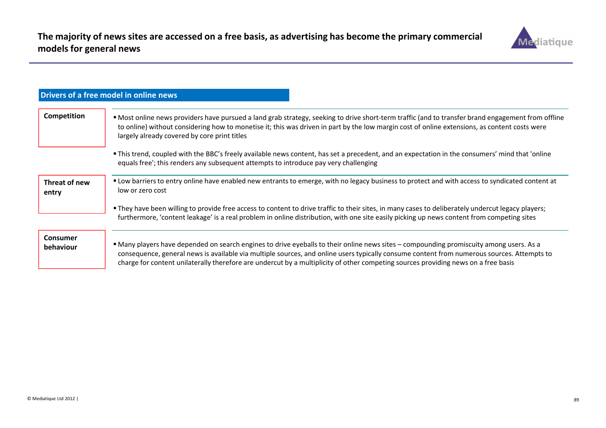

|                              | Drivers of a free model in online news                                                                                                                                                                                                                                                                                                                                                                                      |  |
|------------------------------|-----------------------------------------------------------------------------------------------------------------------------------------------------------------------------------------------------------------------------------------------------------------------------------------------------------------------------------------------------------------------------------------------------------------------------|--|
| Competition                  | " Most online news providers have pursued a land grab strategy, seeking to drive short-term traffic (and to transfer brand engagement from offline<br>to online) without considering how to monetise it; this was driven in part by the low margin cost of online extensions, as content costs were<br>largely already covered by core print titles                                                                         |  |
|                              | . This trend, coupled with the BBC's freely available news content, has set a precedent, and an expectation in the consumers' mind that 'online<br>equals free'; this renders any subsequent attempts to introduce pay very challenging                                                                                                                                                                                     |  |
| Threat of new<br>entry       | " Low barriers to entry online have enabled new entrants to emerge, with no legacy business to protect and with access to syndicated content at<br>low or zero cost                                                                                                                                                                                                                                                         |  |
|                              | . They have been willing to provide free access to content to drive traffic to their sites, in many cases to deliberately undercut legacy players;<br>furthermore, 'content leakage' is a real problem in online distribution, with one site easily picking up news content from competing sites                                                                                                                            |  |
| <b>Consumer</b><br>behaviour | • Many players have depended on search engines to drive eyeballs to their online news sites – compounding promiscuity among users. As a<br>consequence, general news is available via multiple sources, and online users typically consume content from numerous sources. Attempts to<br>charge for content unilaterally therefore are undercut by a multiplicity of other competing sources providing news on a free basis |  |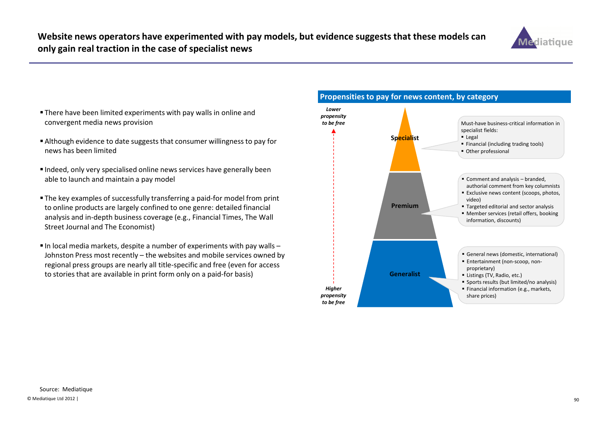

- There have been limited experiments with pay walls in online and convergent media news provision
- Although evidence to date suggests that consumer willingness to pay for news has been limited
- Indeed, only very specialised online news services have generally been able to launch and maintain a pay model
- The key examples of successfully transferring a paid-for model from print to online products are largely confined to one genre: detailed financial analysis and in-depth business coverage (e.g., Financial Times, The Wall Street Journal and The Economist)
- $\blacksquare$  In local media markets, despite a number of experiments with pay walls  $-$  Johnston Press most recently – the websites and mobile services owned by regional press groups are nearly all title-specific and free (even for access to stories that are available in print form only on a paid-for basis)



#### © Mediatique Ltd 2012 |е производите во представања подата на 1990. године 1990 године и 1990 године и 1990 године и 1990 године и 19<br>Во представљени подата подата подата подата подата подата подата подата подата подата подата подата подата по Source: Mediatique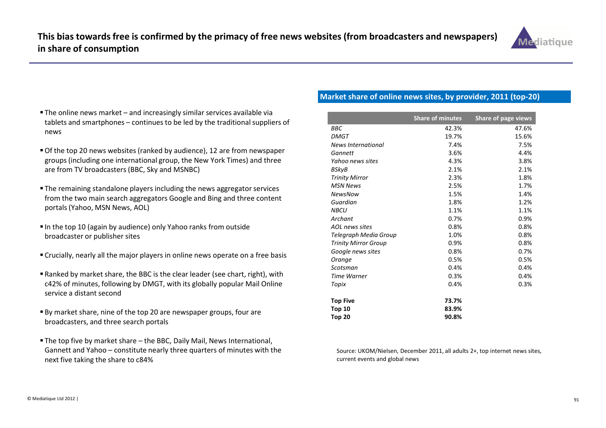

- The online news market and increasingly similar services available via tablets and smartphones – continues to be led by the traditional suppliers of news
- Of the top 20 news websites (ranked by audience), 12 are from newspaper groups (including one international group, the New York Times) and three are from TV broadcasters (BBC, Sky and MSNBC)
- The remaining standalone players including the news aggregator services from the two main search aggregators Google and Bing and three content portals (Yahoo, MSN News, AOL)
- In the top 10 (again by audience) only Yahoo ranks from outside broadcaster or publisher sites
- Crucially, nearly all the major players in online news operate on a free basis
- Ranked by market share, the BBC is the clear leader (see chart, right), with c42% of minutes, following by DMGT, with its globally popular Mail Online service a distant second
- By market share, nine of the top 20 are newspaper groups, four are broadcasters, and three search portals
- The top five by market share the BBC, Daily Mail, News International, Gannett and Yahoo – constitute nearly three quarters of minutes with the next five taking the share to c84%

## Market share of online news sites, by provider, 2011 (top-20)

|                             | <b>Share of minutes</b> | Share of page views |
|-----------------------------|-------------------------|---------------------|
| <b>BBC</b>                  | 42.3%                   | 47.6%               |
| <b>DMGT</b>                 | 19.7%                   | 15.6%               |
| News International          | 7.4%                    | 7.5%                |
| Gannett                     | 3.6%                    | 4.4%                |
| Yahoo news sites            | 4.3%                    | 3.8%                |
| BSkyB                       | 2.1%                    | 2.1%                |
| <b>Trinity Mirror</b>       | 2.3%                    | 1.8%                |
| <b>MSN News</b>             | 2.5%                    | 1.7%                |
| <b>NewsNow</b>              | 1.5%                    | 1.4%                |
| Guardian                    | 1.8%                    | 1.2%                |
| <b>NBCU</b>                 | 1.1%                    | 1.1%                |
| Archant                     | 0.7%                    | 0.9%                |
| AOL news sites              | 0.8%                    | 0.8%                |
| Telegraph Media Group       | 1.0%                    | 0.8%                |
| <b>Trinity Mirror Group</b> | 0.9%                    | 0.8%                |
| Google news sites           | 0.8%                    | 0.7%                |
| Orange                      | 0.5%                    | 0.5%                |
| Scotsman                    | 0.4%                    | 0.4%                |
| Time Warner                 | 0.3%                    | 0.4%                |
| Topix                       | 0.4%                    | 0.3%                |
| <b>Top Five</b>             | 73.7%                   |                     |
| Top 10                      | 83.9%                   |                     |
| Top 20                      | 90.8%                   |                     |

Source: UKOM/Nielsen, December 2011, all adults 2+, top internet news sites, current events and global news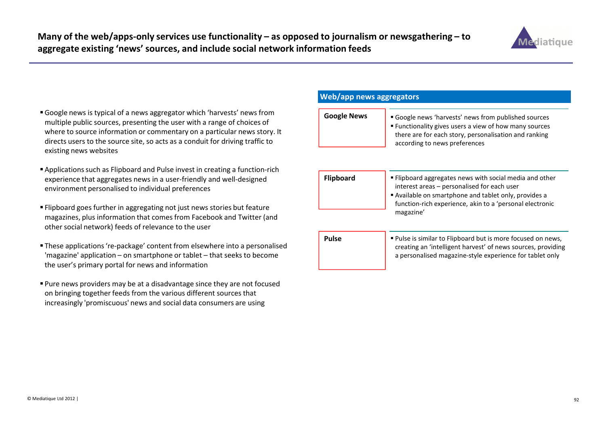

- Google news is typical of a news aggregator which 'harvests' news from multiple public sources, presenting the user with a range of choices of where to source information or commentary on a particular news story. It directs users to the source site, so acts as a conduit for driving traffic to existing news websites
- Applications such as Flipboard and Pulse invest in creating a function-rich experience that aggregates news in a user-friendly and well-designed environment personalised to individual preferences
- Flipboard goes further in aggregating not just news stories but feature magazines, plus information that comes from Facebook and Twitter (and other social network) feeds of relevance to the user
- These applications 're-package' content from elsewhere into a personalised 'magazine' application – on smartphone or tablet – that seeks to become the user's primary portal for news and information
- Pure news providers may be at a disadvantage since they are not focused on bringing together feeds from the various different sources that increasingly 'promiscuous' news and social data consumers are using

#### Web/app news aggregators

| <b>Google News</b> | <b>Google news 'harvests' news from published sources</b><br><b>Functionality gives users a view of how many sources</b><br>there are for each story, personalisation and ranking |
|--------------------|-----------------------------------------------------------------------------------------------------------------------------------------------------------------------------------|
|                    | according to news preferences                                                                                                                                                     |

| Flipboard | • Flipboard aggregates news with social media and other<br>interest areas - personalised for each user<br>Available on smartphone and tablet only, provides a<br>function-rich experience, akin to a 'personal electronic |
|-----------|---------------------------------------------------------------------------------------------------------------------------------------------------------------------------------------------------------------------------|
|           | magazine'                                                                                                                                                                                                                 |

 Pulse is similar to Flipboard but is more focused on news, creating an 'intelligent harvest' of news sources, providing a personalised magazine-style experience for tablet onlyPulse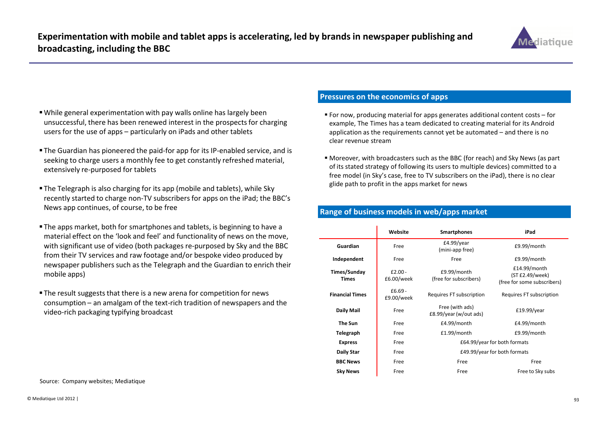

- While general experimentation with pay walls online has largely been unsuccessful, there has been renewed interest in the prospects for charging users for the use of apps – particularly on iPads and other tablets
- The Guardian has pioneered the paid-for app for its IP-enabled service, and is seeking to charge users a monthly fee to get constantly refreshed material, extensively re-purposed for tablets
- The Telegraph is also charging for its app (mobile and tablets), while Sky recently started to charge non-TV subscribers for apps on the iPad; the BBC's News app continues, of course, to be free
- The apps market, both for smartphones and tablets, is beginning to have a material effect on the 'look and feel' and functionality of news on the move, with significant use of video (both packages re-purposed by Sky and the BBC from their TV services and raw footage and/or bespoke video produced by newspaper publishers such as the Telegraph and the Guardian to enrich their mobile apps)
- The result suggests that there is a new arena for competition for news consumption – an amalgam of the text-rich tradition of newspapers and the video-rich packaging typifying broadcast

#### Source: Company websites; Mediatique

#### Pressures on the economics of apps

- For now, producing material for apps generates additional content costs for example, The Times has a team dedicated to creating material for its Android application as the requirements cannot yet be automated – and there is no clear revenue stream
- Moreover, with broadcasters such as the BBC (for reach) and Sky News (as part of its stated strategy of following its users to multiple devices) committed to a free model (in Sky's case, free to TV subscribers on the iPad), there is no clear glide path to profit in the apps market for news

#### Range of business models in web/apps market

|                              | Website                 | <b>Smartphones</b>                        | iPad                                                           |
|------------------------------|-------------------------|-------------------------------------------|----------------------------------------------------------------|
| Guardian                     | Free                    | $E4.99$ /year<br>(mini-app free)          | £9.99/month                                                    |
| Independent                  | Free                    | Free                                      | £9.99/month                                                    |
| Times/Sunday<br><b>Times</b> | $£2.00 -$<br>£6.00/week | £9.99/month<br>(free for subscribers)     | £14.99/month<br>(ST £2.49/week)<br>(free for some subscribers) |
| <b>Financial Times</b>       | $£6.69-$<br>£9.00/week  | Requires FT subscription                  | Requires FT subscription                                       |
| Daily Mail                   | Free                    | Free (with ads)<br>£8.99/year (w/out ads) | £19.99/year                                                    |
| The Sun                      | Free                    | £4.99/month                               | £4.99/month                                                    |
| Telegraph                    | Free                    | £1.99/month                               | £9.99/month                                                    |
| <b>Express</b>               | Free                    |                                           | £64.99/year for both formats                                   |
| <b>Daily Star</b>            | Free                    |                                           | £49.99/year for both formats                                   |
| <b>BBC News</b>              | Free                    | Free                                      | Free                                                           |
| <b>Sky News</b>              | Free                    | Free                                      | Free to Sky subs                                               |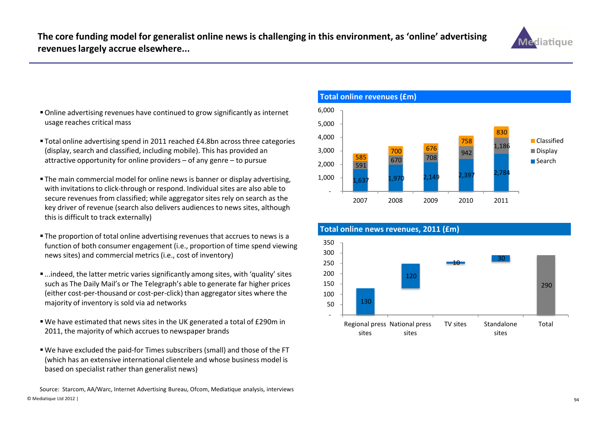

- Online advertising revenues have continued to grow significantly as internet usage reaches critical mass
- Total online advertising spend in 2011 reached £4.8bn across three categories (display, search and classified, including mobile). This has provided an attractive opportunity for online providers – of any genre – to pursue
- The main commercial model for online news is banner or display advertising, with invitations to click-through or respond. Individual sites are also able to secure revenues from classified; while aggregator sites rely on search as the key driver of revenue (search also delivers audiences to news sites, although this is difficult to track externally)
- The proportion of total online advertising revenues that accrues to news is a function of both consumer engagement (i.e., proportion of time spend viewing news sites) and commercial metrics (i.e., cost of inventory)
- ...indeed, the latter metric varies significantly among sites, with 'quality' sites such as The Daily Mail's or The Telegraph's able to generate far higher prices (either cost-per-thousand or cost-per-click) than aggregator sites where the majority of inventory is sold via ad networks
- We have estimated that news sites in the UK generated a total of £290m in 2011, the majority of which accrues to newspaper brands
- We have excluded the paid-for Times subscribers (small) and those of the FT (which has an extensive international clientele and whose business model is based on specialist rather than generalist news)

© Mediatique Ltd 2012 |<u>94</u> Source: Starcom, AA/Warc, Internet Advertising Bureau, Ofcom, Mediatique analysis, interviews



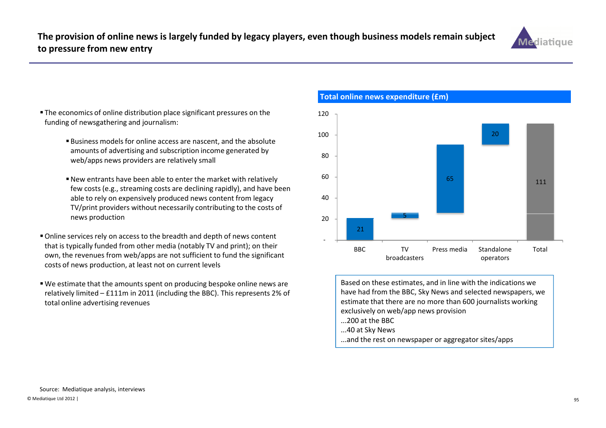

- **The economics of online distribution place significant pressures on the** 120 funding of newsgathering and journalism:
	- Business models for online access are nascent, and the absolute amounts of advertising and subscription income generated by web/apps news providers are relatively small
	- New entrants have been able to enter the market with relatively few costs (e.g., streaming costs are declining rapidly), and have been able to rely on expensively produced news content from legacy TV/print providers without necessarily contributing to the costs of news production
- Online services rely on access to the breadth and depth of news content that is typically funded from other media (notably TV and print); on their own, the revenues from web/apps are not sufficient to fund the significant costs of news production, at least not on current levels
- We estimate that the amounts spent on producing bespoke online news are relatively limited – £111m in 2011 (including the BBC). This represents 2% of total online advertising revenues

56520111 40 60 80 100 21 -20 BBC TV broadcastersPress media Standalone operatorsTotal

Based on these estimates, and in line with the indications we have had from the BBC, Sky News and selected newspapers, we estimate that there are no more than 600 journalists working exclusively on web/app news provision

- ...200 at the BBC
- ...40 at Sky News

Total online news expenditure (£m)

...and the rest on newspaper or aggregator sites/apps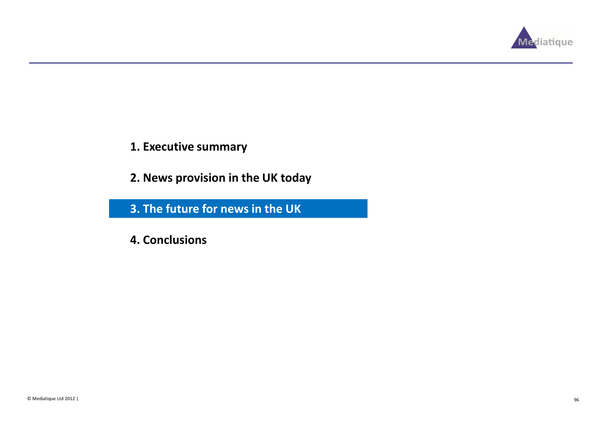

- 1. Executive summary
- 2. News provision in the UK today

3. The future for news in the UK

4. Conclusions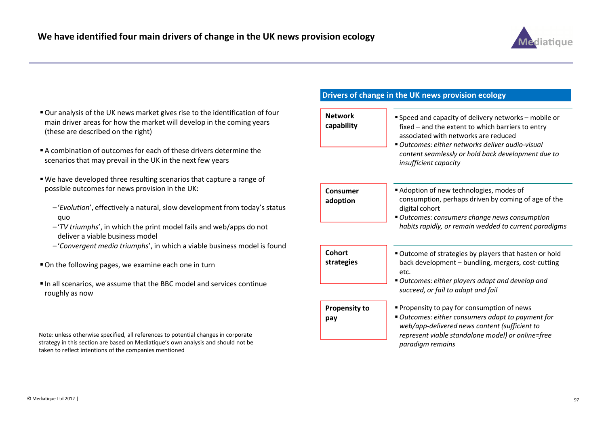

- Our analysis of the UK news market gives rise to the identification of four main driver areas for how the market will develop in the coming years (these are described on the right)
- A combination of outcomes for each of these drivers determine the scenarios that may prevail in the UK in the next few years
- We have developed three resulting scenarios that capture a range of possible outcomes for news provision in the UK:
	- –'Evolution', effectively a natural, slow development from today's status quo
	- $-$ 'TV triumphs', in which the print model fails and web/apps do not deliver a viable business model
	- –'Convergent media triumphs', in which a viable business model is found
- On the following pages, we examine each one in turn
- In all scenarios, we assume that the BBC model and services continue roughly as now

Note: unless otherwise specified, all references to potential changes in corporate strategy in this section are based on Mediatique's own analysis and should not be taken to reflect intentions of the companies mentioned

### Drivers of change in the UK news provision ecology

| <b>Network</b><br>capability | Speed and capacity of delivery networks - mobile or<br>fixed - and the extent to which barriers to entry<br>associated with networks are reduced<br>■ Outcomes: either networks deliver audio-visual<br>content seamlessly or hold back development due to<br>insufficient capacity |
|------------------------------|-------------------------------------------------------------------------------------------------------------------------------------------------------------------------------------------------------------------------------------------------------------------------------------|
| <b>Consumer</b><br>adoption  | Adoption of new technologies, modes of<br>consumption, perhaps driven by coming of age of the<br>digital cohort<br>Outcomes: consumers change news consumption<br>habits rapidly, or remain wedded to current paradigms                                                             |
| Cohort<br>strategies         | Outcome of strategies by players that hasten or hold<br>back development - bundling, mergers, cost-cutting<br>etc.<br>Outcomes: either players adapt and develop and<br>succeed, or fail to adapt and fail                                                                          |
| <b>Propensity to</b><br>pay  | • Propensity to pay for consumption of news<br>Outcomes: either consumers adapt to payment for<br>web/app-delivered news content (sufficient to<br>represent viable standalone model) or online=free<br>paradigm remains                                                            |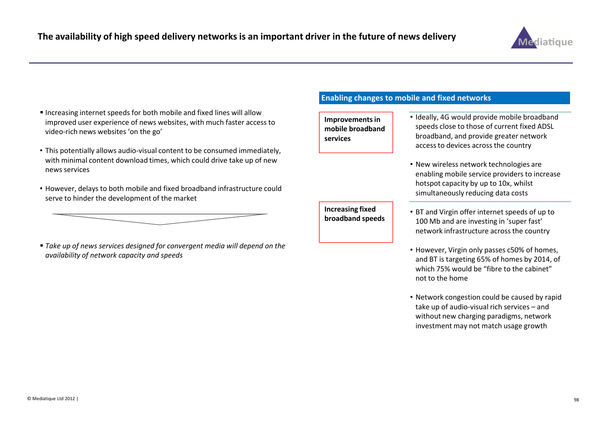

- Increasing internet speeds for both mobile and fixed lines will allow improved user experience of news websites, with much faster access to video-rich news websites 'on the go'
- This potentially allows audio-visual content to be consumed immediately, with minimal content download times, which could drive take up of new news services
- However, delays to both mobile and fixed broadband infrastructure could serve to hinder the development of the market



#### Enabling changes to mobile and fixed networks

Improvements in mobile broadband services

- Ideally, 4G would provide mobile broadband speeds close to those of current fixed ADSL broadband, and provide greater network access to devices across the country
- New wireless network technologies are enabling mobile service providers to increase hotspot capacity by up to 10x, whilst simultaneously reducing data costs
- **Increasing fixed**  $\bullet$  BT and Virgin offer internet speeds of up to **broadband speeds**  $\bullet$  100 Mb and are investing in 'suner fast' 100 Mb and are investing in 'super fast' network infrastructure across the country
	- However, Virgin only passes c50% of homes, and BT is targeting 65% of homes by 2014, of which 75% would be "fibre to the cabinet" not to the home
	- Network congestion could be caused by rapid take up of audio-visual rich services – and without new charging paradigms, network investment may not match usage growth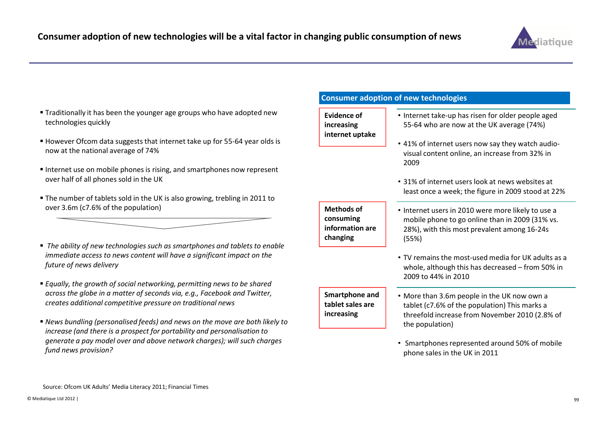

- Traditionally it has been the younger age groups who have adopted new technologies quickly
- However Ofcom data suggests that internet take up for 55-64 year olds is now at the national average of 74%
- Internet use on mobile phones is rising, and smartphones now represent over half of all phones sold in the UK
- The number of tablets sold in the UK is also growing, trebling in 2011 to over 3.6m (c7.6% of the population)
- $\;\;\bar{}\;$  The ability of new technologies such as smartphones and tablets to enable immediate access to news content will have a significant impact on the future of news delivery
- $\;\scriptstyle\bullet$  Equally, the growth of social networking, permitting news to be shared across the globe in a matter of seconds via, e.g., Facebook and Twitter, creates additional competitive pressure on traditional news
- News bundling (personalised feeds) and news on the move are both likely to increase (and there is a prospect for portability and personalisation to generate a pay model over and above network charges); will such charges fund news provision?

#### Consumer adoption of new technologies

Evidence of increasing internet uptake

- Internet take-up has risen for older people aged 55-64 who are now at the UK average (74%)
- 41% of internet users now say they watch audiovisual content online, an increase from 32% in 2009
- 31% of internet users look at news websites at least once a week; the figure in 2009 stood at 22%

Methods of consuming information are changing

- Internet users in 2010 were more likely to use a mobile phone to go online than in 2009 (31% vs. 28%), with this most prevalent among 16-24s (55%)
- TV remains the most-used media for UK adults as a whole, although this has decreased – from 50% in 2009 to 44% in 2010

Smartphone and tablet sales are increasing

- More than 3.6m people in the UK now own a tablet (c7.6% of the population) This marks a threefold increase from November 2010 (2.8% of the population)
- Smartphones represented around 50% of mobile phone sales in the UK in 2011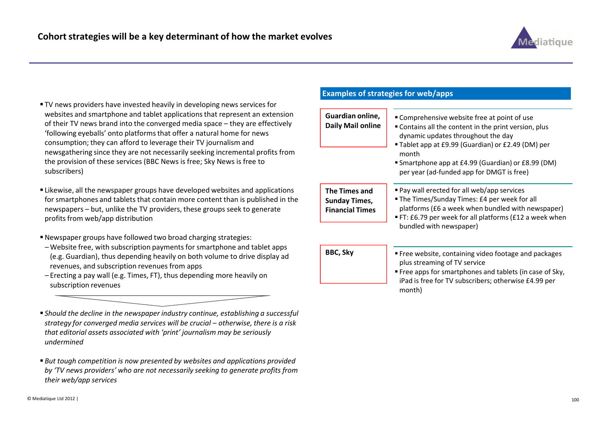

- TV news providers have invested heavily in developing news services for websites and smartphone and tablet applications that represent an extension of their TV news brand into the converged media space – they are effectively 'following eyeballs' onto platforms that offer a natural home for news consumption; they can afford to leverage their TV journalism and newsgathering since they are not necessarily seeking incremental profits from the provision of these services (BBC News is free; Sky News is free to subscribers)
- Likewise, all the newspaper groups have developed websites and applications for smartphones and tablets that contain more content than is published in the newspapers – but, unlike the TV providers, these groups seek to generate profits from web/app distribution
- Newspaper groups have followed two broad charging strategies:
- Website free, with subscription payments for smartphone and tablet apps (e.g. Guardian), thus depending heavily on both volume to drive display ad revenues, and subscription revenues from apps
- Erecting a pay wall (e.g. Times, FT), thus depending more heavily on subscription revenues

 Should the decline in the newspaper industry continue, establishing a successful strategy for converged media services will be crucial – otherwise, there is a risk that editorial assets associated with 'print' journalism may be seriously undermined

 $\textcolor{red}{\bullet}$  But tough competition is now presented by websites and applications provided by 'TV news providers' who are not necessarily seeking to generate profits from their web/app services

### Examples of strategies for web/apps

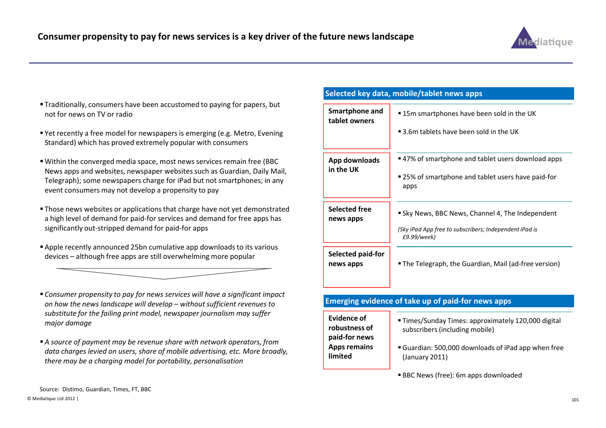

#### Traditionally, consumers have been accustomed to paying for papers, but not for news on TV or radio

- Yet recently a free model for newspapers is emerging (e.g. Metro, Evening Standard) which has proved extremely popular with consumers
- Within the converged media space, most news services remain free (BBC News apps and websites, newspaper websites such as Guardian, Daily Mail, Telegraph); some newspapers charge for iPad but not smartphones; in any event consumers may not develop a propensity to pay
- Those news websites or applications that charge have not yet demonstrated a high level of demand for paid-for services and demand for free apps has significantly out-stripped demand for paid-for apps
- Apple recently announced 25bn cumulative app downloads to its various devices – although free apps are still overwhelming more popular

 Consumer propensity to pay for news services will have a significant impact on how the news landscape will develop – without sufficient revenues to substitute for the failing print model, newspaper journalism may suffer major damage

A source of payment may be revenue share with network operators, from data charges levied on users, share of mobile advertising, etc. More broadly, there may be a charging model for portability, personalisation

### Selected key data, mobile/tablet news apps

| <b>Smartphone and</b><br>tablet owners | " 15m smartphones have been sold in the UK                            |
|----------------------------------------|-----------------------------------------------------------------------|
|                                        | ■ 3.6m tablets have been sold in the UK                               |
| App downloads<br>in the UK             | ■ 47% of smartphone and tablet users download apps                    |
|                                        | ■ 25% of smartphone and tablet users have paid-for<br>apps            |
| <b>Selected free</b><br>news apps      | Sky News, BBC News, Channel 4, The Independent                        |
|                                        | (Sky iPad App free to subscribers; Independent iPad is<br>£9.99/week) |
| Selected paid-for<br>news apps         | ■ The Telegraph, the Guardian, Mail (ad-free version)                 |
|                                        |                                                                       |

### Emerging evidence of take up of paid-for news apps

Evidence of robustness of paid-for news Apps remains limited

- Times/Sunday Times: approximately 120,000 digital subscribers (including mobile)
- Guardian: 500,000 downloads of iPad app when free (January 2011)

BBC News (free): 6m apps downloaded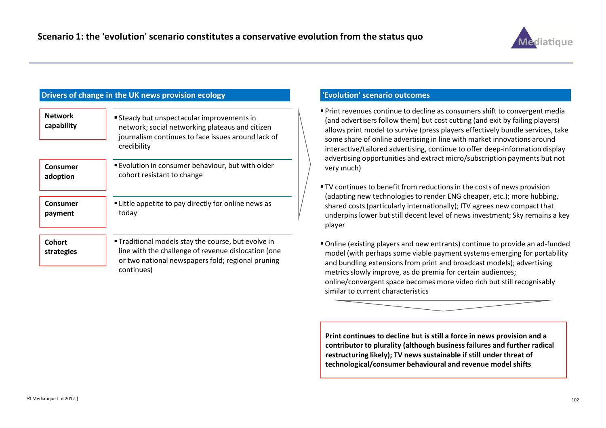

### Drivers of change in the UK news provision ecology

| <b>Network</b><br>capability | <b>Steady but unspectacular improvements in</b><br>network; social networking plateaus and citizen<br>journalism continues to face issues around lack of<br>credibility            |
|------------------------------|------------------------------------------------------------------------------------------------------------------------------------------------------------------------------------|
| Consumer                     | <b>Evolution in consumer behaviour, but with older</b>                                                                                                                             |
| adoption                     | cohort resistant to change                                                                                                                                                         |
| Consumer                     | • Little appetite to pay directly for online news as                                                                                                                               |
| payment                      | today                                                                                                                                                                              |
| <b>Cohort</b><br>strategies  | <b>Traditional models stay the course, but evolve in</b><br>line with the challenge of revenue dislocation (one<br>or two national newspapers fold; regional pruning<br>continues) |

#### 'Evolution' scenario outcomes

- Print revenues continue to decline as consumers shift to convergent media (and advertisers follow them) but cost cutting (and exit by failing players) allows print model to survive (press players effectively bundle services, take some share of online advertising in line with market innovations around interactive/tailored advertising, continue to offer deep-information display advertising opportunities and extract micro/subscription payments but not very much)
- TV continues to benefit from reductions in the costs of news provision (adapting new technologies to render ENG cheaper, etc.); more hubbing, shared costs (particularly internationally); ITV agrees new compact that underpins lower but still decent level of news investment; Sky remains a key player
- Online (existing players and new entrants) continue to provide an ad-funded model (with perhaps some viable payment systems emerging for portability and bundling extensions from print and broadcast models); advertising metrics slowly improve, as do premia for certain audiences; online/convergent space becomes more video rich but still recognisablysimilar to current characteristics



Print continues to decline but is still a force in news provision and a contributor to plurality (although business failures and further radical restructuring likely); TV news sustainable if still under threat of technological/consumer behavioural and revenue model shifts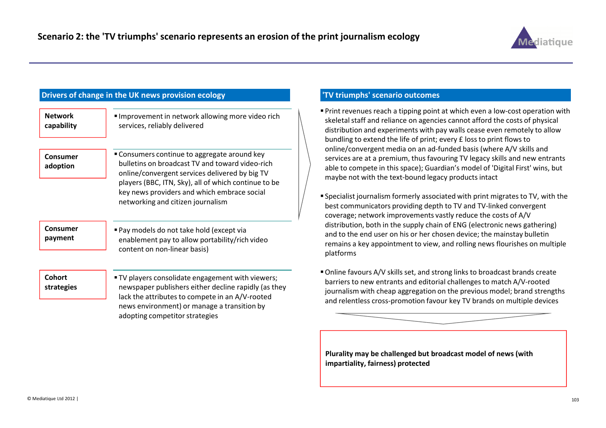

## Drivers of change in the UK news provision ecology

| <b>Network</b><br>capability | Improvement in network allowing more video rich<br>services, reliably delivered                                                                                                                                                                                                               |
|------------------------------|-----------------------------------------------------------------------------------------------------------------------------------------------------------------------------------------------------------------------------------------------------------------------------------------------|
| Consumer<br>adoption         | " Consumers continue to aggregate around key<br>bulletins on broadcast TV and toward video-rich<br>online/convergent services delivered by big TV<br>players (BBC, ITN, Sky), all of which continue to be<br>key news providers and which embrace social<br>networking and citizen journalism |
| Consumer<br>payment          | Pay models do not take hold (except via<br>enablement pay to allow portability/rich video<br>content on non-linear basis)                                                                                                                                                                     |
| <b>Cohort</b><br>strategies  | " TV players consolidate engagement with viewers;<br>newspaper publishers either decline rapidly (as they<br>lack the attributes to compete in an A/V-rooted<br>news environment) or manage a transition by<br>adopting competitor strategies                                                 |

#### 'TV triumphs' scenario outcomes

- Print revenues reach a tipping point at which even a low-cost operation with skeletal staff and reliance on agencies cannot afford the costs of physical distribution and experiments with pay walls cease even remotely to allow bundling to extend the life of print; every £ loss to print flows to online/convergent media on an ad-funded basis (where A/V skills and services are at a premium, thus favouring TV legacy skills and new entrants able to compete in this space); Guardian's model of 'Digital First' wins, but maybe not with the text-bound legacy products intact
- Specialist journalism formerly associated with print migrates to TV, with the best communicators providing depth to TV and TV-linked convergent coverage; network improvements vastly reduce the costs of A/V distribution, both in the supply chain of ENG (electronic news gathering) and to the end user on his or her chosen device; the mainstay bulletin remains a key appointment to view, and rolling news flourishes on multiple platforms
- Online favours A/V skills set, and strong links to broadcast brands create barriers to new entrants and editorial challenges to match A/V-rooted journalism with cheap aggregation on the previous model; brand strengths and relentless cross-promotion favour key TV brands on multiple devices

Plurality may be challenged but broadcast model of news (with impartiality, fairness) protected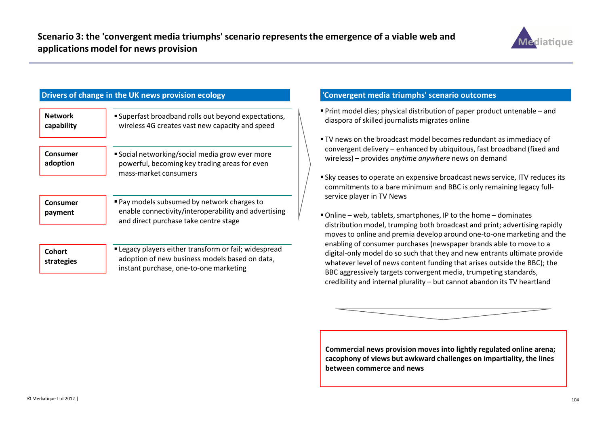

## Drivers of change in the UK news provision ecology

| <b>Network</b><br>capability | Superfast broadband rolls out beyond expectations,<br>wireless 4G creates vast new capacity and speed                                        |
|------------------------------|----------------------------------------------------------------------------------------------------------------------------------------------|
| Consumer<br>adoption         | ■ Social networking/social media grow ever more<br>powerful, becoming key trading areas for even<br>mass-market consumers                    |
| Consumer<br>payment          | ■ Pay models subsumed by network charges to<br>enable connectivity/interoperability and advertising<br>and direct purchase take centre stage |
| Cohort                       | " Legacy players either transform or fail; widespread                                                                                        |

adoption of new business models based on data,

instant purchase, one-to-one marketing

### 'Convergent media triumphs' scenario outcomes

- Print model dies; physical distribution of paper product untenable and diaspora of skilled journalists migrates online
- TV news on the broadcast model becomes redundant as immediacy of convergent delivery – enhanced by ubiquitous, fast broadband (fixed and wireless) – provides anytime anywhere news on demand
- $\blacksquare$  Sky ceases to operate an expensive broadcast news service, ITV reduces its commitments to a bare minimum and BBC is only remaining legacy fullservice player in TV News
- Online web, tablets, smartphones, IP to the home dominates distribution model, trumping both broadcast and print; advertising rapidly moves to online and premia develop around one-to-one marketing and the enabling of consumer purchases (newspaper brands able to move to a digital-only model do so such that they and new entrants ultimate provide whatever level of news content funding that arises outside the BBC); the BBC aggressively targets convergent media, trumpeting standards, credibility and internal plurality – but cannot abandon its TV heartland



Commercial news provision moves into lightly regulated online arena; cacophony of views but awkward challenges on impartiality, the lines between commerce and news

strategies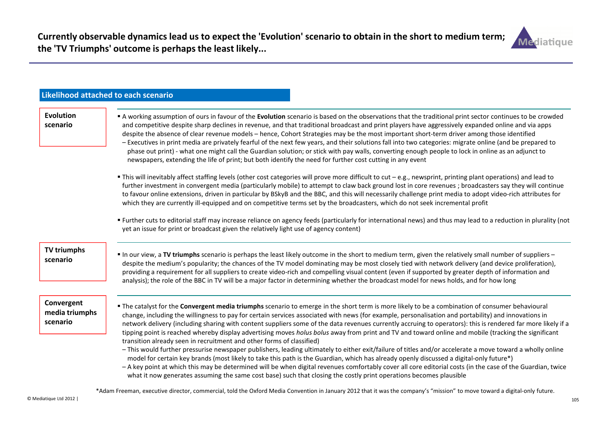

|                                          | <b>Likelihood attached to each scenario</b>                                                                                                                                                                                                                                                                                                                                                                                                                                                                                                                                                                                                                                                                                                                                                                                                                                                                                                                                                                                                                                                                                                                                                                                                                                                         |
|------------------------------------------|-----------------------------------------------------------------------------------------------------------------------------------------------------------------------------------------------------------------------------------------------------------------------------------------------------------------------------------------------------------------------------------------------------------------------------------------------------------------------------------------------------------------------------------------------------------------------------------------------------------------------------------------------------------------------------------------------------------------------------------------------------------------------------------------------------------------------------------------------------------------------------------------------------------------------------------------------------------------------------------------------------------------------------------------------------------------------------------------------------------------------------------------------------------------------------------------------------------------------------------------------------------------------------------------------------|
| <b>Evolution</b><br>scenario             | A working assumption of ours in favour of the Evolution scenario is based on the observations that the traditional print sector continues to be crowded<br>and competitive despite sharp declines in revenue, and that traditional broadcast and print players have aggressively expanded online and via apps<br>despite the absence of clear revenue models - hence, Cohort Strategies may be the most important short-term driver among those identified<br>- Executives in print media are privately fearful of the next few years, and their solutions fall into two categories: migrate online (and be prepared to<br>phase out print) - what one might call the Guardian solution; or stick with pay walls, converting enough people to lock in online as an adjunct to<br>newspapers, extending the life of print; but both identify the need for further cost cutting in any event                                                                                                                                                                                                                                                                                                                                                                                                          |
|                                          | This will inevitably affect staffing levels (other cost categories will prove more difficult to cut - e.g., newsprint, printing plant operations) and lead to<br>further investment in convergent media (particularly mobile) to attempt to claw back ground lost in core revenues ; broadcasters say they will continue<br>to favour online extensions, driven in particular by BSkyB and the BBC, and this will necessarily challenge print media to adopt video-rich attributes for<br>which they are currently ill-equipped and on competitive terms set by the broadcasters, which do not seek incremental profit                                                                                                                                                                                                                                                                                                                                                                                                                                                                                                                                                                                                                                                                              |
|                                          | " Further cuts to editorial staff may increase reliance on agency feeds (particularly for international news) and thus may lead to a reduction in plurality (not<br>yet an issue for print or broadcast given the relatively light use of agency content)                                                                                                                                                                                                                                                                                                                                                                                                                                                                                                                                                                                                                                                                                                                                                                                                                                                                                                                                                                                                                                           |
| <b>TV triumphs</b><br>scenario           | " In our view, a TV triumphs scenario is perhaps the least likely outcome in the short to medium term, given the relatively small number of suppliers -<br>despite the medium's popularity; the chances of the TV model dominating may be most closely tied with network delivery (and device proliferation),<br>providing a requirement for all suppliers to create video-rich and compelling visual content (even if supported by greater depth of information and<br>analysis); the role of the BBC in TV will be a major factor in determining whether the broadcast model for news holds, and for how long                                                                                                                                                                                                                                                                                                                                                                                                                                                                                                                                                                                                                                                                                     |
| Convergent<br>media triumphs<br>scenario | The catalyst for the Convergent media triumphs scenario to emerge in the short term is more likely to be a combination of consumer behavioural<br>change, including the willingness to pay for certain services associated with news (for example, personalisation and portability) and innovations in<br>network delivery (including sharing with content suppliers some of the data revenues currently accruing to operators): this is rendered far more likely if a<br>tipping point is reached whereby display advertising moves holus bolus away from print and TV and toward online and mobile (tracking the significant<br>transition already seen in recruitment and other forms of classified)<br>- This would further pressurise newspaper publishers, leading ultimately to either exit/failure of titles and/or accelerate a move toward a wholly online<br>model for certain key brands (most likely to take this path is the Guardian, which has already openly discussed a digital-only future*)<br>- A key point at which this may be determined will be when digital revenues comfortably cover all core editorial costs (in the case of the Guardian, twice<br>what it now generates assuming the same cost base) such that closing the costly print operations becomes plausible |

\*Adam Freeman, executive director, commercial, told the Oxford Media Convention in January 2012 that it was the company's "mission" to move toward a digital-only future.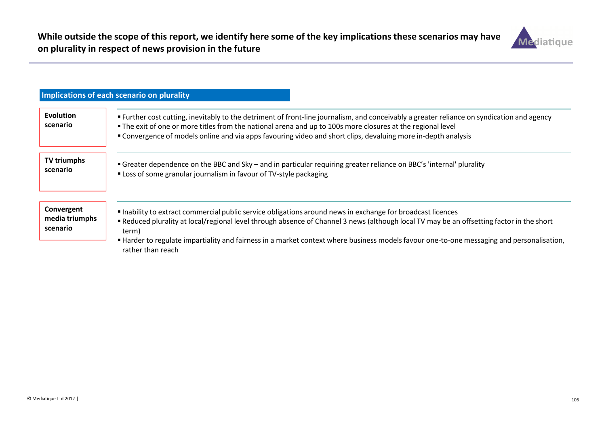

|                                          | Implications of each scenario on plurality                                                                                                                                                                                                                                                                                                                                                                                       |
|------------------------------------------|----------------------------------------------------------------------------------------------------------------------------------------------------------------------------------------------------------------------------------------------------------------------------------------------------------------------------------------------------------------------------------------------------------------------------------|
| <b>Evolution</b><br>scenario             | Further cost cutting, inevitably to the detriment of front-line journalism, and conceivably a greater reliance on syndication and agency<br>• The exit of one or more titles from the national arena and up to 100s more closures at the regional level<br>" Convergence of models online and via apps favouring video and short clips, devaluing more in-depth analysis                                                         |
| <b>TV triumphs</b><br>scenario           | " Greater dependence on the BBC and Sky - and in particular requiring greater reliance on BBC's 'internal' plurality<br>" Loss of some granular journalism in favour of TV-style packaging                                                                                                                                                                                                                                       |
| Convergent<br>media triumphs<br>scenario | Inability to extract commercial public service obligations around news in exchange for broadcast licences<br>• Reduced plurality at local/regional level through absence of Channel 3 news (although local TV may be an offsetting factor in the short<br>term)<br>"Harder to regulate impartiality and fairness in a market context where business models favour one-to-one messaging and personalisation,<br>rather than reach |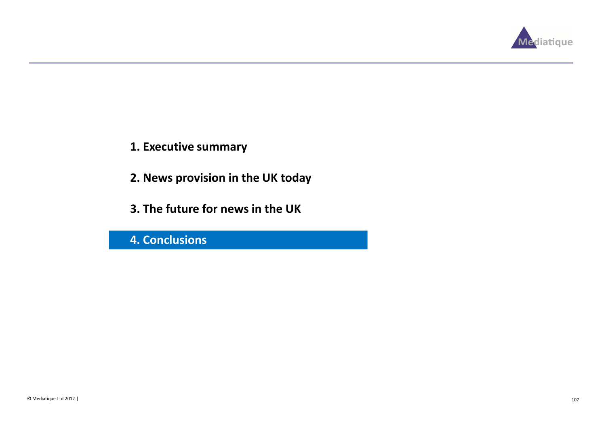

- 1. Executive summary
- 2. News provision in the UK today
- 3. The future for news in the UK

4. Conclusions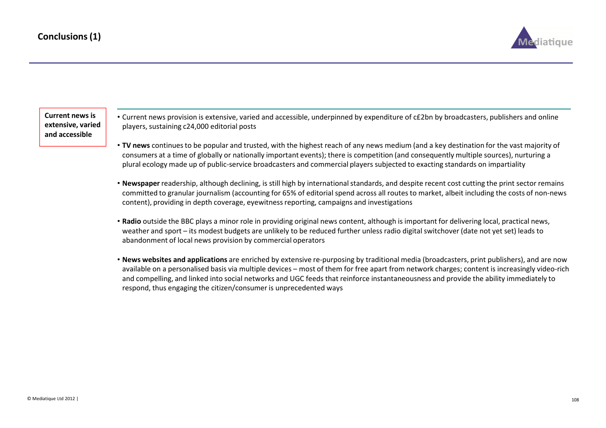

Current news is extensive, varied and accessible

- Current news provision is extensive, varied and accessible, underpinned by expenditure of c£2bn by broadcasters, publishers and online players, sustaining c24,000 editorial posts
- TV news continues to be popular and trusted, with the highest reach of any news medium (and a key destination for the vast majority of consumers at a time of globally or nationally important events); there is competition (and consequently multiple sources), nurturing a plural ecology made up of public-service broadcasters and commercial players subjected to exacting standards on impartiality
- Newspaper readership, although declining, is still high by international standards, and despite recent cost cutting the print sector remains committed to granular journalism (accounting for 65% of editorial spend across all routes to market, albeit including the costs of non-news content), providing in depth coverage, eyewitness reporting, campaigns and investigations
- Radio outside the BBC plays a minor role in providing original news content, although is important for delivering local, practical news, weather and sport – its modest budgets are unlikely to be reduced further unless radio digital switchover (date not yet set) leads to abandonment of local news provision by commercial operators
- News websites and applications are enriched by extensive re-purposing by traditional media (broadcasters, print publishers), and are now available on a personalised basis via multiple devices – most of them for free apart from network charges; content is increasingly video-rich and compelling, and linked into social networks and UGC feeds that reinforce instantaneousness and provide the ability immediately to respond, thus engaging the citizen/consumer is unprecedented ways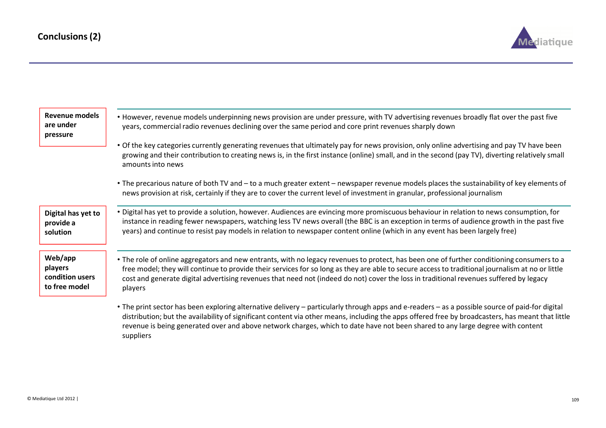

| Revenue models<br>are under<br>pressure                | • However, revenue models underpinning news provision are under pressure, with TV advertising revenues broadly flat over the past five<br>years, commercial radio revenues declining over the same period and core print revenues sharply down                                                                                                                                                                                                      |
|--------------------------------------------------------|-----------------------------------------------------------------------------------------------------------------------------------------------------------------------------------------------------------------------------------------------------------------------------------------------------------------------------------------------------------------------------------------------------------------------------------------------------|
|                                                        | . Of the key categories currently generating revenues that ultimately pay for news provision, only online advertising and pay TV have been<br>growing and their contribution to creating news is, in the first instance (online) small, and in the second (pay TV), diverting relatively small<br>amounts into news                                                                                                                                 |
|                                                        | • The precarious nature of both TV and – to a much greater extent – newspaper revenue models places the sustainability of key elements of<br>news provision at risk, certainly if they are to cover the current level of investment in granular, professional journalism                                                                                                                                                                            |
| Digital has yet to<br>provide a<br>solution            | • Digital has yet to provide a solution, however. Audiences are evincing more promiscuous behaviour in relation to news consumption, for<br>instance in reading fewer newspapers, watching less TV news overall (the BBC is an exception in terms of audience growth in the past five<br>years) and continue to resist pay models in relation to newspaper content online (which in any event has been largely free)                                |
| Web/app<br>players<br>condition users<br>to free model | • The role of online aggregators and new entrants, with no legacy revenues to protect, has been one of further conditioning consumers to a<br>free model; they will continue to provide their services for so long as they are able to secure access to traditional journalism at no or little<br>cost and generate digital advertising revenues that need not (indeed do not) cover the loss in traditional revenues suffered by legacy<br>players |
|                                                        | • The print sector has been exploring alternative delivery – particularly through apps and e-readers – as a possible source of paid-for digital<br>distribution; but the availability of significant content via other means, including the apps offered free by broadcasters, has meant that little<br>revenue is being generated over and above network charges, which to date have not been shared to any large degree with content<br>suppliers |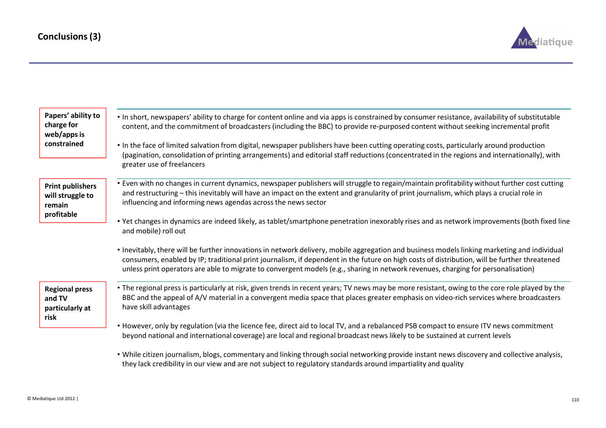

| Papers' ability to<br>charge for<br>web/apps is<br>constrained      | . In short, newspapers' ability to charge for content online and via apps is constrained by consumer resistance, availability of substitutable<br>content, and the commitment of broadcasters (including the BBC) to provide re-purposed content without seeking incremental profit<br>• In the face of limited salvation from digital, newspaper publishers have been cutting operating costs, particularly around production<br>(pagination, consolidation of printing arrangements) and editorial staff reductions (concentrated in the regions and internationally), with<br>greater use of freelancers |
|---------------------------------------------------------------------|-------------------------------------------------------------------------------------------------------------------------------------------------------------------------------------------------------------------------------------------------------------------------------------------------------------------------------------------------------------------------------------------------------------------------------------------------------------------------------------------------------------------------------------------------------------------------------------------------------------|
| <b>Print publishers</b><br>will struggle to<br>remain<br>profitable | • Even with no changes in current dynamics, newspaper publishers will struggle to regain/maintain profitability without further cost cutting<br>and restructuring - this inevitably will have an impact on the extent and granularity of print journalism, which plays a crucial role in<br>influencing and informing news agendas across the news sector                                                                                                                                                                                                                                                   |
|                                                                     | • Yet changes in dynamics are indeed likely, as tablet/smartphone penetration inexorably rises and as network improvements (both fixed line<br>and mobile) roll out                                                                                                                                                                                                                                                                                                                                                                                                                                         |
|                                                                     | • Inevitably, there will be further innovations in network delivery, mobile aggregation and business models linking marketing and individual<br>consumers, enabled by IP; traditional print journalism, if dependent in the future on high costs of distribution, will be further threatened<br>unless print operators are able to migrate to convergent models (e.g., sharing in network revenues, charging for personalisation)                                                                                                                                                                           |
| <b>Regional press</b><br>and TV<br>particularly at<br>risk          | • The regional press is particularly at risk, given trends in recent years; TV news may be more resistant, owing to the core role played by the<br>BBC and the appeal of A/V material in a convergent media space that places greater emphasis on video-rich services where broadcasters<br>have skill advantages                                                                                                                                                                                                                                                                                           |
|                                                                     | • However, only by regulation (via the licence fee, direct aid to local TV, and a rebalanced PSB compact to ensure ITV news commitment<br>beyond national and international coverage) are local and regional broadcast news likely to be sustained at current levels                                                                                                                                                                                                                                                                                                                                        |
|                                                                     | . While citizen journalism, blogs, commentary and linking through social networking provide instant news discovery and collective analysis,                                                                                                                                                                                                                                                                                                                                                                                                                                                                 |

they lack credibility in our view and are not subject to regulatory standards around impartiality and quality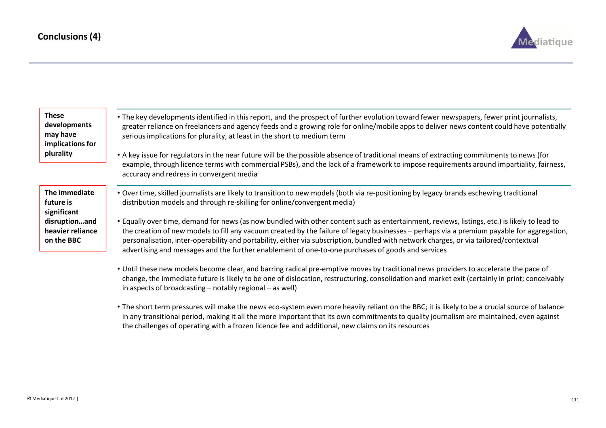

| <b>These</b><br>developments<br>may have<br>implications for<br>plurality | • The key developments identified in this report, and the prospect of further evolution toward fewer newspapers, fewer print journalists,<br>greater reliance on freelancers and agency feeds and a growing role for online/mobile apps to deliver news content could have potentially<br>serious implications for plurality, at least in the short to medium term<br>• A key issue for regulators in the near future will be the possible absence of traditional means of extracting commitments to news (for<br>example, through licence terms with commercial PSBs), and the lack of a framework to impose requirements around impartiality, fairness,<br>accuracy and redress in convergent media |
|---------------------------------------------------------------------------|-------------------------------------------------------------------------------------------------------------------------------------------------------------------------------------------------------------------------------------------------------------------------------------------------------------------------------------------------------------------------------------------------------------------------------------------------------------------------------------------------------------------------------------------------------------------------------------------------------------------------------------------------------------------------------------------------------|
| The immediate<br>future is<br>significant                                 | . Over time, skilled journalists are likely to transition to new models (both via re-positioning by legacy brands eschewing traditional<br>distribution models and through re-skilling for online/convergent media)                                                                                                                                                                                                                                                                                                                                                                                                                                                                                   |
| disruptionand<br>heavier reliance<br>on the BBC                           | • Equally over time, demand for news (as now bundled with other content such as entertainment, reviews, listings, etc.) is likely to lead to<br>the creation of new models to fill any vacuum created by the failure of legacy businesses - perhaps via a premium payable for aggregation,<br>personalisation, inter-operability and portability, either via subscription, bundled with network charges, or via tailored/contextual<br>advertising and messages and the further enablement of one-to-one purchases of goods and services                                                                                                                                                              |

- Until these new models become clear, and barring radical pre-emptive moves by traditional news providers to accelerate the pace of change, the immediate future is likely to be one of dislocation, restructuring, consolidation and market exit (certainly in print; conceivably in aspects of broadcasting – notably regional – as well)
- The short term pressures will make the news eco-system even more heavily reliant on the BBC; it is likely to be a crucial source of balance in any transitional period, making it all the more important that its own commitments to quality journalism are maintained, even against the challenges of operating with a frozen licence fee and additional, new claims on its resources